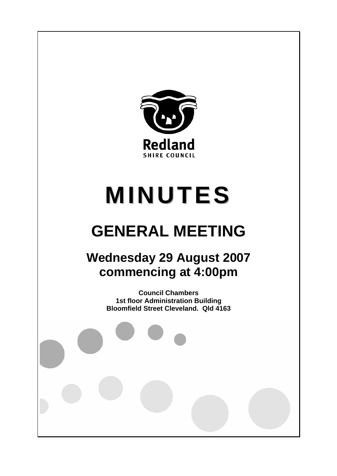

# **MINUTES**

# **GENERAL MEETING**

# **Wednesday 29 August 2007 commencing at 4:00pm**

**Council Chambers 1st floor Administration Building Bloomfield Street Cleveland. Qld 4163**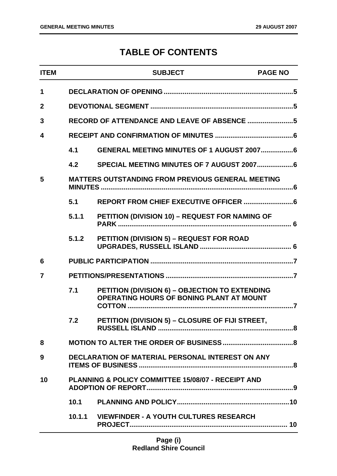## **TABLE OF CONTENTS**

| <b>ITEM</b>    |                                                               | <b>SUBJECT</b>                                                                             | <b>PAGE NO</b> |
|----------------|---------------------------------------------------------------|--------------------------------------------------------------------------------------------|----------------|
| 1              |                                                               |                                                                                            |                |
| $\mathbf{2}$   |                                                               |                                                                                            |                |
| 3              |                                                               |                                                                                            |                |
| 4              |                                                               |                                                                                            |                |
|                | 4.1                                                           | GENERAL MEETING MINUTES OF 1 AUGUST 20076                                                  |                |
|                | 4.2                                                           |                                                                                            |                |
| 5              |                                                               | <b>MATTERS OUTSTANDING FROM PREVIOUS GENERAL MEETING</b>                                   |                |
|                | 5.1                                                           |                                                                                            |                |
|                | 5.1.1                                                         | PETITION (DIVISION 10) - REQUEST FOR NAMING OF                                             |                |
|                | 5.1.2                                                         | PETITION (DIVISION 5) - REQUEST FOR ROAD                                                   |                |
| 6              |                                                               |                                                                                            |                |
| $\overline{7}$ |                                                               |                                                                                            |                |
|                | 7.1                                                           | PETITION (DIVISION 6) - OBJECTION TO EXTENDING<br>OPERATING HOURS OF BONING PLANT AT MOUNT |                |
|                | 7.2                                                           | PETITION (DIVISION 5) - CLOSURE OF FIJI STREET,                                            |                |
| 8              |                                                               |                                                                                            |                |
| 9              |                                                               | <b>DECLARATION OF MATERIAL PERSONAL INTEREST ON ANY</b>                                    |                |
| 10             | <b>PLANNING &amp; POLICY COMMITTEE 15/08/07 - RECEIPT AND</b> |                                                                                            |                |
|                | 10.1                                                          |                                                                                            |                |
|                |                                                               | 10.1.1 VIEWFINDER - A YOUTH CULTURES RESEARCH                                              |                |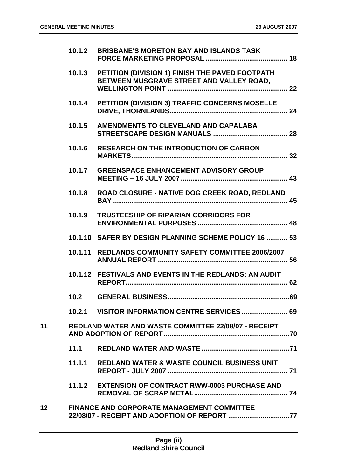|                 | 10.1.2 | <b>BRISBANE'S MORETON BAY AND ISLANDS TASK</b>                                                     |  |
|-----------------|--------|----------------------------------------------------------------------------------------------------|--|
|                 |        | 10.1.3 PETITION (DIVISION 1) FINISH THE PAVED FOOTPATH<br>BETWEEN MUSGRAVE STREET AND VALLEY ROAD, |  |
|                 |        | 10.1.4 PETITION (DIVISION 3) TRAFFIC CONCERNS MOSELLE                                              |  |
|                 | 10.1.5 | AMENDMENTS TO CLEVELAND AND CAPALABA                                                               |  |
|                 | 10.1.6 | <b>RESEARCH ON THE INTRODUCTION OF CARBON</b>                                                      |  |
|                 |        | 10.1.7 GREENSPACE ENHANCEMENT ADVISORY GROUP                                                       |  |
|                 | 10.1.8 | ROAD CLOSURE - NATIVE DOG CREEK ROAD, REDLAND                                                      |  |
|                 | 10.1.9 | <b>TRUSTEESHIP OF RIPARIAN CORRIDORS FOR</b>                                                       |  |
|                 |        | 10.1.10 SAFER BY DESIGN PLANNING SCHEME POLICY 16  53                                              |  |
|                 |        | 10.1.11 REDLANDS COMMUNITY SAFETY COMMITTEE 2006/2007                                              |  |
|                 |        | 10.1.12 FESTIVALS AND EVENTS IN THE REDLANDS: AN AUDIT                                             |  |
|                 | 10.2   |                                                                                                    |  |
|                 |        | 10.2.1 VISITOR INFORMATION CENTRE SERVICES  69                                                     |  |
| 11              |        | <b>REDLAND WATER AND WASTE COMMITTEE 22/08/07 - RECEIPT</b>                                        |  |
|                 | 11.1   |                                                                                                    |  |
|                 |        | 11.1.1 REDLAND WATER & WASTE COUNCIL BUSINESS UNIT                                                 |  |
|                 |        | 11.1.2 EXTENSION OF CONTRACT RWW-0003 PURCHASE AND                                                 |  |
| 12 <sup>°</sup> |        | <b>FINANCE AND CORPORATE MANAGEMENT COMMITTEE</b><br>22/08/07 - RECEIPT AND ADOPTION OF REPORT 77  |  |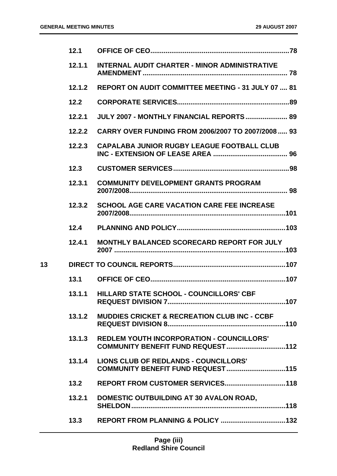|    | 12.1   |                                                           |
|----|--------|-----------------------------------------------------------|
|    | 12.1.1 | <b>INTERNAL AUDIT CHARTER - MINOR ADMINISTRATIVE</b>      |
|    | 12.1.2 | <b>REPORT ON AUDIT COMMITTEE MEETING - 31 JULY 07  81</b> |
|    | 12.2   |                                                           |
|    | 12.2.1 | JULY 2007 - MONTHLY FINANCIAL REPORTS  89                 |
|    | 12.2.2 | CARRY OVER FUNDING FROM 2006/2007 TO 2007/2008 93         |
|    | 12.2.3 | CAPALABA JUNIOR RUGBY LEAGUE FOOTBALL CLUB                |
|    | 12.3   |                                                           |
|    | 12.3.1 | <b>COMMUNITY DEVELOPMENT GRANTS PROGRAM</b>               |
|    | 12.3.2 | <b>SCHOOL AGE CARE VACATION CARE FEE INCREASE</b>         |
|    | 12.4   |                                                           |
|    | 12.4.1 | <b>MONTHLY BALANCED SCORECARD REPORT FOR JULY</b>         |
| 13 |        |                                                           |
|    | 13.1   |                                                           |
|    |        | 13.1.1 HILLARD STATE SCHOOL - COUNCILLORS' CBF            |
|    | 13.1.2 | <b>MUDDIES CRICKET &amp; RECREATION CLUB INC - CCBF</b>   |
|    | 13.1.3 | <b>REDLEM YOUTH INCORPORATION - COUNCILLORS'</b>          |
|    | 13.1.4 | <b>LIONS CLUB OF REDLANDS - COUNCILLORS'</b>              |
|    | 13.2   |                                                           |
|    | 13.2.1 | DOMESTIC OUTBUILDING AT 30 AVALON ROAD,                   |
|    | 13.3   |                                                           |
|    |        |                                                           |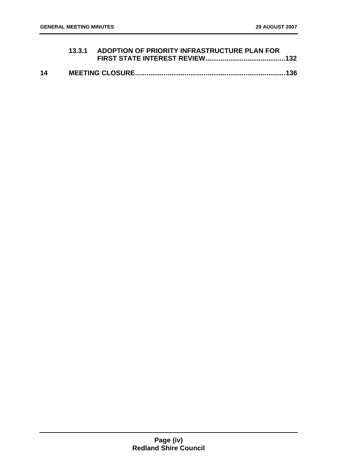|    | 13.3.1 ADOPTION OF PRIORITY INFRASTRUCTURE PLAN FOR |  |
|----|-----------------------------------------------------|--|
| 14 |                                                     |  |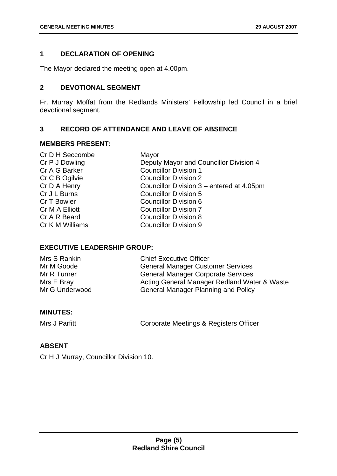#### <span id="page-5-0"></span>**1 DECLARATION OF OPENING**

The Mayor declared the meeting open at 4.00pm.

#### **2 DEVOTIONAL SEGMENT**

Fr. Murray Moffat from the Redlands Ministers' Fellowship led Council in a brief devotional segment.

#### **3 RECORD OF ATTENDANCE AND LEAVE OF ABSENCE**

#### **MEMBERS PRESENT:**

| Cr D H Seccombe | Mayor                                     |
|-----------------|-------------------------------------------|
| Cr P J Dowling  | Deputy Mayor and Councillor Division 4    |
| Cr A G Barker   | <b>Councillor Division 1</b>              |
| Cr C B Ogilvie  | <b>Councillor Division 2</b>              |
| Cr D A Henry    | Councillor Division 3 – entered at 4.05pm |
| Cr J L Burns    | <b>Councillor Division 5</b>              |
| Cr T Bowler     | <b>Councillor Division 6</b>              |
| Cr M A Elliott  | <b>Councillor Division 7</b>              |
| Cr A R Beard    | <b>Councillor Division 8</b>              |
| Cr K M Williams | <b>Councillor Division 9</b>              |
|                 |                                           |

#### **EXECUTIVE LEADERSHIP GROUP:**

| Mrs S Rankin   | <b>Chief Executive Officer</b>               |
|----------------|----------------------------------------------|
| Mr M Goode     | <b>General Manager Customer Services</b>     |
| Mr R Turner    | <b>General Manager Corporate Services</b>    |
| Mrs E Bray     | Acting General Manager Redland Water & Waste |
| Mr G Underwood | <b>General Manager Planning and Policy</b>   |

#### **MINUTES:**

Mrs J Parfitt **Corporate Meetings & Registers Officer** 

#### **ABSENT**

Cr H J Murray, Councillor Division 10.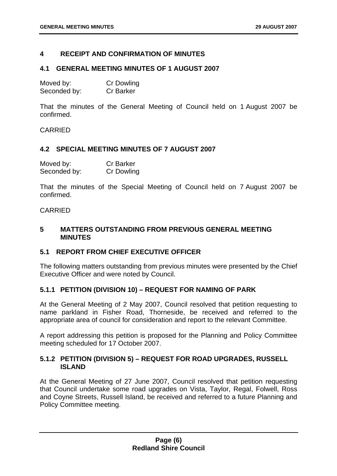#### <span id="page-6-0"></span>**4 RECEIPT AND CONFIRMATION OF MINUTES**

#### **4.1 GENERAL MEETING MINUTES OF 1 AUGUST 2007**

| Moved by:    | <b>Cr Dowling</b> |
|--------------|-------------------|
| Seconded by: | <b>Cr Barker</b>  |

That the minutes of the General Meeting of Council held on 1 August 2007 be confirmed.

CARRIED

#### **4.2 SPECIAL MEETING MINUTES OF 7 AUGUST 2007**

| Moved by:    | <b>Cr Barker</b>  |
|--------------|-------------------|
| Seconded by: | <b>Cr Dowling</b> |

That the minutes of the Special Meeting of Council held on 7 August 2007 be confirmed.

#### CARRIED

#### **5 MATTERS OUTSTANDING FROM PREVIOUS GENERAL MEETING MINUTES**

#### **5.1 REPORT FROM CHIEF EXECUTIVE OFFICER**

The following matters outstanding from previous minutes were presented by the Chief Executive Officer and were noted by Council.

#### **5.1.1 PETITION (DIVISION 10) – REQUEST FOR NAMING OF PARK**

At the General Meeting of 2 May 2007, Council resolved that petition requesting to name parkland in Fisher Road, Thorneside, be received and referred to the appropriate area of council for consideration and report to the relevant Committee.

A report addressing this petition is proposed for the Planning and Policy Committee meeting scheduled for 17 October 2007.

#### **5.1.2 PETITION (DIVISION 5) – REQUEST FOR ROAD UPGRADES, RUSSELL ISLAND**

At the General Meeting of 27 June 2007, Council resolved that petition requesting that Council undertake some road upgrades on Vista, Taylor, Regal, Folwell, Ross and Coyne Streets, Russell Island, be received and referred to a future Planning and Policy Committee meeting.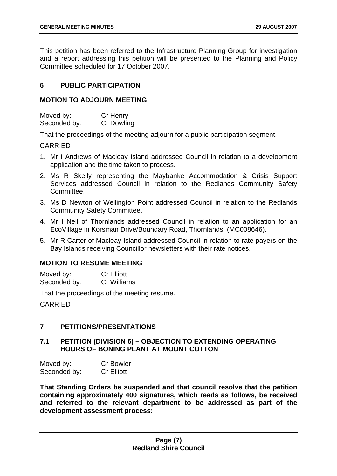<span id="page-7-0"></span>This petition has been referred to the Infrastructure Planning Group for investigation and a report addressing this petition will be presented to the Planning and Policy Committee scheduled for 17 October 2007.

#### **6 PUBLIC PARTICIPATION**

#### **MOTION TO ADJOURN MEETING**

| Moved by:    | Cr Henry   |
|--------------|------------|
| Seconded by: | Cr Dowling |

That the proceedings of the meeting adjourn for a public participation segment.

CARRIED

- 1. Mr I Andrews of Macleay Island addressed Council in relation to a development application and the time taken to process.
- 2. Ms R Skelly representing the Maybanke Accommodation & Crisis Support Services addressed Council in relation to the Redlands Community Safety Committee.
- 3. Ms D Newton of Wellington Point addressed Council in relation to the Redlands Community Safety Committee.
- 4. Mr I Neil of Thornlands addressed Council in relation to an application for an EcoVillage in Korsman Drive/Boundary Road, Thornlands. (MC008646).
- 5. Mr R Carter of Macleay Island addressed Council in relation to rate payers on the Bay Islands receiving Councillor newsletters with their rate notices.

#### **MOTION TO RESUME MEETING**

| Moved by:    | <b>Cr Elliott</b>  |
|--------------|--------------------|
| Seconded by: | <b>Cr Williams</b> |

That the proceedings of the meeting resume.

CARRIED

#### **7 PETITIONS/PRESENTATIONS**

#### **7.1 PETITION (DIVISION 6) – OBJECTION TO EXTENDING OPERATING HOURS OF BONING PLANT AT MOUNT COTTON**

| Moved by:    | <b>Cr Bowler</b>  |
|--------------|-------------------|
| Seconded by: | <b>Cr Elliott</b> |

**That Standing Orders be suspended and that council resolve that the petition containing approximately 400 signatures, which reads as follows, be received and referred to the relevant department to be addressed as part of the development assessment process:**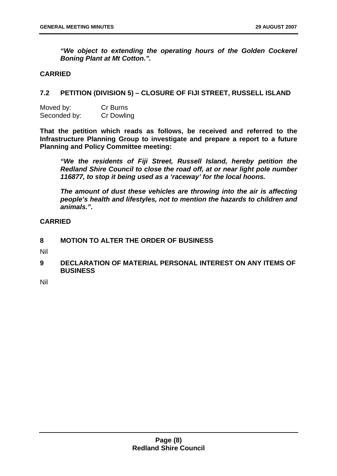<span id="page-8-0"></span>*"We object to extending the operating hours of the Golden Cockerel Boning Plant at Mt Cotton.".* 

#### **CARRIED**

#### **7.2 PETITION (DIVISION 5) – CLOSURE OF FIJI STREET, RUSSELL ISLAND**

| Moved by:    | Cr Burns   |
|--------------|------------|
| Seconded by: | Cr Dowling |

**That the petition which reads as follows, be received and referred to the Infrastructure Planning Group to investigate and prepare a report to a future Planning and Policy Committee meeting:** 

*"We the residents of Fiji Street, Russell Island, hereby petition the Redland Shire Council to close the road off, at or near light pole number 116877, to stop it being used as a 'raceway' for the local hoons.* 

*The amount of dust these vehicles are throwing into the air is affecting people's health and lifestyles, not to mention the hazards to children and animals.".* 

#### **CARRIED**

#### **8 MOTION TO ALTER THE ORDER OF BUSINESS**

Nil

**9 DECLARATION OF MATERIAL PERSONAL INTEREST ON ANY ITEMS OF BUSINESS** 

Nil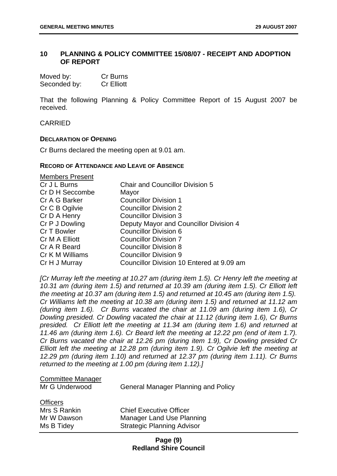#### <span id="page-9-0"></span>**10 PLANNING & POLICY COMMITTEE 15/08/07 - RECEIPT AND ADOPTION OF REPORT**

| Moved by:    | Cr Burns          |
|--------------|-------------------|
| Seconded by: | <b>Cr Elliott</b> |

That the following Planning & Policy Committee Report of 15 August 2007 be received.

**CARRIED** 

#### **DECLARATION OF OPENING**

Cr Burns declared the meeting open at 9.01 am.

#### **RECORD OF ATTENDANCE AND LEAVE OF ABSENCE**

| <b>Members Present</b> |                                           |
|------------------------|-------------------------------------------|
| Cr J L Burns           | <b>Chair and Councillor Division 5</b>    |
| Cr D H Seccombe        | Mayor                                     |
| Cr A G Barker          | <b>Councillor Division 1</b>              |
| Cr C B Ogilvie         | <b>Councillor Division 2</b>              |
| Cr D A Henry           | <b>Councillor Division 3</b>              |
| Cr P J Dowling         | Deputy Mayor and Councillor Division 4    |
| Cr T Bowler            | Councillor Division 6                     |
| Cr M A Elliott         | <b>Councillor Division 7</b>              |
| Cr A R Beard           | <b>Councillor Division 8</b>              |
| Cr K M Williams        | <b>Councillor Division 9</b>              |
| Cr H J Murray          | Councillor Division 10 Entered at 9.09 am |

*[Cr Murray left the meeting at 10.27 am (during item 1.5). Cr Henry left the meeting at 10.31 am (during item 1.5) and returned at 10.39 am (during item 1.5). Cr Elliott left the meeting at 10.37 am (during item 1.5) and returned at 10.45 am (during item 1.5). Cr Williams left the meeting at 10.38 am (during item 1.5) and returned at 11.12 am (during item 1.6). Cr Burns vacated the chair at 11.09 am (during item 1.6), Cr Dowling presided. Cr Dowling vacated the chair at 11.12 (during item 1.6), Cr Burns presided. Cr Elliott left the meeting at 11.34 am (during item 1.6) and returned at 11.46 am (during item 1.6). Cr Beard left the meeting at 12.22 pm (end of item 1.7). Cr Burns vacated the chair at 12.26 pm (during item 1.9), Cr Dowling presided Cr Elliott left the meeting at 12.28 pm (during item 1.9). Cr Ogilvie left the meeting at 12.29 pm (during item 1.10) and returned at 12.37 pm (during item 1.11). Cr Burns returned to the meeting at 1.00 pm (during item 1.12).]*

### Committee Manager

Mr G Underwood General Manager Planning and Policy

| <b>Officers</b> |                                   |
|-----------------|-----------------------------------|
| Mrs S Rankin    | <b>Chief Executive Officer</b>    |
| Mr W Dawson     | Manager Land Use Planning         |
| Ms B Tidey      | <b>Strategic Planning Advisor</b> |

#### **Page (9) Redland Shire Council**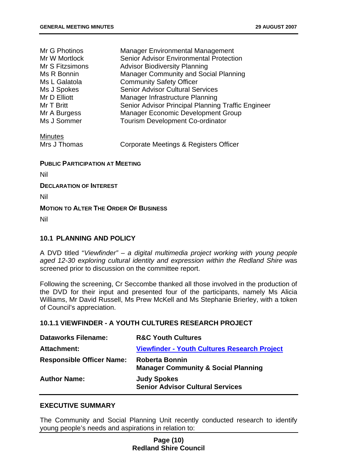|  | <b>29 AUGUST 2007</b> |  |
|--|-----------------------|--|
|  |                       |  |

<span id="page-10-0"></span>

| Mr G Photinos   | <b>Manager Environmental Management</b>            |
|-----------------|----------------------------------------------------|
| Mr W Mortlock   | <b>Senior Advisor Environmental Protection</b>     |
| Mr S Fitzsimons | <b>Advisor Biodiversity Planning</b>               |
| Ms R Bonnin     | <b>Manager Community and Social Planning</b>       |
| Ms L Galatola   | <b>Community Safety Officer</b>                    |
| Ms J Spokes     | <b>Senior Advisor Cultural Services</b>            |
| Mr D Elliott    | Manager Infrastructure Planning                    |
| Mr T Britt      | Senior Advisor Principal Planning Traffic Engineer |
| Mr A Burgess    | <b>Manager Economic Development Group</b>          |
| Ms J Sommer     | <b>Tourism Development Co-ordinator</b>            |
| <b>Minutes</b>  |                                                    |

Mrs J Thomas Corporate Meetings & Registers Officer

#### **PUBLIC PARTICIPATION AT MEETING**

Nil

#### **DECLARATION OF INTEREST**

Nil

#### **MOTION TO ALTER THE ORDER OF BUSINESS**

Nil

#### **10.1 PLANNING AND POLICY**

A DVD titled "*Viewfinder" – a digital multimedia project working with young people aged 12-30 exploring cultural identity and expression within the Redland Shire w*as screened prior to discussion on the committee report.

Following the screening, Cr Seccombe thanked all those involved in the production of the DVD for their input and presented four of the participants, namely Ms Alicia Williams, Mr David Russell, Ms Prew McKell and Ms Stephanie Brierley, with a token of Council's appreciation.

#### **10.1.1 VIEWFINDER - A YOUTH CULTURES RESEARCH PROJECT**

| <b>Dataworks Filename:</b>       | <b>R&amp;C Youth Cultures</b>                                           |
|----------------------------------|-------------------------------------------------------------------------|
| Attachment:                      | <b>Viewfinder - Youth Cultures Research Project</b>                     |
| <b>Responsible Officer Name:</b> | <b>Roberta Bonnin</b><br><b>Manager Community &amp; Social Planning</b> |
| <b>Author Name:</b>              | <b>Judy Spokes</b><br><b>Senior Advisor Cultural Services</b>           |

#### **EXECUTIVE SUMMARY**

The Community and Social Planning Unit recently conducted research to identify young people's needs and aspirations in relation to:

#### **Page (10) Redland Shire Council**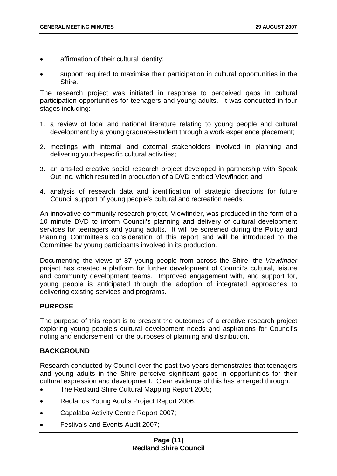- affirmation of their cultural identity;
- support required to maximise their participation in cultural opportunities in the Shire.

The research project was initiated in response to perceived gaps in cultural participation opportunities for teenagers and young adults. It was conducted in four stages including:

- 1. a review of local and national literature relating to young people and cultural development by a young graduate-student through a work experience placement;
- 2. meetings with internal and external stakeholders involved in planning and delivering youth-specific cultural activities;
- 3. an arts-led creative social research project developed in partnership with Speak Out Inc. which resulted in production of a DVD entitled Viewfinder; and
- 4. analysis of research data and identification of strategic directions for future Council support of young people's cultural and recreation needs.

An innovative community research project, Viewfinder, was produced in the form of a 10 minute DVD to inform Council's planning and delivery of cultural development services for teenagers and young adults. It will be screened during the Policy and Planning Committee's consideration of this report and will be introduced to the Committee by young participants involved in its production.

Documenting the views of 87 young people from across the Shire, the *Viewfinder* project has created a platform for further development of Council's cultural, leisure and community development teams. Improved engagement with, and support for, young people is anticipated through the adoption of integrated approaches to delivering existing services and programs.

#### **PURPOSE**

The purpose of this report is to present the outcomes of a creative research project exploring young people's cultural development needs and aspirations for Council's noting and endorsement for the purposes of planning and distribution.

#### **BACKGROUND**

Research conducted by Council over the past two years demonstrates that teenagers and young adults in the Shire perceive significant gaps in opportunities for their cultural expression and development. Clear evidence of this has emerged through:

- The Redland Shire Cultural Mapping Report 2005;
- Redlands Young Adults Project Report 2006;
- Capalaba Activity Centre Report 2007;
- Festivals and Events Audit 2007;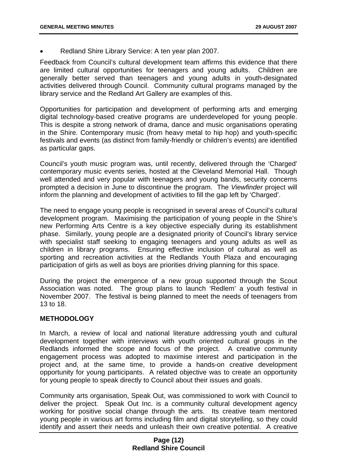• Redland Shire Library Service: A ten year plan 2007.

Feedback from Council's cultural development team affirms this evidence that there are limited cultural opportunities for teenagers and young adults. Children are generally better served than teenagers and young adults in youth-designated activities delivered through Council. Community cultural programs managed by the library service and the Redland Art Gallery are examples of this.

Opportunities for participation and development of performing arts and emerging digital technology-based creative programs are underdeveloped for young people. This is despite a strong network of drama, dance and music organisations operating in the Shire. Contemporary music (from heavy metal to hip hop) and youth-specific festivals and events (as distinct from family-friendly or children's events) are identified as particular gaps.

Council's youth music program was, until recently, delivered through the 'Charged' contemporary music events series, hosted at the Cleveland Memorial Hall. Though well attended and very popular with teenagers and young bands, security concerns prompted a decision in June to discontinue the program. The *Viewfinder* project will inform the planning and development of activities to fill the gap left by 'Charged'.

The need to engage young people is recognised in several areas of Council's cultural development program. Maximising the participation of young people in the Shire's new Performing Arts Centre is a key objective especially during its establishment phase. Similarly, young people are a designated priority of Council's library service with specialist staff seeking to engaging teenagers and young adults as well as children in library programs. Ensuring effective inclusion of cultural as well as sporting and recreation activities at the Redlands Youth Plaza and encouraging participation of girls as well as boys are priorities driving planning for this space.

During the project the emergence of a new group supported through the Scout Association was noted. The group plans to launch 'Redlem' a youth festival in November 2007. The festival is being planned to meet the needs of teenagers from 13 to 18.

#### **METHODOLOGY**

In March, a review of local and national literature addressing youth and cultural development together with interviews with youth oriented cultural groups in the Redlands informed the scope and focus of the project. A creative community engagement process was adopted to maximise interest and participation in the project and, at the same time, to provide a hands-on creative development opportunity for young participants. A related objective was to create an opportunity for young people to speak directly to Council about their issues and goals.

Community arts organisation, Speak Out, was commissioned to work with Council to deliver the project. Speak Out Inc. is a community cultural development agency working for positive social change through the arts. Its creative team mentored young people in various art forms including film and digital storytelling, so they could identify and assert their needs and unleash their own creative potential. A creative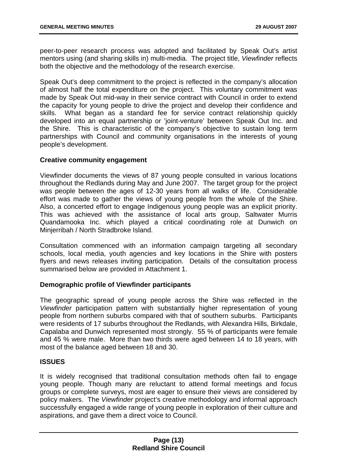peer-to-peer research process was adopted and facilitated by Speak Out's artist mentors using (and sharing skills in) multi-media. The project title, *Viewfinder* reflects both the objective and the methodology of the research exercise.

Speak Out's deep commitment to the project is reflected in the company's allocation of almost half the total expenditure on the project. This voluntary commitment was made by Speak Out mid-way in their service contract with Council in order to extend the capacity for young people to drive the project and develop their confidence and skills. What began as a standard fee for service contract relationship quickly developed into an equal partnership or 'joint-venture' between Speak Out Inc. and the Shire. This is characteristic of the company's objective to sustain long term partnerships with Council and community organisations in the interests of young people's development.

#### **Creative community engagement**

Viewfinder documents the views of 87 young people consulted in various locations throughout the Redlands during May and June 2007. The target group for the project was people between the ages of 12-30 years from all walks of life. Considerable effort was made to gather the views of young people from the whole of the Shire. Also, a concerted effort to engage Indigenous young people was an explicit priority. This was achieved with the assistance of local arts group, Saltwater Murris Quandamooka Inc. which played a critical coordinating role at Dunwich on Minjerribah / North Stradbroke Island.

Consultation commenced with an information campaign targeting all secondary schools, local media, youth agencies and key locations in the Shire with posters flyers and news releases inviting participation. Details of the consultation process summarised below are provided in Attachment 1.

#### **Demographic profile of Viewfinder participants**

The geographic spread of young people across the Shire was reflected in the *Viewfinder* participation pattern with substantially higher representation of young people from northern suburbs compared with that of southern suburbs. Participants were residents of 17 suburbs throughout the Redlands, with Alexandra Hills, Birkdale, Capalaba and Dunwich represented most strongly. 55 % of participants were female and 45 % were male. More than two thirds were aged between 14 to 18 years, with most of the balance aged between 18 and 30.

#### **ISSUES**

It is widely recognised that traditional consultation methods often fail to engage young people. Though many are reluctant to attend formal meetings and focus groups or complete surveys, most are eager to ensure their views are considered by policy makers. The *Viewfinder* project's creative methodology and informal approach successfully engaged a wide range of young people in exploration of their culture and aspirations, and gave them a direct voice to Council.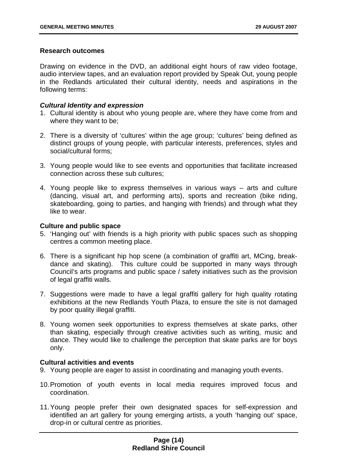#### **Research outcomes**

Drawing on evidence in the DVD, an additional eight hours of raw video footage, audio interview tapes, and an evaluation report provided by Speak Out, young people in the Redlands articulated their cultural identity, needs and aspirations in the following terms:

#### *Cultural Identity and expression*

- 1. Cultural identity is about who young people are, where they have come from and where they want to be;
- 2. There is a diversity of 'cultures' within the age group; 'cultures' being defined as distinct groups of young people, with particular interests, preferences, styles and social/cultural forms;
- 3. Young people would like to see events and opportunities that facilitate increased connection across these sub cultures;
- 4. Young people like to express themselves in various ways arts and culture (dancing, visual art, and performing arts), sports and recreation (bike riding, skateboarding, going to parties, and hanging with friends) and through what they like to wear.

#### **Culture and public space**

- 5. 'Hanging out' with friends is a high priority with public spaces such as shopping centres a common meeting place.
- 6. There is a significant hip hop scene (a combination of graffiti art, MCing, breakdance and skating). This culture could be supported in many ways through Council's arts programs and public space / safety initiatives such as the provision of legal graffiti walls.
- 7. Suggestions were made to have a legal graffiti gallery for high quality rotating exhibitions at the new Redlands Youth Plaza, to ensure the site is not damaged by poor quality illegal graffiti.
- 8. Young women seek opportunities to express themselves at skate parks, other than skating, especially through creative activities such as writing, music and dance. They would like to challenge the perception that skate parks are for boys only.

#### **Cultural activities and events**

- 9. Young people are eager to assist in coordinating and managing youth events.
- 10. Promotion of youth events in local media requires improved focus and coordination.
- 11. Young people prefer their own designated spaces for self-expression and identified an art gallery for young emerging artists, a youth 'hanging out' space, drop-in or cultural centre as priorities.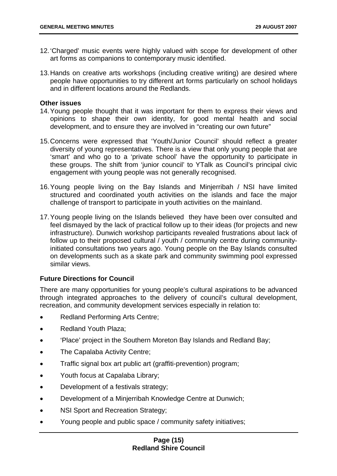- 12. 'Charged' music events were highly valued with scope for development of other art forms as companions to contemporary music identified.
- 13. Hands on creative arts workshops (including creative writing) are desired where people have opportunities to try different art forms particularly on school holidays and in different locations around the Redlands.

#### **Other issues**

- 14. Young people thought that it was important for them to express their views and opinions to shape their own identity, for good mental health and social development, and to ensure they are involved in "creating our own future"
- 15. Concerns were expressed that 'Youth/Junior Council' should reflect a greater diversity of young representatives. There is a view that only young people that are 'smart' and who go to a 'private school' have the opportunity to participate in these groups. The shift from 'junior council' to YTalk as Council's principal civic engagement with young people was not generally recognised.
- 16. Young people living on the Bay Islands and Minjerribah / NSI have limited structured and coordinated youth activities on the islands and face the major challenge of transport to participate in youth activities on the mainland.
- 17. Young people living on the Islands believed they have been over consulted and feel dismayed by the lack of practical follow up to their ideas (for projects and new infrastructure). Dunwich workshop participants revealed frustrations about lack of follow up to their proposed cultural / youth / community centre during communityinitiated consultations two years ago. Young people on the Bay Islands consulted on developments such as a skate park and community swimming pool expressed similar views.

#### **Future Directions for Council**

There are many opportunities for young people's cultural aspirations to be advanced through integrated approaches to the delivery of council's cultural development, recreation, and community development services especially in relation to:

- Redland Performing Arts Centre;
- Redland Youth Plaza;
- 'Place' project in the Southern Moreton Bay Islands and Redland Bay;
- The Capalaba Activity Centre;
- Traffic signal box art public art (graffiti-prevention) program;
- Youth focus at Capalaba Library;
- Development of a festivals strategy;
- Development of a Minjerribah Knowledge Centre at Dunwich;
- NSI Sport and Recreation Strategy;
- Young people and public space / community safety initiatives;

#### **Page (15) Redland Shire Council**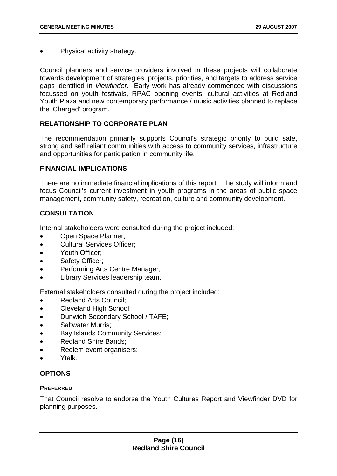• Physical activity strategy.

Council planners and service providers involved in these projects will collaborate towards development of strategies, projects, priorities, and targets to address service gaps identified in *Viewfinder*. Early work has already commenced with discussions focussed on youth festivals, RPAC opening events, cultural activities at Redland Youth Plaza and new contemporary performance / music activities planned to replace the 'Charged' program.

#### **RELATIONSHIP TO CORPORATE PLAN**

The recommendation primarily supports Council's strategic priority to build safe, strong and self reliant communities with access to community services, infrastructure and opportunities for participation in community life.

#### **FINANCIAL IMPLICATIONS**

There are no immediate financial implications of this report. The study will inform and focus Council's current investment in youth programs in the areas of public space management, community safety, recreation, culture and community development.

#### **CONSULTATION**

Internal stakeholders were consulted during the project included:

- Open Space Planner;
- Cultural Services Officer;
- Youth Officer;
- Safety Officer;
- Performing Arts Centre Manager;
- Library Services leadership team.

External stakeholders consulted during the project included:

- Redland Arts Council;
- Cleveland High School;
- Dunwich Secondary School / TAFE;
- Saltwater Murris;
- Bay Islands Community Services;
- Redland Shire Bands;
- Redlem event organisers;
- Ytalk.

#### **OPTIONS**

#### **PREFERRED**

That Council resolve to endorse the Youth Cultures Report and Viewfinder DVD for planning purposes.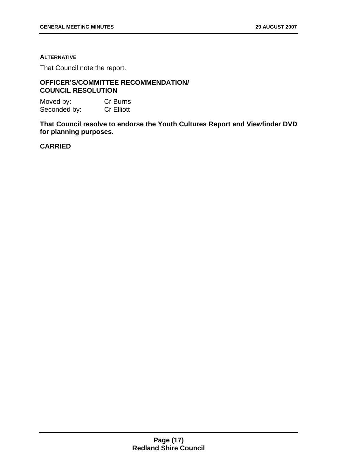#### **ALTERNATIVE**

That Council note the report.

#### **OFFICER'S/COMMITTEE RECOMMENDATION/ COUNCIL RESOLUTION**

Moved by: Cr Burns Seconded by: Cr Elliott

**That Council resolve to endorse the Youth Cultures Report and Viewfinder DVD for planning purposes.** 

#### **CARRIED**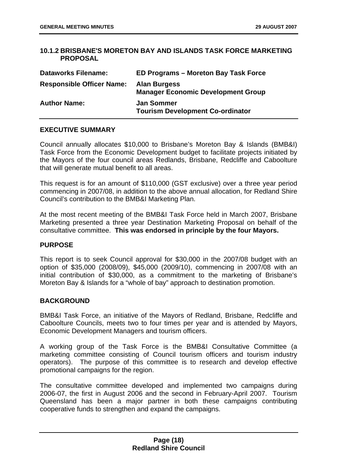#### **10.1.2 BRISBANE'S MORETON BAY AND ISLANDS TASK FORCE MARKETING PROPOSAL**

| <b>Dataworks Filename:</b>       | ED Programs – Moreton Bay Task Force                             |
|----------------------------------|------------------------------------------------------------------|
| <b>Responsible Officer Name:</b> | <b>Alan Burgess</b><br><b>Manager Economic Development Group</b> |
| <b>Author Name:</b>              | <b>Jan Sommer</b><br><b>Tourism Development Co-ordinator</b>     |

#### **EXECUTIVE SUMMARY**

Council annually allocates \$10,000 to Brisbane's Moreton Bay & Islands (BMB&I) Task Force from the Economic Development budget to facilitate projects initiated by the Mayors of the four council areas Redlands, Brisbane, Redcliffe and Caboolture that will generate mutual benefit to all areas.

This request is for an amount of \$110,000 (GST exclusive) over a three year period commencing in 2007/08, in addition to the above annual allocation, for Redland Shire Council's contribution to the BMB&I Marketing Plan.

At the most recent meeting of the BMB&I Task Force held in March 2007, Brisbane Marketing presented a three year Destination Marketing Proposal on behalf of the consultative committee. **This was endorsed in principle by the four Mayors.** 

#### **PURPOSE**

This report is to seek Council approval for \$30,000 in the 2007/08 budget with an option of \$35,000 (2008/09), \$45,000 (2009/10), commencing in 2007/08 with an initial contribution of \$30,000, as a commitment to the marketing of Brisbane's Moreton Bay & Islands for a "whole of bay" approach to destination promotion.

#### **BACKGROUND**

BMB&I Task Force, an initiative of the Mayors of Redland, Brisbane, Redcliffe and Caboolture Councils, meets two to four times per year and is attended by Mayors, Economic Development Managers and tourism officers.

A working group of the Task Force is the BMB&I Consultative Committee (a marketing committee consisting of Council tourism officers and tourism industry operators). The purpose of this committee is to research and develop effective promotional campaigns for the region.

The consultative committee developed and implemented two campaigns during 2006-07, the first in August 2006 and the second in February-April 2007. Tourism Queensland has been a major partner in both these campaigns contributing cooperative funds to strengthen and expand the campaigns.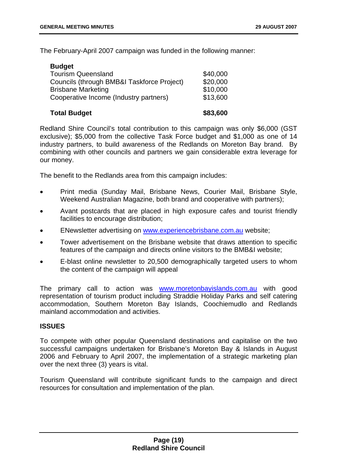<span id="page-19-0"></span>The February-April 2007 campaign was funded in the following manner:

| <b>Budget</b>                              |          |
|--------------------------------------------|----------|
| <b>Tourism Queensland</b>                  | \$40,000 |
| Councils (through BMB&I Taskforce Project) | \$20,000 |
| <b>Brisbane Marketing</b>                  | \$10,000 |
| Cooperative Income (Industry partners)     | \$13,600 |
| <b>Total Budget</b>                        | \$83,600 |

Redland Shire Council's total contribution to this campaign was only \$6,000 (GST exclusive); \$5,000 from the collective Task Force budget and \$1,000 as one of 14 industry partners, to build awareness of the Redlands on Moreton Bay brand. By combining with other councils and partners we gain considerable extra leverage for our money.

The benefit to the Redlands area from this campaign includes:

- Print media (Sunday Mail, Brisbane News, Courier Mail, Brisbane Style, Weekend Australian Magazine, both brand and cooperative with partners);
- Avant postcards that are placed in high exposure cafes and tourist friendly facilities to encourage distribution;
- ENewsletter advertising on [www.experiencebrisbane.com.au](http://www.experiencebrisbane.com.au/) website;
- Tower advertisement on the Brisbane website that draws attention to specific features of the campaign and directs online visitors to the BMB&I website;
- E-blast online newsletter to 20,500 demographically targeted users to whom the content of the campaign will appeal

The primary call to action was [www.moretonbayislands.com.au](http://www.moretonbayislands.com.au/) with good representation of tourism product including Straddie Holiday Parks and self catering accommodation, Southern Moreton Bay Islands, Coochiemudlo and Redlands mainland accommodation and activities.

#### **ISSUES**

To compete with other popular Queensland destinations and capitalise on the two successful campaigns undertaken for Brisbane's Moreton Bay & Islands in August 2006 and February to April 2007, the implementation of a strategic marketing plan over the next three (3) years is vital.

Tourism Queensland will contribute significant funds to the campaign and direct resources for consultation and implementation of the plan.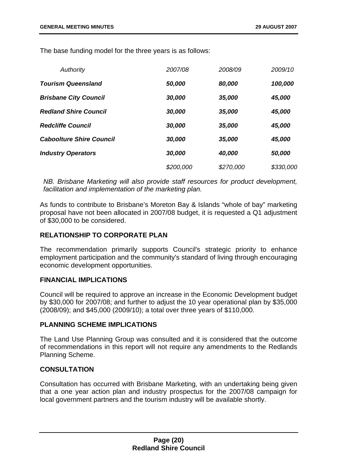The base funding model for the three years is as follows:

| Authority                       | 2007/08   | 2008/09   | 2009/10   |
|---------------------------------|-----------|-----------|-----------|
| <b>Tourism Queensland</b>       | 50,000    | 80,000    | 100,000   |
| <b>Brisbane City Council</b>    | 30,000    | 35,000    | 45,000    |
| <b>Redland Shire Council</b>    | 30,000    | 35,000    | 45,000    |
| <b>Redcliffe Council</b>        | 30,000    | 35,000    | 45,000    |
| <b>Caboolture Shire Council</b> | 30,000    | 35,000    | 45,000    |
| <b>Industry Operators</b>       | 30,000    | 40,000    | 50,000    |
|                                 | \$200,000 | \$270,000 | \$330,000 |

*NB. Brisbane Marketing will also provide staff resources for product development, facilitation and implementation of the marketing plan.* 

As funds to contribute to Brisbane's Moreton Bay & Islands "whole of bay" marketing proposal have not been allocated in 2007/08 budget, it is requested a Q1 adjustment of \$30,000 to be considered.

#### **RELATIONSHIP TO CORPORATE PLAN**

The recommendation primarily supports Council's strategic priority to enhance employment participation and the community's standard of living through encouraging economic development opportunities.

#### **FINANCIAL IMPLICATIONS**

Council will be required to approve an increase in the Economic Development budget by \$30,000 for 2007/08; and further to adjust the 10 year operational plan by \$35,000 (2008/09); and \$45,000 (2009/10); a total over three years of \$110,000.

#### **PLANNING SCHEME IMPLICATIONS**

The Land Use Planning Group was consulted and it is considered that the outcome of recommendations in this report will not require any amendments to the Redlands Planning Scheme.

#### **CONSULTATION**

Consultation has occurred with Brisbane Marketing, with an undertaking being given that a one year action plan and industry prospectus for the 2007/08 campaign for local government partners and the tourism industry will be available shortly.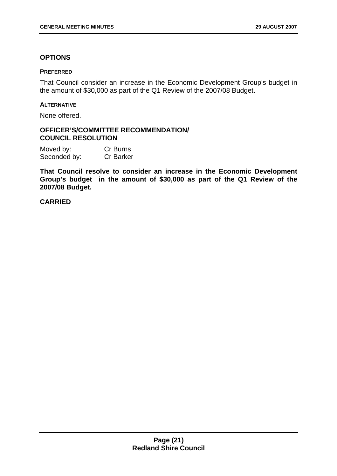#### **OPTIONS**

#### **PREFERRED**

That Council consider an increase in the Economic Development Group's budget in the amount of \$30,000 as part of the Q1 Review of the 2007/08 Budget.

#### **ALTERNATIVE**

None offered.

#### **OFFICER'S/COMMITTEE RECOMMENDATION/ COUNCIL RESOLUTION**

| Moved by:    | Cr Burns         |
|--------------|------------------|
| Seconded by: | <b>Cr Barker</b> |

**That Council resolve to consider an increase in the Economic Development Group's budget in the amount of \$30,000 as part of the Q1 Review of the 2007/08 Budget.** 

#### **CARRIED**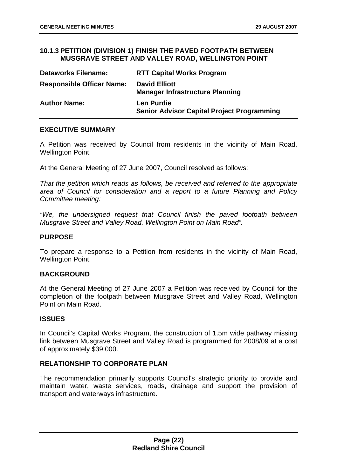#### **10.1.3 PETITION (DIVISION 1) FINISH THE PAVED FOOTPATH BETWEEN MUSGRAVE STREET AND VALLEY ROAD, WELLINGTON POINT**

| <b>Dataworks Filename:</b>       | <b>RTT Capital Works Program</b>                                       |
|----------------------------------|------------------------------------------------------------------------|
| <b>Responsible Officer Name:</b> | <b>David Elliott</b><br><b>Manager Infrastructure Planning</b>         |
| <b>Author Name:</b>              | <b>Len Purdie</b><br><b>Senior Advisor Capital Project Programming</b> |

#### **EXECUTIVE SUMMARY**

A Petition was received by Council from residents in the vicinity of Main Road, Wellington Point.

At the General Meeting of 27 June 2007, Council resolved as follows:

*That the petition which reads as follows, be received and referred to the appropriate area of Council for consideration and a report to a future Planning and Policy Committee meeting:* 

*"We, the undersigned request that Council finish the paved footpath between Musgrave Street and Valley Road, Wellington Point on Main Road".* 

#### **PURPOSE**

To prepare a response to a Petition from residents in the vicinity of Main Road, Wellington Point.

#### **BACKGROUND**

At the General Meeting of 27 June 2007 a Petition was received by Council for the completion of the footpath between Musgrave Street and Valley Road, Wellington Point on Main Road.

#### **ISSUES**

In Council's Capital Works Program, the construction of 1.5m wide pathway missing link between Musgrave Street and Valley Road is programmed for 2008/09 at a cost of approximately \$39,000.

#### **RELATIONSHIP TO CORPORATE PLAN**

The recommendation primarily supports Council's strategic priority to provide and maintain water, waste services, roads, drainage and support the provision of transport and waterways infrastructure.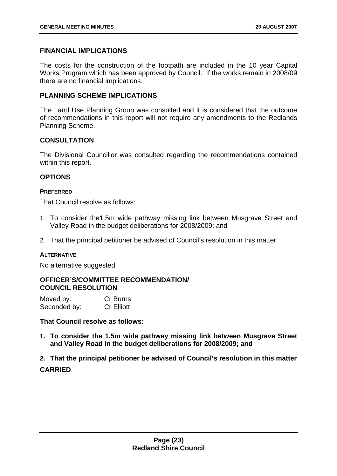#### **FINANCIAL IMPLICATIONS**

The costs for the construction of the footpath are included in the 10 year Capital Works Program which has been approved by Council. If the works remain in 2008/09 there are no financial implications.

#### **PLANNING SCHEME IMPLICATIONS**

The Land Use Planning Group was consulted and it is considered that the outcome of recommendations in this report will not require any amendments to the Redlands Planning Scheme.

#### **CONSULTATION**

The Divisional Councillor was consulted regarding the recommendations contained within this report.

#### **OPTIONS**

#### **PREFERRED**

That Council resolve as follows:

- 1. To consider the1.5m wide pathway missing link between Musgrave Street and Valley Road in the budget deliberations for 2008/2009; and
- 2. That the principal petitioner be advised of Council's resolution in this matter

#### **ALTERNATIVE**

No alternative suggested.

#### **OFFICER'S/COMMITTEE RECOMMENDATION/ COUNCIL RESOLUTION**

| Moved by:    | Cr Burns          |
|--------------|-------------------|
| Seconded by: | <b>Cr Elliott</b> |

#### **That Council resolve as follows:**

**1. To consider the 1.5m wide pathway missing link between Musgrave Street and Valley Road in the budget deliberations for 2008/2009; and** 

**2. That the principal petitioner be advised of Council's resolution in this matter CARRIED**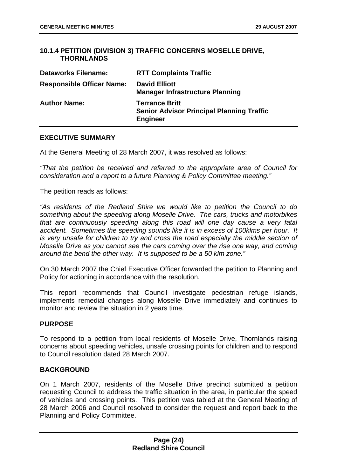#### <span id="page-24-0"></span>**10.1.4 PETITION (DIVISION 3) TRAFFIC CONCERNS MOSELLE DRIVE, THORNLANDS**

| <b>Dataworks Filename:</b>       | <b>RTT Complaints Traffic</b>                                                                |
|----------------------------------|----------------------------------------------------------------------------------------------|
| <b>Responsible Officer Name:</b> | <b>David Elliott</b><br><b>Manager Infrastructure Planning</b>                               |
| <b>Author Name:</b>              | <b>Terrance Britt</b><br><b>Senior Advisor Principal Planning Traffic</b><br><b>Engineer</b> |

#### **EXECUTIVE SUMMARY**

At the General Meeting of 28 March 2007, it was resolved as follows:

*"That the petition be received and referred to the appropriate area of Council for consideration and a report to a future Planning & Policy Committee meeting."* 

The petition reads as follows:

*"As residents of the Redland Shire we would like to petition the Council to do something about the speeding along Moselle Drive. The cars, trucks and motorbikes that are continuously speeding along this road will one day cause a very fatal accident. Sometimes the speeding sounds like it is in excess of 100klms per hour. It is very unsafe for children to try and cross the road especially the middle section of Moselle Drive as you cannot see the cars coming over the rise one way, and coming around the bend the other way. It is supposed to be a 50 klm zone."* 

On 30 March 2007 the Chief Executive Officer forwarded the petition to Planning and Policy for actioning in accordance with the resolution.

This report recommends that Council investigate pedestrian refuge islands, implements remedial changes along Moselle Drive immediately and continues to monitor and review the situation in 2 years time.

#### **PURPOSE**

To respond to a petition from local residents of Moselle Drive, Thornlands raising concerns about speeding vehicles, unsafe crossing points for children and to respond to Council resolution dated 28 March 2007.

#### **BACKGROUND**

On 1 March 2007, residents of the Moselle Drive precinct submitted a petition requesting Council to address the traffic situation in the area, in particular the speed of vehicles and crossing points. This petition was tabled at the General Meeting of 28 March 2006 and Council resolved to consider the request and report back to the Planning and Policy Committee.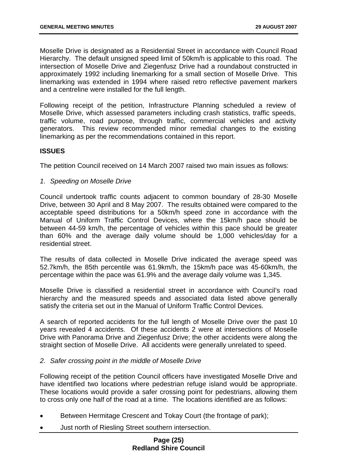Moselle Drive is designated as a Residential Street in accordance with Council Road Hierarchy. The default unsigned speed limit of 50km/h is applicable to this road. The intersection of Moselle Drive and Ziegenfusz Drive had a roundabout constructed in approximately 1992 including linemarking for a small section of Moselle Drive. This linemarking was extended in 1994 where raised retro reflective pavement markers and a centreline were installed for the full length.

Following receipt of the petition, Infrastructure Planning scheduled a review of Moselle Drive, which assessed parameters including crash statistics, traffic speeds, traffic volume, road purpose, through traffic, commercial vehicles and activity generators. This review recommended minor remedial changes to the existing linemarking as per the recommendations contained in this report.

#### **ISSUES**

The petition Council received on 14 March 2007 raised two main issues as follows:

#### *1. Speeding on Moselle Drive*

Council undertook traffic counts adjacent to common boundary of 28-30 Moselle Drive, between 30 April and 8 May 2007. The results obtained were compared to the acceptable speed distributions for a 50km/h speed zone in accordance with the Manual of Uniform Traffic Control Devices, where the 15km/h pace should be between 44-59 km/h, the percentage of vehicles within this pace should be greater than 60% and the average daily volume should be 1,000 vehicles/day for a residential street.

The results of data collected in Moselle Drive indicated the average speed was 52.7km/h, the 85th percentile was 61.9km/h, the 15km/h pace was 45-60km/h, the percentage within the pace was 61.9% and the average daily volume was 1,345.

Moselle Drive is classified a residential street in accordance with Council's road hierarchy and the measured speeds and associated data listed above generally satisfy the criteria set out in the Manual of Uniform Traffic Control Devices.

A search of reported accidents for the full length of Moselle Drive over the past 10 years revealed 4 accidents. Of these accidents 2 were at intersections of Moselle Drive with Panorama Drive and Ziegenfusz Drive; the other accidents were along the straight section of Moselle Drive. All accidents were generally unrelated to speed.

#### *2. Safer crossing point in the middle of Moselle Drive*

Following receipt of the petition Council officers have investigated Moselle Drive and have identified two locations where pedestrian refuge island would be appropriate. These locations would provide a safer crossing point for pedestrians, allowing them to cross only one half of the road at a time. The locations identified are as follows:

- Between Hermitage Crescent and Tokay Court (the frontage of park);
- Just north of Riesling Street southern intersection.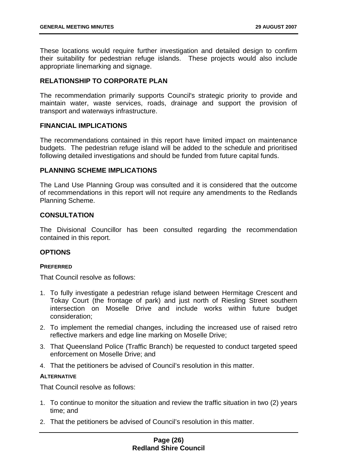<span id="page-26-0"></span>These locations would require further investigation and detailed design to confirm their suitability for pedestrian refuge islands. These projects would also include appropriate linemarking and signage.

#### **RELATIONSHIP TO CORPORATE PLAN**

The recommendation primarily supports Council's strategic priority to provide and maintain water, waste services, roads, drainage and support the provision of transport and waterways infrastructure.

#### **FINANCIAL IMPLICATIONS**

The recommendations contained in this report have limited impact on maintenance budgets. The pedestrian refuge island will be added to the schedule and prioritised following detailed investigations and should be funded from future capital funds.

#### **PLANNING SCHEME IMPLICATIONS**

The Land Use Planning Group was consulted and it is considered that the outcome of recommendations in this report will not require any amendments to the Redlands Planning Scheme.

#### **CONSULTATION**

The Divisional Councillor has been consulted regarding the recommendation contained in this report.

#### **OPTIONS**

#### **PREFERRED**

That Council resolve as follows:

- 1. To fully investigate a pedestrian refuge island between Hermitage Crescent and Tokay Court (the frontage of park) and just north of Riesling Street southern intersection on Moselle Drive and include works within future budget consideration;
- 2. To implement the remedial changes, including the increased use of raised retro reflective markers and edge line marking on Moselle Drive;
- 3. That Queensland Police (Traffic Branch) be requested to conduct targeted speed enforcement on Moselle Drive; and
- 4. That the petitioners be advised of Council's resolution in this matter.

#### **ALTERNATIVE**

That Council resolve as follows:

- 1. To continue to monitor the situation and review the traffic situation in two (2) years time; and
- 2. That the petitioners be advised of Council's resolution in this matter.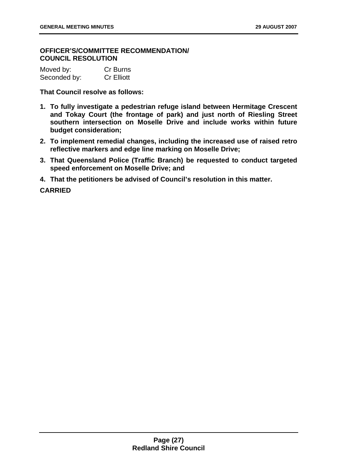#### **OFFICER'S/COMMITTEE RECOMMENDATION/ COUNCIL RESOLUTION**

| Moved by:    | Cr Burns          |
|--------------|-------------------|
| Seconded by: | <b>Cr Elliott</b> |

**That Council resolve as follows:** 

- **1. To fully investigate a pedestrian refuge island between Hermitage Crescent and Tokay Court (the frontage of park) and just north of Riesling Street southern intersection on Moselle Drive and include works within future budget consideration;**
- **2. To implement remedial changes, including the increased use of raised retro reflective markers and edge line marking on Moselle Drive;**
- **3. That Queensland Police (Traffic Branch) be requested to conduct targeted speed enforcement on Moselle Drive; and**
- **4. That the petitioners be advised of Council's resolution in this matter.**

**CARRIED**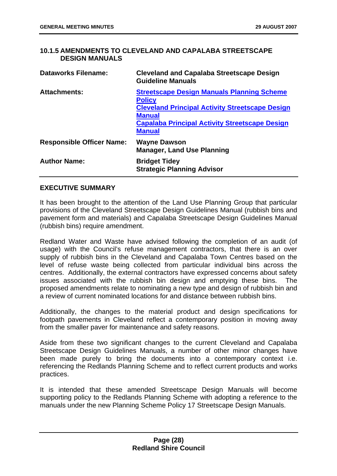#### **10.1.5 AMENDMENTS TO CLEVELAND AND CAPALABA STREETSCAPE DESIGN MANUALS**

| <b>Dataworks Filename:</b>       | <b>Cleveland and Capalaba Streetscape Design</b><br><b>Guideline Manuals</b>                                                                                                                                            |
|----------------------------------|-------------------------------------------------------------------------------------------------------------------------------------------------------------------------------------------------------------------------|
| <b>Attachments:</b>              | <b>Streetscape Design Manuals Planning Scheme</b><br><b>Policy</b><br><b>Cleveland Principal Activity Streetscape Design</b><br><b>Manual</b><br><b>Capalaba Principal Activity Streetscape Design</b><br><b>Manual</b> |
| <b>Responsible Officer Name:</b> | <b>Wayne Dawson</b><br><b>Manager, Land Use Planning</b>                                                                                                                                                                |
| <b>Author Name:</b>              | <b>Bridget Tidey</b><br><b>Strategic Planning Advisor</b>                                                                                                                                                               |

#### **EXECUTIVE SUMMARY**

It has been brought to the attention of the Land Use Planning Group that particular provisions of the Cleveland Streetscape Design Guidelines Manual (rubbish bins and pavement form and materials) and Capalaba Streetscape Design Guidelines Manual (rubbish bins) require amendment.

Redland Water and Waste have advised following the completion of an audit (of usage) with the Council's refuse management contractors, that there is an over supply of rubbish bins in the Cleveland and Capalaba Town Centres based on the level of refuse waste being collected from particular individual bins across the centres. Additionally, the external contractors have expressed concerns about safety issues associated with the rubbish bin design and emptying these bins. The proposed amendments relate to nominating a new type and design of rubbish bin and a review of current nominated locations for and distance between rubbish bins.

Additionally, the changes to the material product and design specifications for footpath pavements in Cleveland reflect a contemporary position in moving away from the smaller paver for maintenance and safety reasons.

Aside from these two significant changes to the current Cleveland and Capalaba Streetscape Design Guidelines Manuals, a number of other minor changes have been made purely to bring the documents into a contemporary context i.e. referencing the Redlands Planning Scheme and to reflect current products and works practices.

It is intended that these amended Streetscape Design Manuals will become supporting policy to the Redlands Planning Scheme with adopting a reference to the manuals under the new Planning Scheme Policy 17 Streetscape Design Manuals.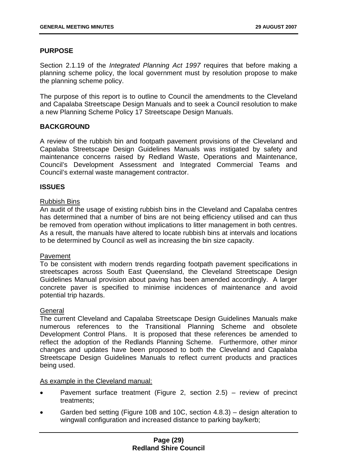#### **PURPOSE**

Section 2.1.19 of the *Integrated Planning Act 1997* requires that before making a planning scheme policy, the local government must by resolution propose to make the planning scheme policy.

The purpose of this report is to outline to Council the amendments to the Cleveland and Capalaba Streetscape Design Manuals and to seek a Council resolution to make a new Planning Scheme Policy 17 Streetscape Design Manuals.

#### **BACKGROUND**

A review of the rubbish bin and footpath pavement provisions of the Cleveland and Capalaba Streetscape Design Guidelines Manuals was instigated by safety and maintenance concerns raised by Redland Waste, Operations and Maintenance, Council's Development Assessment and Integrated Commercial Teams and Council's external waste management contractor.

#### **ISSUES**

#### Rubbish Bins

An audit of the usage of existing rubbish bins in the Cleveland and Capalaba centres has determined that a number of bins are not being efficiency utilised and can thus be removed from operation without implications to litter management in both centres. As a result, the manuals have altered to locate rubbish bins at intervals and locations to be determined by Council as well as increasing the bin size capacity.

#### Pavement

To be consistent with modern trends regarding footpath pavement specifications in streetscapes across South East Queensland, the Cleveland Streetscape Design Guidelines Manual provision about paving has been amended accordingly. A larger concrete paver is specified to minimise incidences of maintenance and avoid potential trip hazards.

#### **General**

The current Cleveland and Capalaba Streetscape Design Guidelines Manuals make numerous references to the Transitional Planning Scheme and obsolete Development Control Plans. It is proposed that these references be amended to reflect the adoption of the Redlands Planning Scheme. Furthermore, other minor changes and updates have been proposed to both the Cleveland and Capalaba Streetscape Design Guidelines Manuals to reflect current products and practices being used.

#### As example in the Cleveland manual:

- Pavement surface treatment (Figure 2, section 2.5) – review of precinct treatments;
- Garden bed setting (Figure 10B and 10C, section 4.8.3) – design alteration to wingwall configuration and increased distance to parking bay/kerb;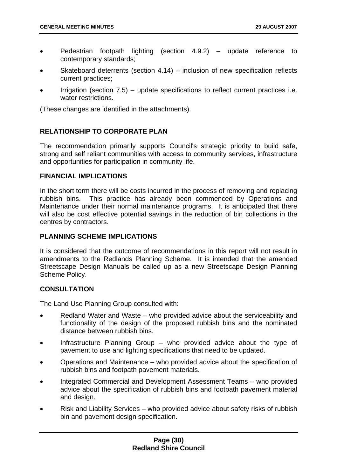- <span id="page-30-0"></span>• Pedestrian footpath lighting (section 4.9.2) – update reference to contemporary standards;
- Skateboard deterrents (section 4.14) – inclusion of new specification reflects current practices;
- Irrigation (section 7.5) – update specifications to reflect current practices i.e. water restrictions.

(These changes are identified in the attachments).

#### **RELATIONSHIP TO CORPORATE PLAN**

The recommendation primarily supports Council's strategic priority to build safe, strong and self reliant communities with access to community services, infrastructure and opportunities for participation in community life.

#### **FINANCIAL IMPLICATIONS**

In the short term there will be costs incurred in the process of removing and replacing rubbish bins. This practice has already been commenced by Operations and Maintenance under their normal maintenance programs. It is anticipated that there will also be cost effective potential savings in the reduction of bin collections in the centres by contractors.

#### **PLANNING SCHEME IMPLICATIONS**

It is considered that the outcome of recommendations in this report will not result in amendments to the Redlands Planning Scheme. It is intended that the amended Streetscape Design Manuals be called up as a new Streetscape Design Planning Scheme Policy.

#### **CONSULTATION**

The Land Use Planning Group consulted with:

- Redland Water and Waste – who provided advice about the serviceability and functionality of the design of the proposed rubbish bins and the nominated distance between rubbish bins.
- Infrastructure Planning Group – who provided advice about the type of pavement to use and lighting specifications that need to be updated.
- Operations and Maintenance – who provided advice about the specification of rubbish bins and footpath pavement materials.
- Integrated Commercial and Development Assessment Teams – who provided advice about the specification of rubbish bins and footpath pavement material and design.
- Risk and Liability Services – who provided advice about safety risks of rubbish bin and pavement design specification.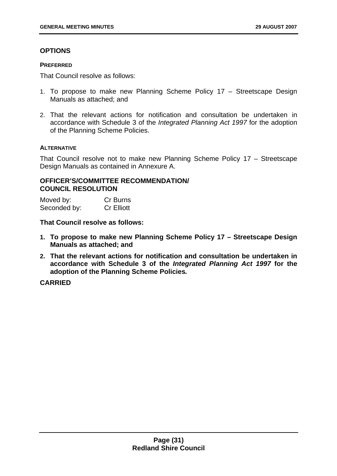#### **OPTIONS**

#### **PREFERRED**

That Council resolve as follows:

- 1. To propose to make new Planning Scheme Policy 17 Streetscape Design Manuals as attached; and
- 2. That the relevant actions for notification and consultation be undertaken in accordance with Schedule 3 of the *Integrated Planning Act 1997* for the adoption of the Planning Scheme Policies.

#### **ALTERNATIVE**

That Council resolve not to make new Planning Scheme Policy 17 – Streetscape Design Manuals as contained in Annexure A.

#### **OFFICER'S/COMMITTEE RECOMMENDATION/ COUNCIL RESOLUTION**

Moved by: Cr Burns Seconded by: Cr Elliott

**That Council resolve as follows:** 

- **1. To propose to make new Planning Scheme Policy 17 Streetscape Design Manuals as attached; and**
- **2. That the relevant actions for notification and consultation be undertaken in accordance with Schedule 3 of the** *Integrated Planning Act 1997* **for the adoption of the Planning Scheme Policies***.*

**CARRIED**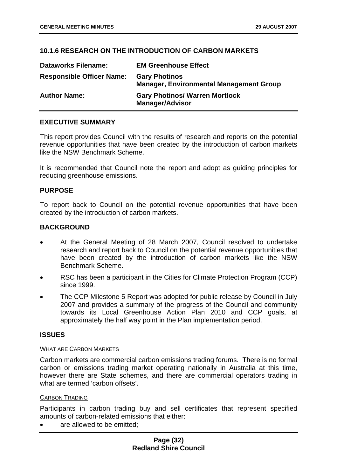#### **10.1.6 RESEARCH ON THE INTRODUCTION OF CARBON MARKETS**

| <b>Dataworks Filename:</b>       | <b>EM Greenhouse Effect</b>                                            |
|----------------------------------|------------------------------------------------------------------------|
| <b>Responsible Officer Name:</b> | <b>Gary Photinos</b><br><b>Manager, Environmental Management Group</b> |
| <b>Author Name:</b>              | <b>Gary Photinos/ Warren Mortlock</b><br><b>Manager/Advisor</b>        |

#### **EXECUTIVE SUMMARY**

This report provides Council with the results of research and reports on the potential revenue opportunities that have been created by the introduction of carbon markets like the NSW Benchmark Scheme.

It is recommended that Council note the report and adopt as guiding principles for reducing greenhouse emissions.

#### **PURPOSE**

To report back to Council on the potential revenue opportunities that have been created by the introduction of carbon markets.

#### **BACKGROUND**

- At the General Meeting of 28 March 2007, Council resolved to undertake research and report back to Council on the potential revenue opportunities that have been created by the introduction of carbon markets like the NSW Benchmark Scheme.
- RSC has been a participant in the Cities for Climate Protection Program (CCP) since 1999.
- The CCP Milestone 5 Report was adopted for public release by Council in July 2007 and provides a summary of the progress of the Council and community towards its Local Greenhouse Action Plan 2010 and CCP goals, at approximately the half way point in the Plan implementation period.

#### **ISSUES**

#### WHAT ARE CARBON MARKETS

Carbon markets are commercial carbon emissions trading forums. There is no formal carbon or emissions trading market operating nationally in Australia at this time, however there are State schemes, and there are commercial operators trading in what are termed 'carbon offsets'.

#### CARBON TRADING

Participants in carbon trading buy and sell certificates that represent specified amounts of carbon-related emissions that either:

are allowed to be emitted;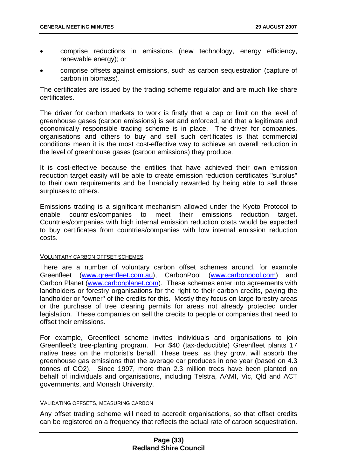- comprise reductions in emissions (new technology, energy efficiency, renewable energy); or
- comprise offsets against emissions, such as carbon sequestration (capture of carbon in biomass).

The certificates are issued by the trading scheme regulator and are much like share certificates.

The driver for carbon markets to work is firstly that a cap or limit on the level of greenhouse gases (carbon emissions) is set and enforced, and that a legitimate and economically responsible trading scheme is in place. The driver for companies, organisations and others to buy and sell such certificates is that commercial conditions mean it is the most cost-effective way to achieve an overall reduction in the level of greenhouse gases (carbon emissions) they produce.

It is cost-effective because the entities that have achieved their own emission reduction target easily will be able to create emission reduction certificates "surplus" to their own requirements and be financially rewarded by being able to sell those surpluses to others.

Emissions trading is a significant mechanism allowed under the Kyoto Protocol to enable countries/companies to meet their emissions reduction target. Countries/companies with high internal emission reduction costs would be expected to buy certificates from countries/companies with low internal emission reduction costs.

#### VOLUNTARY CARBON OFFSET SCHEMES

There are a number of voluntary carbon offset schemes around, for example Greenfleet [\(www.greenfleet.com.au\)](http://www.greenfleet.com.au/), CarbonPool (www.carbonpool.com) and Carbon Planet (www.carbonplanet.com). These schemes enter into agreements with landholders or forestry organisations for the right to their carbon credits, paying the landholder or "owner" of the credits for this. Mostly they focus on large forestry areas or the purchase of tree clearing permits for areas not already protected under legislation. These companies on sell the credits to people or companies that need to offset their emissions.

For example, Greenfleet scheme invites individuals and organisations to join Greenfleet's tree-planting program. For \$40 (tax-deductible) Greenfleet plants 17 native trees on the motorist's behalf. These trees, as they grow, will absorb the greenhouse gas emissions that the average car produces in one year (based on 4.3 tonnes of CO2). Since 1997, more than 2.3 million trees have been planted on behalf of individuals and organisations, including Telstra, AAMI, Vic, Qld and ACT governments, and Monash University.

#### VALIDATING OFFSETS, MEASURING CARBON

Any offset trading scheme will need to accredit organisations, so that offset credits can be registered on a frequency that reflects the actual rate of carbon sequestration.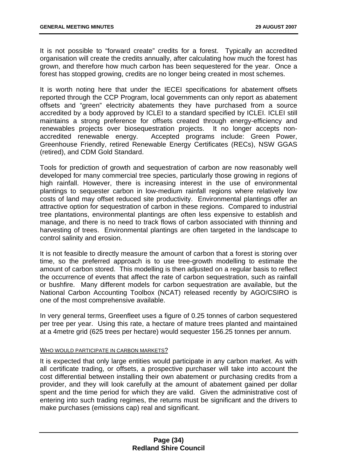<span id="page-34-0"></span>It is not possible to "forward create" credits for a forest. Typically an accredited organisation will create the credits annually, after calculating how much the forest has grown, and therefore how much carbon has been sequestered for the year. Once a forest has stopped growing, credits are no longer being created in most schemes.

It is worth noting here that under the IECEI specifications for abatement offsets reported through the CCP Program, local governments can only report as abatement offsets and "green" electricity abatements they have purchased from a source accredited by a body approved by ICLEI to a standard specified by ICLEI. ICLEI still maintains a strong preference for offsets created through energy-efficiency and renewables projects over biosequestration projects. It no longer accepts nonaccredited renewable energy. Accepted programs include: Green Power, Greenhouse Friendly, retired Renewable Energy Certificates (RECs), NSW GGAS (retired), and CDM Gold Standard.

Tools for prediction of growth and sequestration of carbon are now reasonably well developed for many commercial tree species, particularly those growing in regions of high rainfall. However, there is increasing interest in the use of environmental plantings to sequester carbon in low-medium rainfall regions where relatively low costs of land may offset reduced site productivity. Environmental plantings offer an attractive option for sequestration of carbon in these regions. Compared to industrial tree plantations, environmental plantings are often less expensive to establish and manage, and there is no need to track flows of carbon associated with thinning and harvesting of trees. Environmental plantings are often targeted in the landscape to control salinity and erosion.

It is not feasible to directly measure the amount of carbon that a forest is storing over time, so the preferred approach is to use tree-growth modelling to estimate the amount of carbon stored. This modelling is then adjusted on a regular basis to reflect the occurrence of events that affect the rate of carbon sequestration, such as rainfall or bushfire. Many different models for carbon sequestration are available, but the National Carbon Accounting Toolbox (NCAT) released recently by AGO/CSIRO is one of the most comprehensive available.

In very general terms, Greenfleet uses a figure of 0.25 tonnes of carbon sequestered per tree per year. Using this rate, a hectare of mature trees planted and maintained at a 4metre grid (625 trees per hectare) would sequester 156.25 tonnes per annum.

#### WHO WOULD PARTICIPATE IN CARBON MARKETS?

It is expected that only large entities would participate in any carbon market. As with all certificate trading, or offsets, a prospective purchaser will take into account the cost differential between installing their own abatement or purchasing credits from a provider, and they will look carefully at the amount of abatement gained per dollar spent and the time period for which they are valid. Given the administrative cost of entering into such trading regimes, the returns must be significant and the drivers to make purchases (emissions cap) real and significant.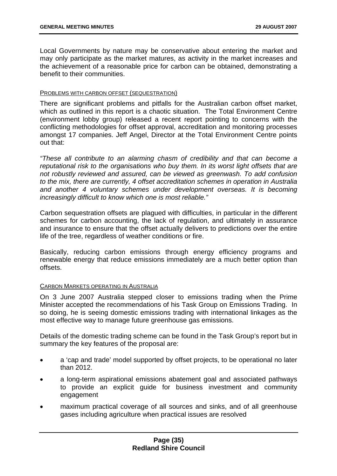Local Governments by nature may be conservative about entering the market and may only participate as the market matures, as activity in the market increases and the achievement of a reasonable price for carbon can be obtained, demonstrating a benefit to their communities.

#### PROBLEMS WITH CARBON OFFSET (SEQUESTRATION)

There are significant problems and pitfalls for the Australian carbon offset market, which as outlined in this report is a chaotic situation. The Total Environment Centre (environment lobby group) released a recent report pointing to concerns with the conflicting methodologies for offset approval, accreditation and monitoring processes amongst 17 companies. Jeff Angel, Director at the Total Environment Centre points out that:

*"These all contribute to an alarming chasm of credibility and that can become a reputational risk to the organisations who buy them. In its worst light offsets that are not robustly reviewed and assured, can be viewed as greenwash. To add confusion to the mix, there are currently, 4 offset accreditation schemes in operation in Australia and another 4 voluntary schemes under development overseas. It is becoming increasingly difficult to know which one is most reliable."* 

Carbon sequestration offsets are plagued with difficulties, in particular in the different schemes for carbon accounting, the lack of regulation, and ultimately in assurance and insurance to ensure that the offset actually delivers to predictions over the entire life of the tree, regardless of weather conditions or fire.

Basically, reducing carbon emissions through energy efficiency programs and renewable energy that reduce emissions immediately are a much better option than offsets.

#### CARBON MARKETS OPERATING IN AUSTRALIA

On 3 June 2007 Australia stepped closer to emissions trading when the Prime Minister accepted the recommendations of his Task Group on Emissions Trading. In so doing, he is seeing domestic emissions trading with international linkages as the most effective way to manage future greenhouse gas emissions.

Details of the domestic trading scheme can be found in the Task Group's report but in summary the key features of the proposal are:

- a 'cap and trade' model supported by offset projects, to be operational no later than 2012.
- a long-term aspirational emissions abatement goal and associated pathways to provide an explicit guide for business investment and community engagement
- maximum practical coverage of all sources and sinks, and of all greenhouse gases including agriculture when practical issues are resolved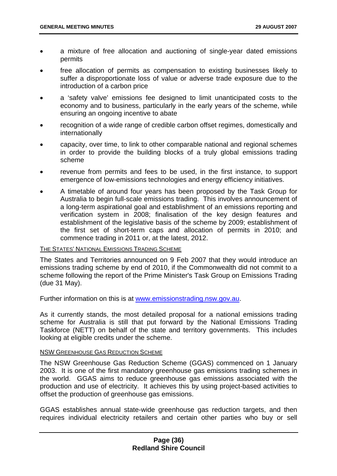- a mixture of free allocation and auctioning of single-year dated emissions permits
- free allocation of permits as compensation to existing businesses likely to suffer a disproportionate loss of value or adverse trade exposure due to the introduction of a carbon price
- a 'safety valve' emissions fee designed to limit unanticipated costs to the economy and to business, particularly in the early years of the scheme, while ensuring an ongoing incentive to abate
- recognition of a wide range of credible carbon offset regimes, domestically and internationally
- capacity, over time, to link to other comparable national and regional schemes in order to provide the building blocks of a truly global emissions trading scheme
- revenue from permits and fees to be used, in the first instance, to support emergence of low-emissions technologies and energy efficiency initiatives.
- A timetable of around four years has been proposed by the Task Group for Australia to begin full-scale emissions trading. This involves announcement of a long-term aspirational goal and establishment of an emissions reporting and verification system in 2008; finalisation of the key design features and establishment of the legislative basis of the scheme by 2009; establishment of the first set of short-term caps and allocation of permits in 2010; and commence trading in 2011 or, at the latest, 2012.

#### THE STATES' NATIONAL EMISSIONS TRADING SCHEME

The States and Territories announced on 9 Feb 2007 that they would introduce an emissions trading scheme by end of 2010, if the Commonwealth did not commit to a scheme following the report of the Prime Minister's Task Group on Emissions Trading (due 31 May).

Further information on this is at www.emissionstrading.nsw.gov.au.

As it currently stands, the most detailed proposal for a national emissions trading scheme for Australia is still that put forward by the National Emissions Trading Taskforce (NETT) on behalf of the state and territory governments. This includes looking at eligible credits under the scheme.

#### NSW GREENHOUSE GAS REDUCTION SCHEME

The NSW Greenhouse Gas Reduction Scheme (GGAS) commenced on 1 January 2003. It is one of the first mandatory greenhouse gas emissions trading schemes in the world. GGAS aims to reduce greenhouse gas emissions associated with the production and use of electricity. It achieves this by using project-based activities to offset the production of greenhouse gas emissions.

GGAS establishes annual state-wide greenhouse gas reduction targets, and then requires individual electricity retailers and certain other parties who buy or sell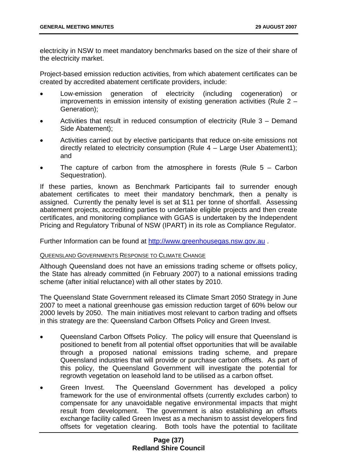electricity in NSW to meet mandatory benchmarks based on the size of their share of the electricity market.

Project-based emission reduction activities, from which abatement certificates can be created by accredited abatement certificate providers, include:

- Low-emission generation of electricity (including cogeneration) or improvements in emission intensity of existing generation activities (Rule 2 – Generation);
- Activities that result in reduced consumption of electricity (Rule 3 – Demand Side Abatement);
- Activities carried out by elective participants that reduce on-site emissions not directly related to electricity consumption (Rule 4 – Large User Abatement1); and
- The capture of carbon from the atmosphere in forests (Rule  $5 -$  Carbon Sequestration).

If these parties, known as Benchmark Participants fail to surrender enough abatement certificates to meet their mandatory benchmark, then a penalty is assigned. Currently the penalty level is set at \$11 per tonne of shortfall. Assessing abatement projects, accrediting parties to undertake eligible projects and then create certificates, and monitoring compliance with GGAS is undertaken by the Independent Pricing and Regulatory Tribunal of NSW (IPART) in its role as Compliance Regulator.

Further Information can be found at [http://www.greenhousegas.nsw.gov.au](http://www.greenhousegas.nsw.gov.au/) .

### QUEENSLAND GOVERNMENTS RESPONSE TO CLIMATE CHANGE

Although Queensland does not have an emissions trading scheme or offsets policy, the State has already committed (in February 2007) to a national emissions trading scheme (after initial reluctance) with all other states by 2010.

The Queensland State Government released its Climate Smart 2050 Strategy in June 2007 to meet a national greenhouse gas emission reduction target of 60% below our 2000 levels by 2050. The main initiatives most relevant to carbon trading and offsets in this strategy are the: Queensland Carbon Offsets Policy and Green Invest.

- Queensland Carbon Offsets Policy. The policy will ensure that Queensland is positioned to benefit from all potential offset opportunities that will be available through a proposed national emissions trading scheme, and prepare Queensland industries that will provide or purchase carbon offsets. As part of this policy, the Queensland Government will investigate the potential for regrowth vegetation on leasehold land to be utilised as a carbon offset.
- Green Invest. The Queensland Government has developed a policy framework for the use of environmental offsets (currently excludes carbon) to compensate for any unavoidable negative environmental impacts that might result from development. The government is also establishing an offsets exchange facility called Green Invest as a mechanism to assist developers find offsets for vegetation clearing. Both tools have the potential to facilitate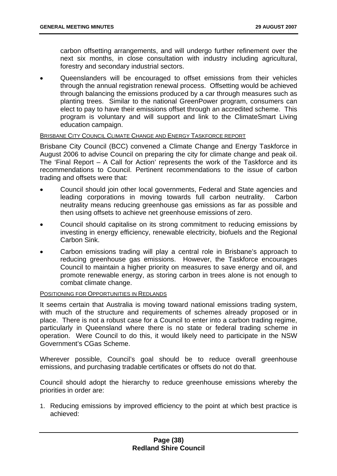carbon offsetting arrangements, and will undergo further refinement over the next six months, in close consultation with industry including agricultural, forestry and secondary industrial sectors.

• Queenslanders will be encouraged to offset emissions from their vehicles through the annual registration renewal process. Offsetting would be achieved through balancing the emissions produced by a car through measures such as planting trees. Similar to the national GreenPower program, consumers can elect to pay to have their emissions offset through an accredited scheme. This program is voluntary and will support and link to the ClimateSmart Living education campaign.

## BRISBANE CITY COUNCIL CLIMATE CHANGE AND ENERGY TASKFORCE REPORT

Brisbane City Council (BCC) convened a Climate Change and Energy Taskforce in August 2006 to advise Council on preparing the city for climate change and peak oil. The 'Final Report – A Call for Action' represents the work of the Taskforce and its recommendations to Council. Pertinent recommendations to the issue of carbon trading and offsets were that:

- Council should join other local governments, Federal and State agencies and leading corporations in moving towards full carbon neutrality. Carbon neutrality means reducing greenhouse gas emissions as far as possible and then using offsets to achieve net greenhouse emissions of zero.
- Council should capitalise on its strong commitment to reducing emissions by investing in energy efficiency, renewable electricity, biofuels and the Regional Carbon Sink.
- Carbon emissions trading will play a central role in Brisbane's approach to reducing greenhouse gas emissions. However, the Taskforce encourages Council to maintain a higher priority on measures to save energy and oil, and promote renewable energy, as storing carbon in trees alone is not enough to combat climate change.

#### POSITIONING FOR OPPORTUNITIES IN REDLANDS

It seems certain that Australia is moving toward national emissions trading system, with much of the structure and requirements of schemes already proposed or in place. There is not a robust case for a Council to enter into a carbon trading regime, particularly in Queensland where there is no state or federal trading scheme in operation. Were Council to do this, it would likely need to participate in the NSW Government's CGas Scheme.

Wherever possible, Council's goal should be to reduce overall greenhouse emissions, and purchasing tradable certificates or offsets do not do that.

Council should adopt the hierarchy to reduce greenhouse emissions whereby the priorities in order are:

1. Reducing emissions by improved efficiency to the point at which best practice is achieved: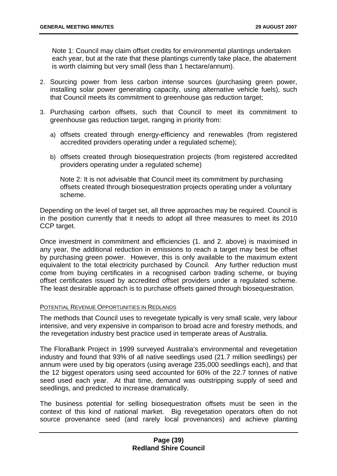Note 1: Council may claim offset credits for environmental plantings undertaken each year, but at the rate that these plantings currently take place, the abatement is worth claiming but very small (less than 1 hectare/annum).

- 2. Sourcing power from less carbon intense sources (purchasing green power, installing solar power generating capacity, using alternative vehicle fuels), such that Council meets its commitment to greenhouse gas reduction target;
- 3. Purchasing carbon offsets, such that Council to meet its commitment to greenhouse gas reduction target, ranging in priority from:
	- a) offsets created through energy-efficiency and renewables (from registered accredited providers operating under a regulated scheme);
	- b) offsets created through biosequestration projects (from registered accredited providers operating under a regulated scheme)

Note 2: It is not advisable that Council meet its commitment by purchasing offsets created through biosequestration projects operating under a voluntary scheme.

Depending on the level of target set, all three approaches may be required. Council is in the position currently that it needs to adopt all three measures to meet its 2010 CCP target.

Once investment in commitment and efficiencies (1. and 2. above) is maximised in any year, the additional reduction in emissions to reach a target may best be offset by purchasing green power. However, this is only available to the maximum extent equivalent to the total electricity purchased by Council. Any further reduction must come from buying certificates in a recognised carbon trading scheme, or buying offset certificates issued by accredited offset providers under a regulated scheme. The least desirable approach is to purchase offsets gained through biosequestration.

# POTENTIAL REVENUE OPPORTUNITIES IN REDLANDS

The methods that Council uses to revegetate typically is very small scale, very labour intensive, and very expensive in comparison to broad acre and forestry methods, and the revegetation industry best practice used in temperate areas of Australia.

The FloraBank Project in 1999 surveyed Australia's environmental and revegetation industry and found that 93% of all native seedlings used (21.7 million seedlings) per annum were used by big operators (using average 235,000 seedlings each), and that the 12 biggest operators using seed accounted for 60% of the 22.7 tonnes of native seed used each year. At that time, demand was outstripping supply of seed and seedlings, and predicted to increase dramatically.

The business potential for selling biosequestration offsets must be seen in the context of this kind of national market. Big revegetation operators often do not source provenance seed (and rarely local provenances) and achieve planting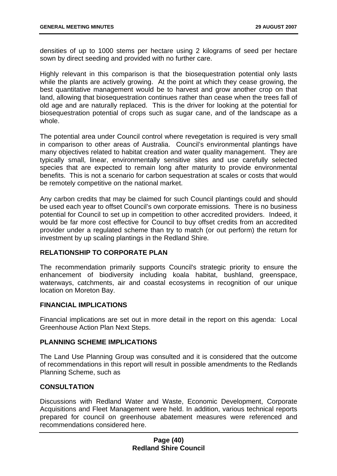densities of up to 1000 stems per hectare using 2 kilograms of seed per hectare sown by direct seeding and provided with no further care.

Highly relevant in this comparison is that the biosequestration potential only lasts while the plants are actively growing. At the point at which they cease growing, the best quantitative management would be to harvest and grow another crop on that land, allowing that biosequestration continues rather than cease when the trees fall of old age and are naturally replaced. This is the driver for looking at the potential for biosequestration potential of crops such as sugar cane, and of the landscape as a whole.

The potential area under Council control where revegetation is required is very small in comparison to other areas of Australia. Council's environmental plantings have many objectives related to habitat creation and water quality management. They are typically small, linear, environmentally sensitive sites and use carefully selected species that are expected to remain long after maturity to provide environmental benefits. This is not a scenario for carbon sequestration at scales or costs that would be remotely competitive on the national market.

Any carbon credits that may be claimed for such Council plantings could and should be used each year to offset Council's own corporate emissions. There is no business potential for Council to set up in competition to other accredited providers. Indeed, it would be far more cost effective for Council to buy offset credits from an accredited provider under a regulated scheme than try to match (or out perform) the return for investment by up scaling plantings in the Redland Shire.

# **RELATIONSHIP TO CORPORATE PLAN**

The recommendation primarily supports Council's strategic priority to ensure the enhancement of biodiversity including koala habitat, bushland, greenspace, waterways, catchments, air and coastal ecosystems in recognition of our unique location on Moreton Bay.

### **FINANCIAL IMPLICATIONS**

Financial implications are set out in more detail in the report on this agenda: Local Greenhouse Action Plan Next Steps.

### **PLANNING SCHEME IMPLICATIONS**

The Land Use Planning Group was consulted and it is considered that the outcome of recommendations in this report will result in possible amendments to the Redlands Planning Scheme, such as

# **CONSULTATION**

Discussions with Redland Water and Waste, Economic Development, Corporate Acquisitions and Fleet Management were held. In addition, various technical reports prepared for council on greenhouse abatement measures were referenced and recommendations considered here.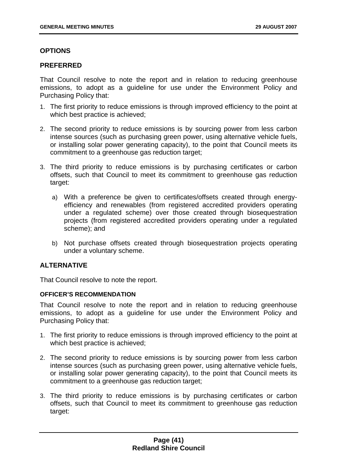# **OPTIONS**

### **PREFERRED**

That Council resolve to note the report and in relation to reducing greenhouse emissions, to adopt as a guideline for use under the Environment Policy and Purchasing Policy that:

- 1. The first priority to reduce emissions is through improved efficiency to the point at which best practice is achieved;
- 2. The second priority to reduce emissions is by sourcing power from less carbon intense sources (such as purchasing green power, using alternative vehicle fuels, or installing solar power generating capacity), to the point that Council meets its commitment to a greenhouse gas reduction target;
- 3. The third priority to reduce emissions is by purchasing certificates or carbon offsets, such that Council to meet its commitment to greenhouse gas reduction target:
	- a) With a preference be given to certificates/offsets created through energyefficiency and renewables (from registered accredited providers operating under a regulated scheme) over those created through biosequestration projects (from registered accredited providers operating under a regulated scheme); and
	- b) Not purchase offsets created through biosequestration projects operating under a voluntary scheme.

### **ALTERNATIVE**

That Council resolve to note the report.

### **OFFICER'S RECOMMENDATION**

That Council resolve to note the report and in relation to reducing greenhouse emissions, to adopt as a guideline for use under the Environment Policy and Purchasing Policy that:

- 1. The first priority to reduce emissions is through improved efficiency to the point at which best practice is achieved;
- 2. The second priority to reduce emissions is by sourcing power from less carbon intense sources (such as purchasing green power, using alternative vehicle fuels, or installing solar power generating capacity), to the point that Council meets its commitment to a greenhouse gas reduction target;
- 3. The third priority to reduce emissions is by purchasing certificates or carbon offsets, such that Council to meet its commitment to greenhouse gas reduction target: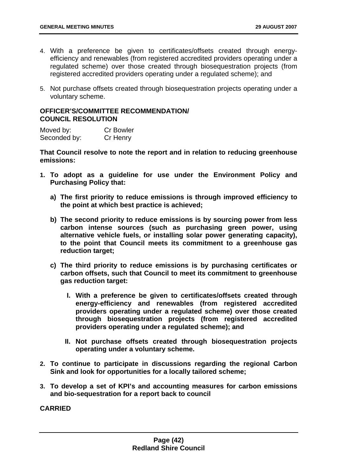- 4. With a preference be given to certificates/offsets created through energyefficiency and renewables (from registered accredited providers operating under a regulated scheme) over those created through biosequestration projects (from registered accredited providers operating under a regulated scheme); and
- 5. Not purchase offsets created through biosequestration projects operating under a voluntary scheme.

### **OFFICER'S/COMMITTEE RECOMMENDATION/ COUNCIL RESOLUTION**

| Moved by:    | <b>Cr Bowler</b> |
|--------------|------------------|
| Seconded by: | Cr Henry         |

**That Council resolve to note the report and in relation to reducing greenhouse emissions:** 

- **1. To adopt as a guideline for use under the Environment Policy and Purchasing Policy that:** 
	- **a) The first priority to reduce emissions is through improved efficiency to the point at which best practice is achieved;**
	- **b) The second priority to reduce emissions is by sourcing power from less carbon intense sources (such as purchasing green power, using alternative vehicle fuels, or installing solar power generating capacity), to the point that Council meets its commitment to a greenhouse gas reduction target;**
	- **c) The third priority to reduce emissions is by purchasing certificates or carbon offsets, such that Council to meet its commitment to greenhouse gas reduction target:** 
		- **I. With a preference be given to certificates/offsets created through energy-efficiency and renewables (from registered accredited providers operating under a regulated scheme) over those created through biosequestration projects (from registered accredited providers operating under a regulated scheme); and**
		- **II. Not purchase offsets created through biosequestration projects operating under a voluntary scheme.**
- **2. To continue to participate in discussions regarding the regional Carbon Sink and look for opportunities for a locally tailored scheme;**
- **3. To develop a set of KPI's and accounting measures for carbon emissions and bio-sequestration for a report back to council**

**CARRIED**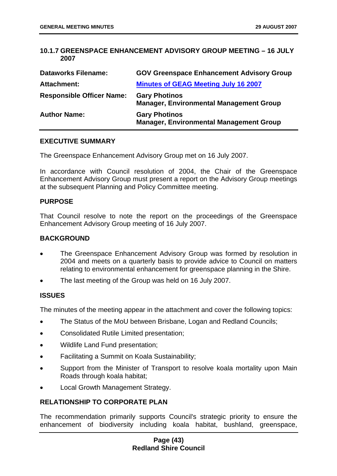### **10.1.7 GREENSPACE ENHANCEMENT ADVISORY GROUP MEETING – 16 JULY 2007**

| <b>Dataworks Filename:</b>       | <b>GOV Greenspace Enhancement Advisory Group</b>                       |
|----------------------------------|------------------------------------------------------------------------|
| Attachment:                      | <b>Minutes of GEAG Meeting July 16 2007</b>                            |
| <b>Responsible Officer Name:</b> | <b>Gary Photinos</b><br><b>Manager, Environmental Management Group</b> |
| <b>Author Name:</b>              | <b>Gary Photinos</b><br><b>Manager, Environmental Management Group</b> |

### **EXECUTIVE SUMMARY**

The Greenspace Enhancement Advisory Group met on 16 July 2007.

In accordance with Council resolution of 2004, the Chair of the Greenspace Enhancement Advisory Group must present a report on the Advisory Group meetings at the subsequent Planning and Policy Committee meeting.

### **PURPOSE**

That Council resolve to note the report on the proceedings of the Greenspace Enhancement Advisory Group meeting of 16 July 2007.

#### **BACKGROUND**

- The Greenspace Enhancement Advisory Group was formed by resolution in 2004 and meets on a quarterly basis to provide advice to Council on matters relating to environmental enhancement for greenspace planning in the Shire.
- The last meeting of the Group was held on 16 July 2007.

### **ISSUES**

The minutes of the meeting appear in the attachment and cover the following topics:

- The Status of the MoU between Brisbane, Logan and Redland Councils;
- Consolidated Rutile Limited presentation;
- Wildlife Land Fund presentation;
- Facilitating a Summit on Koala Sustainability;
- Support from the Minister of Transport to resolve koala mortality upon Main Roads through koala habitat;
- Local Growth Management Strategy.

### **RELATIONSHIP TO CORPORATE PLAN**

The recommendation primarily supports Council's strategic priority to ensure the enhancement of biodiversity including koala habitat, bushland, greenspace,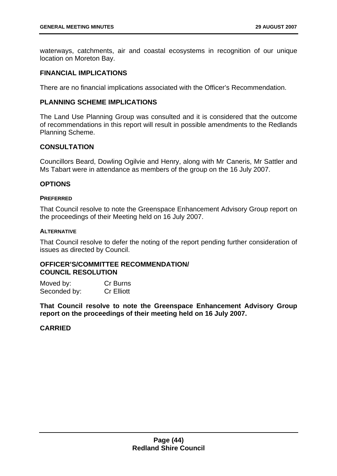waterways, catchments, air and coastal ecosystems in recognition of our unique location on Moreton Bay.

### **FINANCIAL IMPLICATIONS**

There are no financial implications associated with the Officer's Recommendation.

# **PLANNING SCHEME IMPLICATIONS**

The Land Use Planning Group was consulted and it is considered that the outcome of recommendations in this report will result in possible amendments to the Redlands Planning Scheme.

# **CONSULTATION**

Councillors Beard, Dowling Ogilvie and Henry, along with Mr Caneris, Mr Sattler and Ms Tabart were in attendance as members of the group on the 16 July 2007.

## **OPTIONS**

#### **PREFERRED**

That Council resolve to note the Greenspace Enhancement Advisory Group report on the proceedings of their Meeting held on 16 July 2007.

#### **ALTERNATIVE**

That Council resolve to defer the noting of the report pending further consideration of issues as directed by Council.

## **OFFICER'S/COMMITTEE RECOMMENDATION/ COUNCIL RESOLUTION**

| Moved by:    | Cr Burns          |
|--------------|-------------------|
| Seconded by: | <b>Cr Elliott</b> |

**That Council resolve to note the Greenspace Enhancement Advisory Group report on the proceedings of their meeting held on 16 July 2007.** 

# **CARRIED**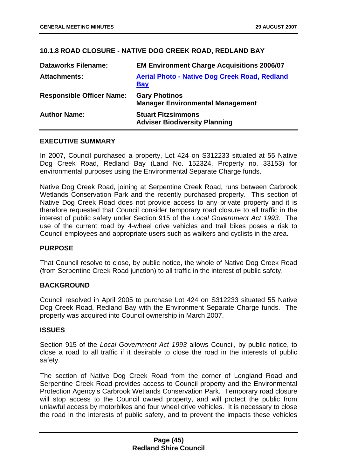# **10.1.8 ROAD CLOSURE - NATIVE DOG CREEK ROAD, REDLAND BAY**

| <b>Dataworks Filename:</b>       | <b>EM Environment Charge Acquisitions 2006/07</b>                  |
|----------------------------------|--------------------------------------------------------------------|
| <b>Attachments:</b>              | <b>Aerial Photo - Native Dog Creek Road, Redland</b><br><b>Bay</b> |
| <b>Responsible Officer Name:</b> | <b>Gary Photinos</b><br><b>Manager Environmental Management</b>    |
| <b>Author Name:</b>              | <b>Stuart Fitzsimmons</b><br><b>Adviser Biodiversity Planning</b>  |

## **EXECUTIVE SUMMARY**

In 2007, Council purchased a property, Lot 424 on S312233 situated at 55 Native Dog Creek Road, Redland Bay (Land No. 152324, Property no. 33153) for environmental purposes using the Environmental Separate Charge funds.

Native Dog Creek Road, joining at Serpentine Creek Road, runs between Carbrook Wetlands Conservation Park and the recently purchased property. This section of Native Dog Creek Road does not provide access to any private property and it is therefore requested that Council consider temporary road closure to all traffic in the interest of public safety under Section 915 of the *Local Government Act 1993*. The use of the current road by 4-wheel drive vehicles and trail bikes poses a risk to Council employees and appropriate users such as walkers and cyclists in the area.

### **PURPOSE**

That Council resolve to close, by public notice, the whole of Native Dog Creek Road (from Serpentine Creek Road junction) to all traffic in the interest of public safety.

### **BACKGROUND**

Council resolved in April 2005 to purchase Lot 424 on S312233 situated 55 Native Dog Creek Road, Redland Bay with the Environment Separate Charge funds. The property was acquired into Council ownership in March 2007.

### **ISSUES**

Section 915 of the *Local Government Act 1993* allows Council, by public notice, to close a road to all traffic if it desirable to close the road in the interests of public safety.

The section of Native Dog Creek Road from the corner of Longland Road and Serpentine Creek Road provides access to Council property and the Environmental Protection Agency's Carbrook Wetlands Conservation Park. Temporary road closure will stop access to the Council owned property, and will protect the public from unlawful access by motorbikes and four wheel drive vehicles. It is necessary to close the road in the interests of public safety, and to prevent the impacts these vehicles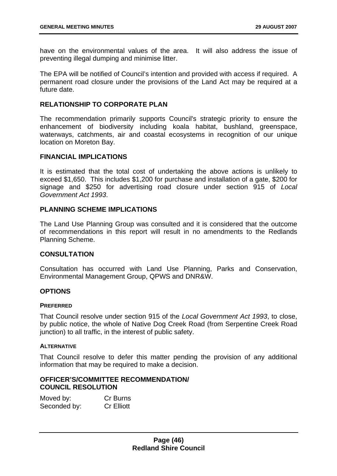have on the environmental values of the area. It will also address the issue of preventing illegal dumping and minimise litter.

The EPA will be notified of Council's intention and provided with access if required. A permanent road closure under the provisions of the Land Act may be required at a future date.

# **RELATIONSHIP TO CORPORATE PLAN**

The recommendation primarily supports Council's strategic priority to ensure the enhancement of biodiversity including koala habitat, bushland, greenspace, waterways, catchments, air and coastal ecosystems in recognition of our unique location on Moreton Bay.

#### **FINANCIAL IMPLICATIONS**

It is estimated that the total cost of undertaking the above actions is unlikely to exceed \$1,650. This includes \$1,200 for purchase and installation of a gate, \$200 for signage and \$250 for advertising road closure under section 915 of *Local Government Act 1993*.

### **PLANNING SCHEME IMPLICATIONS**

The Land Use Planning Group was consulted and it is considered that the outcome of recommendations in this report will result in no amendments to the Redlands Planning Scheme.

### **CONSULTATION**

Consultation has occurred with Land Use Planning, Parks and Conservation, Environmental Management Group, QPWS and DNR&W.

### **OPTIONS**

#### **PREFERRED**

That Council resolve under section 915 of the *Local Government Act 1993*, to close, by public notice, the whole of Native Dog Creek Road (from Serpentine Creek Road junction) to all traffic, in the interest of public safety.

#### **ALTERNATIVE**

That Council resolve to defer this matter pending the provision of any additional information that may be required to make a decision.

### **OFFICER'S/COMMITTEE RECOMMENDATION/ COUNCIL RESOLUTION**

| Moved by:    | Cr Burns          |
|--------------|-------------------|
| Seconded by: | <b>Cr Elliott</b> |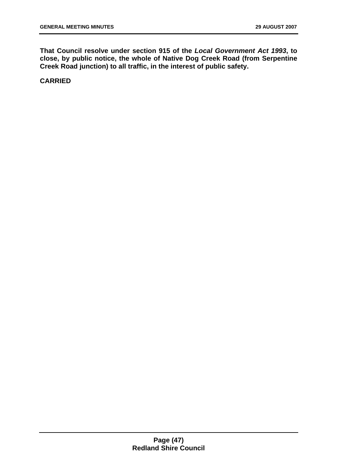**That Council resolve under section 915 of the** *Local Government Act 1993***, to close, by public notice, the whole of Native Dog Creek Road (from Serpentine Creek Road junction) to all traffic, in the interest of public safety.** 

**CARRIED**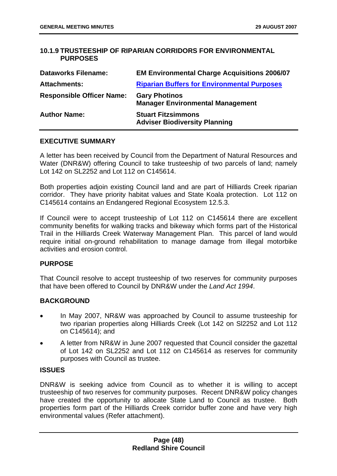# **10.1.9 TRUSTEESHIP OF RIPARIAN CORRIDORS FOR ENVIRONMENTAL PURPOSES**

| <b>Dataworks Filename:</b>       | <b>EM Environmental Charge Acquisitions 2006/07</b>               |
|----------------------------------|-------------------------------------------------------------------|
| <b>Attachments:</b>              | <b>Riparian Buffers for Environmental Purposes</b>                |
| <b>Responsible Officer Name:</b> | <b>Gary Photinos</b><br><b>Manager Environmental Management</b>   |
| <b>Author Name:</b>              | <b>Stuart Fitzsimmons</b><br><b>Adviser Biodiversity Planning</b> |

### **EXECUTIVE SUMMARY**

A letter has been received by Council from the Department of Natural Resources and Water (DNR&W) offering Council to take trusteeship of two parcels of land; namely Lot 142 on SL2252 and Lot 112 on C145614.

Both properties adjoin existing Council land and are part of Hilliards Creek riparian corridor. They have priority habitat values and State Koala protection. Lot 112 on C145614 contains an Endangered Regional Ecosystem 12.5.3.

If Council were to accept trusteeship of Lot 112 on C145614 there are excellent community benefits for walking tracks and bikeway which forms part of the Historical Trail in the Hilliards Creek Waterway Management Plan. This parcel of land would require initial on-ground rehabilitation to manage damage from illegal motorbike activities and erosion control.

### **PURPOSE**

That Council resolve to accept trusteeship of two reserves for community purposes that have been offered to Council by DNR&W under the *Land Act 1994*.

### **BACKGROUND**

- In May 2007, NR&W was approached by Council to assume trusteeship for two riparian properties along Hilliards Creek (Lot 142 on Sl2252 and Lot 112 on C145614); and
- A letter from NR&W in June 2007 requested that Council consider the gazettal of Lot 142 on SL2252 and Lot 112 on C145614 as reserves for community purposes with Council as trustee.

### **ISSUES**

DNR&W is seeking advice from Council as to whether it is willing to accept trusteeship of two reserves for community purposes. Recent DNR&W policy changes have created the opportunity to allocate State Land to Council as trustee. Both properties form part of the Hilliards Creek corridor buffer zone and have very high environmental values (Refer attachment).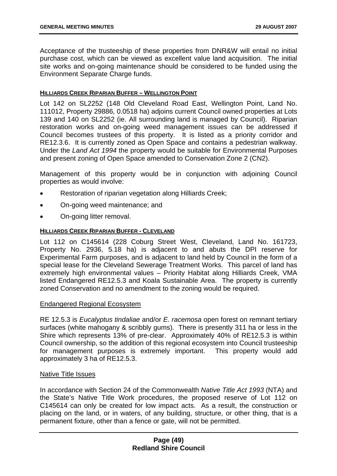Acceptance of the trusteeship of these properties from DNR&W will entail no initial purchase cost, which can be viewed as excellent value land acquisition. The initial site works and on-going maintenance should be considered to be funded using the Environment Separate Charge funds.

#### **HILLIARDS CREEK RIPARIAN BUFFER – WELLINGTON POINT**

Lot 142 on SL2252 (148 Old Cleveland Road East, Wellington Point, Land No. 111012, Property 29886, 0.0518 ha) adjoins current Council owned properties at Lots 139 and 140 on SL2252 (ie. All surrounding land is managed by Council). Riparian restoration works and on-going weed management issues can be addressed if Council becomes trustees of this property. It is listed as a priority corridor and RE12.3.6. It is currently zoned as Open Space and contains a pedestrian walkway. Under the *Land Act 1994* the property would be suitable for Environmental Purposes and present zoning of Open Space amended to Conservation Zone 2 (CN2).

Management of this property would be in conjunction with adjoining Council properties as would involve:

- Restoration of riparian vegetation along Hilliards Creek;
- On-going weed maintenance; and
- On-going litter removal.

#### **HILLIARDS CREEK RIPARIAN BUFFER - CLEVELAND**

Lot 112 on C145614 (228 Coburg Street West, Cleveland, Land No. 161723, Property No. 2936, 5.18 ha) is adjacent to and abuts the DPI reserve for Experimental Farm purposes, and is adjacent to land held by Council in the form of a special lease for the Cleveland Sewerage Treatment Works. This parcel of land has extremely high environmental values – Priority Habitat along Hilliards Creek, VMA listed Endangered RE12.5.3 and Koala Sustainable Area. The property is currently zoned Conservation and no amendment to the zoning would be required.

### Endangered Regional Ecosystem

RE 12.5.3 is *Eucalyptus tindaliae* and/or *E. racemosa* open forest on remnant tertiary surfaces (white mahogany & scribbly gums). There is presently 311 ha or less in the Shire which represents 13% of pre-clear. Approximately 40% of RE12.5.3 is within Council ownership, so the addition of this regional ecosystem into Council trusteeship for management purposes is extremely important. This property would add approximately 3 ha of RE12.5.3.

### Native Title Issues

In accordance with Section 24 of the Commonwealth *Native Title Act 1993* (NTA) and the State's Native Title Work procedures, the proposed reserve of Lot 112 on C145614 can only be created for low impact acts. As a result, the construction or placing on the land, or in waters, of any building, structure, or other thing, that is a permanent fixture, other than a fence or gate, will not be permitted.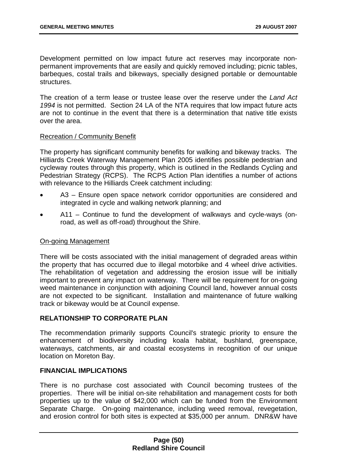Development permitted on low impact future act reserves may incorporate nonpermanent improvements that are easily and quickly removed including; picnic tables, barbeques, costal trails and bikeways, specially designed portable or demountable structures.

The creation of a term lease or trustee lease over the reserve under the *Land Act 1994* is not permitted. Section 24 LA of the NTA requires that low impact future acts are not to continue in the event that there is a determination that native title exists over the area.

## Recreation / Community Benefit

The property has significant community benefits for walking and bikeway tracks. The Hilliards Creek Waterway Management Plan 2005 identifies possible pedestrian and cycleway routes through this property, which is outlined in the Redlands Cycling and Pedestrian Strategy (RCPS). The RCPS Action Plan identifies a number of actions with relevance to the Hilliards Creek catchment including:

- A3 – Ensure open space network corridor opportunities are considered and integrated in cycle and walking network planning; and
- A11 – Continue to fund the development of walkways and cycle-ways (onroad, as well as off-road) throughout the Shire.

### On-going Management

There will be costs associated with the initial management of degraded areas within the property that has occurred due to illegal motorbike and 4 wheel drive activities. The rehabilitation of vegetation and addressing the erosion issue will be initially important to prevent any impact on waterway. There will be requirement for on-going weed maintenance in conjunction with adjoining Council land, however annual costs are not expected to be significant. Installation and maintenance of future walking track or bikeway would be at Council expense.

# **RELATIONSHIP TO CORPORATE PLAN**

The recommendation primarily supports Council's strategic priority to ensure the enhancement of biodiversity including koala habitat, bushland, greenspace, waterways, catchments, air and coastal ecosystems in recognition of our unique location on Moreton Bay.

### **FINANCIAL IMPLICATIONS**

There is no purchase cost associated with Council becoming trustees of the properties. There will be initial on-site rehabilitation and management costs for both properties up to the value of \$42,000 which can be funded from the Environment Separate Charge. On-going maintenance, including weed removal, revegetation, and erosion control for both sites is expected at \$35,000 per annum. DNR&W have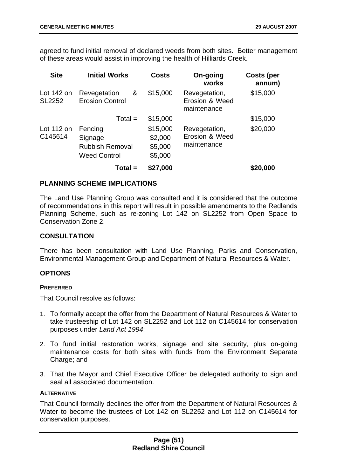agreed to fund initial removal of declared weeds from both sites. Better management of these areas would assist in improving the health of Hilliards Creek.

| <b>Site</b>                   | <b>Initial Works</b>                                                | <b>Costs</b>                              | On-going<br>works                              | <b>Costs (per</b><br>annum) |
|-------------------------------|---------------------------------------------------------------------|-------------------------------------------|------------------------------------------------|-----------------------------|
| Lot $142$ on<br><b>SL2252</b> | Revegetation<br>&<br><b>Erosion Control</b>                         | \$15,000                                  | Revegetation,<br>Erosion & Weed<br>maintenance | \$15,000                    |
|                               | $Total =$                                                           | \$15,000                                  |                                                | \$15,000                    |
| Lot $112$ on<br>C145614       | Fencing<br>Signage<br><b>Rubbish Removal</b><br><b>Weed Control</b> | \$15,000<br>\$2,000<br>\$5,000<br>\$5,000 | Revegetation,<br>Erosion & Weed<br>maintenance | \$20,000                    |
|                               | $Total =$                                                           | \$27,000                                  |                                                | \$20,000                    |

# **PLANNING SCHEME IMPLICATIONS**

The Land Use Planning Group was consulted and it is considered that the outcome of recommendations in this report will result in possible amendments to the Redlands Planning Scheme, such as re-zoning Lot 142 on SL2252 from Open Space to Conservation Zone 2.

# **CONSULTATION**

There has been consultation with Land Use Planning, Parks and Conservation, Environmental Management Group and Department of Natural Resources & Water.

### **OPTIONS**

### **PREFERRED**

That Council resolve as follows:

- 1. To formally accept the offer from the Department of Natural Resources & Water to take trusteeship of Lot 142 on SL2252 and Lot 112 on C145614 for conservation purposes under *Land Act 1994*;
- 2. To fund initial restoration works, signage and site security, plus on-going maintenance costs for both sites with funds from the Environment Separate Charge; and
- 3. That the Mayor and Chief Executive Officer be delegated authority to sign and seal all associated documentation.

### **ALTERNATIVE**

That Council formally declines the offer from the Department of Natural Resources & Water to become the trustees of Lot 142 on SL2252 and Lot 112 on C145614 for conservation purposes.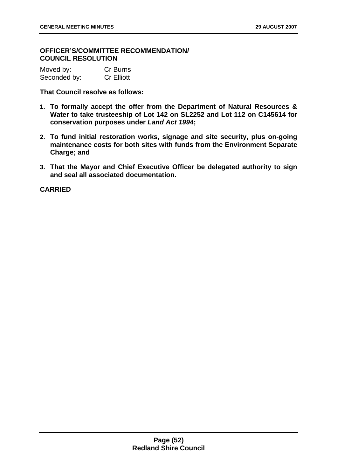**OFFICER'S/COMMITTEE RECOMMENDATION/ COUNCIL RESOLUTION** 

| Moved by:    | Cr Burns          |
|--------------|-------------------|
| Seconded by: | <b>Cr Elliott</b> |

**That Council resolve as follows:** 

- **1. To formally accept the offer from the Department of Natural Resources & Water to take trusteeship of Lot 142 on SL2252 and Lot 112 on C145614 for conservation purposes under** *Land Act 1994***;**
- **2. To fund initial restoration works, signage and site security, plus on-going maintenance costs for both sites with funds from the Environment Separate Charge; and**
- **3. That the Mayor and Chief Executive Officer be delegated authority to sign and seal all associated documentation.**

**CARRIED**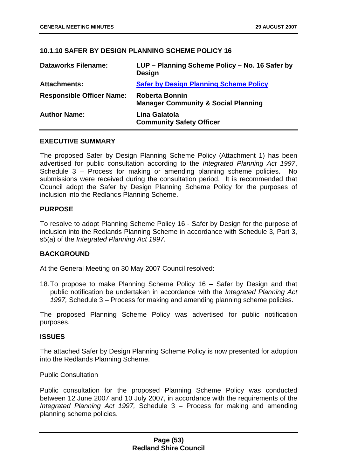# **10.1.10 SAFER BY DESIGN PLANNING SCHEME POLICY 16**

| <b>Dataworks Filename:</b>       | LUP – Planning Scheme Policy – No. 16 Safer by<br><b>Design</b>         |
|----------------------------------|-------------------------------------------------------------------------|
| <b>Attachments:</b>              | <b>Safer by Design Planning Scheme Policy</b>                           |
| <b>Responsible Officer Name:</b> | <b>Roberta Bonnin</b><br><b>Manager Community &amp; Social Planning</b> |
| <b>Author Name:</b>              | Lina Galatola<br><b>Community Safety Officer</b>                        |

### **EXECUTIVE SUMMARY**

The proposed Safer by Design Planning Scheme Policy (Attachment 1) has been advertised for public consultation according to the *Integrated Planning Act 1997*, Schedule 3 – Process for making or amending planning scheme policies. No submissions were received during the consultation period. It is recommended that Council adopt the Safer by Design Planning Scheme Policy for the purposes of inclusion into the Redlands Planning Scheme.

### **PURPOSE**

To resolve to adopt Planning Scheme Policy 16 - Safer by Design for the purpose of inclusion into the Redlands Planning Scheme in accordance with Schedule 3, Part 3, s5(a) of the *Integrated Planning Act 1997.*

### **BACKGROUND**

At the General Meeting on 30 May 2007 Council resolved:

18. To propose to make Planning Scheme Policy 16 – Safer by Design and that public notification be undertaken in accordance with the *Integrated Planning Act 1997,* Schedule 3 – Process for making and amending planning scheme policies.

The proposed Planning Scheme Policy was advertised for public notification purposes.

#### **ISSUES**

The attached Safer by Design Planning Scheme Policy is now presented for adoption into the Redlands Planning Scheme.

#### Public Consultation

Public consultation for the proposed Planning Scheme Policy was conducted between 12 June 2007 and 10 July 2007, in accordance with the requirements of the *Integrated Planning Act 1997,* Schedule 3 – Process for making and amending planning scheme policies.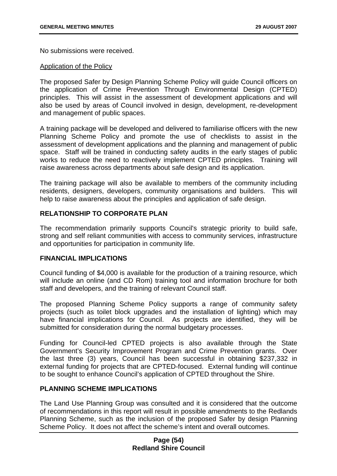No submissions were received.

#### Application of the Policy

The proposed Safer by Design Planning Scheme Policy will guide Council officers on the application of Crime Prevention Through Environmental Design (CPTED) principles. This will assist in the assessment of development applications and will also be used by areas of Council involved in design, development, re-development and management of public spaces.

A training package will be developed and delivered to familiarise officers with the new Planning Scheme Policy and promote the use of checklists to assist in the assessment of development applications and the planning and management of public space. Staff will be trained in conducting safety audits in the early stages of public works to reduce the need to reactively implement CPTED principles. Training will raise awareness across departments about safe design and its application.

The training package will also be available to members of the community including residents, designers, developers, community organisations and builders. This will help to raise awareness about the principles and application of safe design.

# **RELATIONSHIP TO CORPORATE PLAN**

The recommendation primarily supports Council's strategic priority to build safe, strong and self reliant communities with access to community services, infrastructure and opportunities for participation in community life.

### **FINANCIAL IMPLICATIONS**

Council funding of \$4,000 is available for the production of a training resource, which will include an online (and CD Rom) training tool and information brochure for both staff and developers, and the training of relevant Council staff.

The proposed Planning Scheme Policy supports a range of community safety projects (such as toilet block upgrades and the installation of lighting) which may have financial implications for Council. As projects are identified, they will be submitted for consideration during the normal budgetary processes.

Funding for Council-led CPTED projects is also available through the State Government's Security Improvement Program and Crime Prevention grants. Over the last three (3) years, Council has been successful in obtaining \$237,332 in external funding for projects that are CPTED-focused. External funding will continue to be sought to enhance Council's application of CPTED throughout the Shire.

### **PLANNING SCHEME IMPLICATIONS**

The Land Use Planning Group was consulted and it is considered that the outcome of recommendations in this report will result in possible amendments to the Redlands Planning Scheme, such as the inclusion of the proposed Safer by design Planning Scheme Policy. It does not affect the scheme's intent and overall outcomes.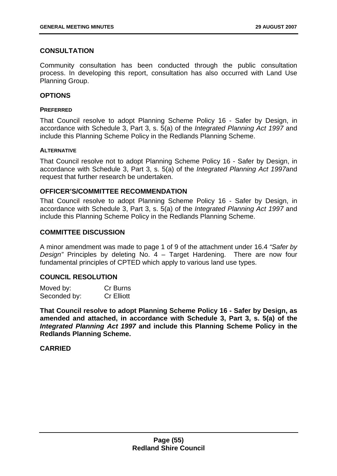# **CONSULTATION**

Community consultation has been conducted through the public consultation process. In developing this report, consultation has also occurred with Land Use Planning Group.

# **OPTIONS**

#### **PREFERRED**

That Council resolve to adopt Planning Scheme Policy 16 - Safer by Design, in accordance with Schedule 3, Part 3, s. 5(a) of the *Integrated Planning Act 1997* and include this Planning Scheme Policy in the Redlands Planning Scheme.

#### **ALTERNATIVE**

That Council resolve not to adopt Planning Scheme Policy 16 - Safer by Design, in accordance with Schedule 3, Part 3, s. 5(a) of the *Integrated Planning Act 1997*and request that further research be undertaken.

## **OFFICER'S/COMMITTEE RECOMMENDATION**

That Council resolve to adopt Planning Scheme Policy 16 - Safer by Design, in accordance with Schedule 3, Part 3, s. 5(a) of the *Integrated Planning Act 1997* and include this Planning Scheme Policy in the Redlands Planning Scheme.

### **COMMITTEE DISCUSSION**

A minor amendment was made to page 1 of 9 of the attachment under 16.4 *"Safer by Design"* Principles by deleting No. 4 – Target Hardening. There are now four fundamental principles of CPTED which apply to various land use types.

# **COUNCIL RESOLUTION**

| Moved by:    | Cr Burns          |
|--------------|-------------------|
| Seconded by: | <b>Cr Elliott</b> |

**That Council resolve to adopt Planning Scheme Policy 16 - Safer by Design, as amended and attached, in accordance with Schedule 3, Part 3, s. 5(a) of the**  *Integrated Planning Act 1997* **and include this Planning Scheme Policy in the Redlands Planning Scheme.** 

### **CARRIED**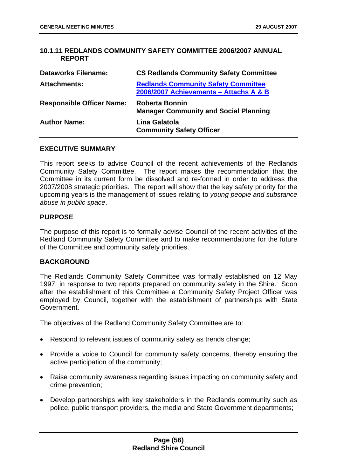## **10.1.11 REDLANDS COMMUNITY SAFETY COMMITTEE 2006/2007 ANNUAL REPORT**

| <b>Dataworks Filename:</b>       | <b>CS Redlands Community Safety Committee</b>                                        |
|----------------------------------|--------------------------------------------------------------------------------------|
| <b>Attachments:</b>              | <b>Redlands Community Safety Committee</b><br>2006/2007 Achievements - Attachs A & B |
| <b>Responsible Officer Name:</b> | Roberta Bonnin<br><b>Manager Community and Social Planning</b>                       |
| <b>Author Name:</b>              | Lina Galatola<br><b>Community Safety Officer</b>                                     |

#### **EXECUTIVE SUMMARY**

This report seeks to advise Council of the recent achievements of the Redlands Community Safety Committee. The report makes the recommendation that the Committee in its current form be dissolved and re-formed in order to address the 2007/2008 strategic priorities. The report will show that the key safety priority for the upcoming years is the management of issues relating to *young people and substance abuse in public space*.

### **PURPOSE**

The purpose of this report is to formally advise Council of the recent activities of the Redland Community Safety Committee and to make recommendations for the future of the Committee and community safety priorities.

#### **BACKGROUND**

The Redlands Community Safety Committee was formally established on 12 May 1997, in response to two reports prepared on community safety in the Shire. Soon after the establishment of this Committee a Community Safety Project Officer was employed by Council, together with the establishment of partnerships with State Government.

The objectives of the Redland Community Safety Committee are to:

- Respond to relevant issues of community safety as trends change;
- Provide a voice to Council for community safety concerns, thereby ensuring the active participation of the community;
- Raise community awareness regarding issues impacting on community safety and crime prevention;
- Develop partnerships with key stakeholders in the Redlands community such as police, public transport providers, the media and State Government departments;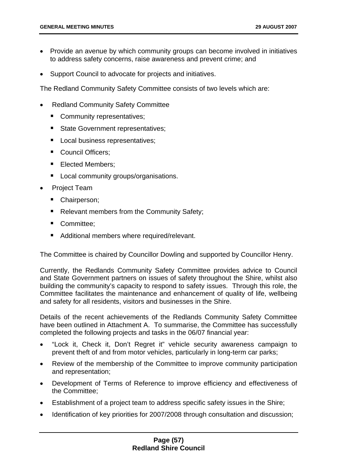- Provide an avenue by which community groups can become involved in initiatives to address safety concerns, raise awareness and prevent crime; and
- Support Council to advocate for projects and initiatives.

The Redland Community Safety Committee consists of two levels which are:

- Redland Community Safety Committee
	- **Community representatives;**
	- State Government representatives;
	- Local business representatives;
	- Council Officers;
	- **Elected Members;**
	- **Local community groups/organisations.**
- Project Team
	- Chairperson;
	- Relevant members from the Community Safety;
	- Committee;
	- **Additional members where required/relevant.**

The Committee is chaired by Councillor Dowling and supported by Councillor Henry.

Currently, the Redlands Community Safety Committee provides advice to Council and State Government partners on issues of safety throughout the Shire, whilst also building the community's capacity to respond to safety issues. Through this role, the Committee facilitates the maintenance and enhancement of quality of life, wellbeing and safety for all residents, visitors and businesses in the Shire.

Details of the recent achievements of the Redlands Community Safety Committee have been outlined in Attachment A. To summarise, the Committee has successfully completed the following projects and tasks in the 06/07 financial year:

- "Lock it, Check it, Don't Regret it" vehicle security awareness campaign to prevent theft of and from motor vehicles, particularly in long-term car parks;
- Review of the membership of the Committee to improve community participation and representation;
- Development of Terms of Reference to improve efficiency and effectiveness of the Committee;
- Establishment of a project team to address specific safety issues in the Shire;
- Identification of key priorities for 2007/2008 through consultation and discussion;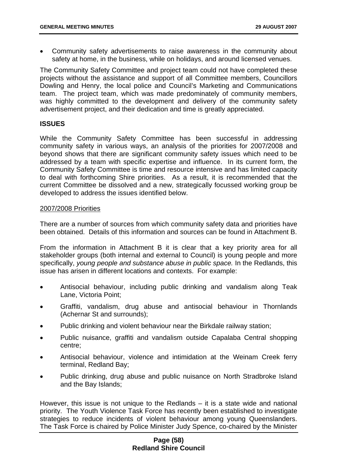• Community safety advertisements to raise awareness in the community about safety at home, in the business, while on holidays, and around licensed venues.

The Community Safety Committee and project team could not have completed these projects without the assistance and support of all Committee members, Councillors Dowling and Henry, the local police and Council's Marketing and Communications team. The project team, which was made predominately of community members, was highly committed to the development and delivery of the community safety advertisement project, and their dedication and time is greatly appreciated.

## **ISSUES**

While the Community Safety Committee has been successful in addressing community safety in various ways, an analysis of the priorities for 2007/2008 and beyond shows that there are significant community safety issues which need to be addressed by a team with specific expertise and influence. In its current form, the Community Safety Committee is time and resource intensive and has limited capacity to deal with forthcoming Shire priorities. As a result, it is recommended that the current Committee be dissolved and a new, strategically focussed working group be developed to address the issues identified below.

#### 2007/2008 Priorities

There are a number of sources from which community safety data and priorities have been obtained. Details of this information and sources can be found in Attachment B.

From the information in Attachment B it is clear that a key priority area for all stakeholder groups (both internal and external to Council) is young people and more specifically, *young people and substance abuse in public space.* In the Redlands, this issue has arisen in different locations and contexts. For example:

- Antisocial behaviour, including public drinking and vandalism along Teak Lane, Victoria Point;
- Graffiti, vandalism, drug abuse and antisocial behaviour in Thornlands (Achernar St and surrounds);
- Public drinking and violent behaviour near the Birkdale railway station;
- Public nuisance, graffiti and vandalism outside Capalaba Central shopping centre;
- Antisocial behaviour, violence and intimidation at the Weinam Creek ferry terminal, Redland Bay;
- Public drinking, drug abuse and public nuisance on North Stradbroke Island and the Bay Islands;

However, this issue is not unique to the Redlands – it is a state wide and national priority. The Youth Violence Task Force has recently been established to investigate strategies to reduce incidents of violent behaviour among young Queenslanders. The Task Force is chaired by Police Minister Judy Spence, co-chaired by the Minister

## **Page (58) Redland Shire Council**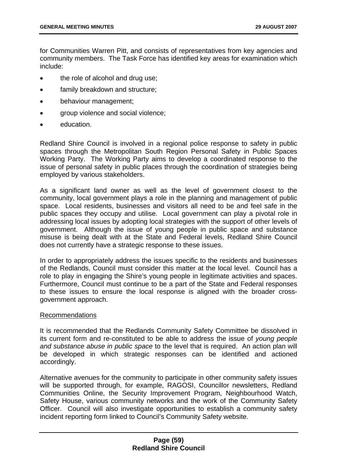for Communities Warren Pitt, and consists of representatives from key agencies and community members. The Task Force has identified key areas for examination which include:

- the role of alcohol and drug use;
- family breakdown and structure;
- behaviour management;
- group violence and social violence;
- education.

Redland Shire Council is involved in a regional police response to safety in public spaces through the Metropolitan South Region Personal Safety in Public Spaces Working Party. The Working Party aims to develop a coordinated response to the issue of personal safety in public places through the coordination of strategies being employed by various stakeholders.

As a significant land owner as well as the level of government closest to the community, local government plays a role in the planning and management of public space. Local residents, businesses and visitors all need to be and feel safe in the public spaces they occupy and utilise. Local government can play a pivotal role in addressing local issues by adopting local strategies with the support of other levels of government. Although the issue of young people in public space and substance misuse is being dealt with at the State and Federal levels, Redland Shire Council does not currently have a strategic response to these issues.

In order to appropriately address the issues specific to the residents and businesses of the Redlands, Council must consider this matter at the local level. Council has a role to play in engaging the Shire's young people in legitimate activities and spaces. Furthermore, Council must continue to be a part of the State and Federal responses to these issues to ensure the local response is aligned with the broader crossgovernment approach.

### Recommendations

It is recommended that the Redlands Community Safety Committee be dissolved in its current form and re-constituted to be able to address the issue of *young people and substance abuse in public space* to the level that is required. An action plan will be developed in which strategic responses can be identified and actioned accordingly.

Alternative avenues for the community to participate in other community safety issues will be supported through, for example, RAGOSI, Councillor newsletters, Redland Communities Online, the Security Improvement Program, Neighbourhood Watch, Safety House, various community networks and the work of the Community Safety Officer. Council will also investigate opportunities to establish a community safety incident reporting form linked to Council's Community Safety website.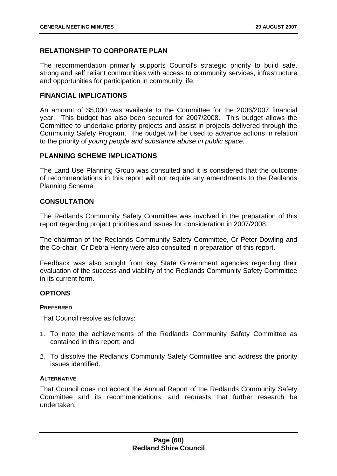# **RELATIONSHIP TO CORPORATE PLAN**

The recommendation primarily supports Council's strategic priority to build safe, strong and self reliant communities with access to community services, infrastructure and opportunities for participation in community life.

## **FINANCIAL IMPLICATIONS**

An amount of \$5,000 was available to the Committee for the 2006/2007 financial year. This budget has also been secured for 2007/2008. This budget allows the Committee to undertake priority projects and assist in projects delivered through the Community Safety Program. The budget will be used to advance actions in relation to the priority of *young people and substance abuse in public space.* 

## **PLANNING SCHEME IMPLICATIONS**

The Land Use Planning Group was consulted and it is considered that the outcome of recommendations in this report will not require any amendments to the Redlands Planning Scheme.

# **CONSULTATION**

The Redlands Community Safety Committee was involved in the preparation of this report regarding project priorities and issues for consideration in 2007/2008.

The chairman of the Redlands Community Safety Committee, Cr Peter Dowling and the Co-chair, Cr Debra Henry were also consulted in preparation of this report.

Feedback was also sought from key State Government agencies regarding their evaluation of the success and viability of the Redlands Community Safety Committee in its current form.

# **OPTIONS**

### **PREFERRED**

That Council resolve as follows:

- 1. To note the achievements of the Redlands Community Safety Committee as contained in this report; and
- 2. To dissolve the Redlands Community Safety Committee and address the priority issues identified.

### **ALTERNATIVE**

That Council does not accept the Annual Report of the Redlands Community Safety Committee and its recommendations, and requests that further research be undertaken.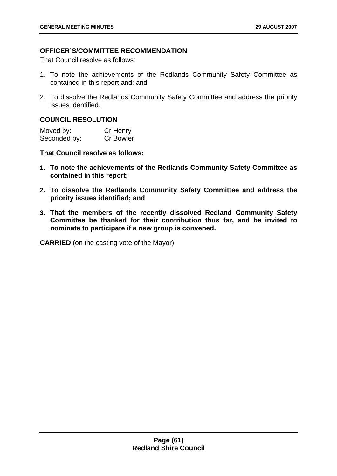# **OFFICER'S/COMMITTEE RECOMMENDATION**

That Council resolve as follows:

- 1. To note the achievements of the Redlands Community Safety Committee as contained in this report and; and
- 2. To dissolve the Redlands Community Safety Committee and address the priority issues identified.

# **COUNCIL RESOLUTION**

| Moved by:    | Cr Henry         |
|--------------|------------------|
| Seconded by: | <b>Cr Bowler</b> |

## **That Council resolve as follows:**

- **1. To note the achievements of the Redlands Community Safety Committee as contained in this report;**
- **2. To dissolve the Redlands Community Safety Committee and address the priority issues identified; and**
- **3. That the members of the recently dissolved Redland Community Safety Committee be thanked for their contribution thus far, and be invited to nominate to participate if a new group is convened.**

**CARRIED** (on the casting vote of the Mayor)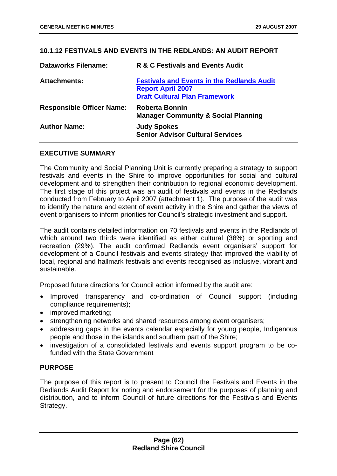# **10.1.12 FESTIVALS AND EVENTS IN THE REDLANDS: AN AUDIT REPORT**

| <b>Dataworks Filename:</b>       | R & C Festivals and Events Audit                                                                                      |
|----------------------------------|-----------------------------------------------------------------------------------------------------------------------|
| <b>Attachments:</b>              | <b>Festivals and Events in the Redlands Audit</b><br><b>Report April 2007</b><br><b>Draft Cultural Plan Framework</b> |
| <b>Responsible Officer Name:</b> | <b>Roberta Bonnin</b><br><b>Manager Community &amp; Social Planning</b>                                               |
| <b>Author Name:</b>              | <b>Judy Spokes</b><br><b>Senior Advisor Cultural Services</b>                                                         |

## **EXECUTIVE SUMMARY**

The Community and Social Planning Unit is currently preparing a strategy to support festivals and events in the Shire to improve opportunities for social and cultural development and to strengthen their contribution to regional economic development. The first stage of this project was an audit of festivals and events in the Redlands conducted from February to April 2007 (attachment 1). The purpose of the audit was to identify the nature and extent of event activity in the Shire and gather the views of event organisers to inform priorities for Council's strategic investment and support.

The audit contains detailed information on 70 festivals and events in the Redlands of which around two thirds were identified as either cultural (38%) or sporting and recreation (29%). The audit confirmed Redlands event organisers' support for development of a Council festivals and events strategy that improved the viability of local, regional and hallmark festivals and events recognised as inclusive, vibrant and sustainable.

Proposed future directions for Council action informed by the audit are:

- Improved transparency and co-ordination of Council support (including compliance requirements);
- improved marketing;
- strengthening networks and shared resources among event organisers;
- addressing gaps in the events calendar especially for young people, Indigenous people and those in the islands and southern part of the Shire;
- investigation of a consolidated festivals and events support program to be cofunded with the State Government

### **PURPOSE**

The purpose of this report is to present to Council the Festivals and Events in the Redlands Audit Report for noting and endorsement for the purposes of planning and distribution, and to inform Council of future directions for the Festivals and Events Strategy.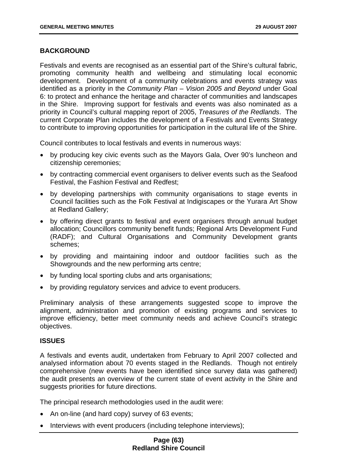# **BACKGROUND**

Festivals and events are recognised as an essential part of the Shire's cultural fabric, promoting community health and wellbeing and stimulating local economic development. Development of a community celebrations and events strategy was identified as a priority in the *Community Plan – Vision 2005 and Beyond* under Goal 6: to protect and enhance the heritage and character of communities and landscapes in the Shire. Improving support for festivals and events was also nominated as a priority in Council's cultural mapping report of 2005, *Treasures of the Redlands*. The current Corporate Plan includes the development of a Festivals and Events Strategy to contribute to improving opportunities for participation in the cultural life of the Shire.

Council contributes to local festivals and events in numerous ways:

- by producing key civic events such as the Mayors Gala, Over 90's luncheon and citizenship ceremonies;
- by contracting commercial event organisers to deliver events such as the Seafood Festival, the Fashion Festival and Redfest;
- by developing partnerships with community organisations to stage events in Council facilities such as the Folk Festival at Indigiscapes or the Yurara Art Show at Redland Gallery;
- by offering direct grants to festival and event organisers through annual budget allocation; Councillors community benefit funds; Regional Arts Development Fund (RADF); and Cultural Organisations and Community Development grants schemes;
- by providing and maintaining indoor and outdoor facilities such as the Showgrounds and the new performing arts centre;
- by funding local sporting clubs and arts organisations;
- by providing regulatory services and advice to event producers.

Preliminary analysis of these arrangements suggested scope to improve the alignment, administration and promotion of existing programs and services to improve efficiency, better meet community needs and achieve Council's strategic objectives.

# **ISSUES**

A festivals and events audit, undertaken from February to April 2007 collected and analysed information about 70 events staged in the Redlands. Though not entirely comprehensive (new events have been identified since survey data was gathered) the audit presents an overview of the current state of event activity in the Shire and suggests priorities for future directions.

The principal research methodologies used in the audit were:

- An on-line (and hard copy) survey of 63 events;
- Interviews with event producers (including telephone interviews):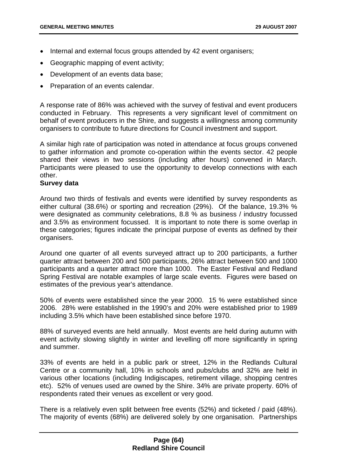- Internal and external focus groups attended by 42 event organisers;
- Geographic mapping of event activity;
- Development of an events data base;
- Preparation of an events calendar.

A response rate of 86% was achieved with the survey of festival and event producers conducted in February. This represents a very significant level of commitment on behalf of event producers in the Shire, and suggests a willingness among community organisers to contribute to future directions for Council investment and support.

A similar high rate of participation was noted in attendance at focus groups convened to gather information and promote co-operation within the events sector. 42 people shared their views in two sessions (including after hours) convened in March. Participants were pleased to use the opportunity to develop connections with each other.

# **Survey data**

Around two thirds of festivals and events were identified by survey respondents as either cultural (38.6%) or sporting and recreation (29%). Of the balance, 19.3% % were designated as community celebrations, 8.8 % as business / industry focussed and 3.5% as environment focussed. It is important to note there is some overlap in these categories; figures indicate the principal purpose of events as defined by their organisers.

Around one quarter of all events surveyed attract up to 200 participants, a further quarter attract between 200 and 500 participants, 26% attract between 500 and 1000 participants and a quarter attract more than 1000. The Easter Festival and Redland Spring Festival are notable examples of large scale events. Figures were based on estimates of the previous year's attendance.

50% of events were established since the year 2000. 15 % were established since 2006. 28% were established in the 1990's and 20% were established prior to 1989 including 3.5% which have been established since before 1970.

88% of surveyed events are held annually. Most events are held during autumn with event activity slowing slightly in winter and levelling off more significantly in spring and summer.

33% of events are held in a public park or street, 12% in the Redlands Cultural Centre or a community hall, 10% in schools and pubs/clubs and 32% are held in various other locations (including Indigiscapes, retirement village, shopping centres etc). 52% of venues used are owned by the Shire. 34% are private property. 60% of respondents rated their venues as excellent or very good.

There is a relatively even split between free events (52%) and ticketed / paid (48%). The majority of events (68%) are delivered solely by one organisation. Partnerships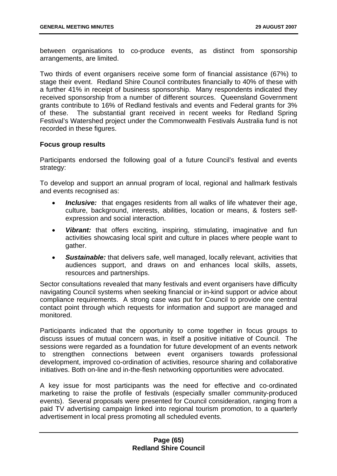between organisations to co-produce events, as distinct from sponsorship arrangements, are limited.

Two thirds of event organisers receive some form of financial assistance (67%) to stage their event. Redland Shire Council contributes financially to 40% of these with a further 41% in receipt of business sponsorship. Many respondents indicated they received sponsorship from a number of different sources. Queensland Government grants contribute to 16% of Redland festivals and events and Federal grants for 3% of these. The substantial grant received in recent weeks for Redland Spring Festival's Watershed project under the Commonwealth Festivals Australia fund is not recorded in these figures.

### **Focus group results**

Participants endorsed the following goal of a future Council's festival and events strategy:

To develop and support an annual program of local, regional and hallmark festivals and events recognised as:

- *Inclusive:* that engages residents from all walks of life whatever their age, culture, background, interests, abilities, location or means, & fosters selfexpression and social interaction.
- **Vibrant:** that offers exciting, inspiring, stimulating, imaginative and fun activities showcasing local spirit and culture in places where people want to gather.
- *Sustainable:* that delivers safe, well managed, locally relevant, activities that audiences support, and draws on and enhances local skills, assets, resources and partnerships.

Sector consultations revealed that many festivals and event organisers have difficulty navigating Council systems when seeking financial or in-kind support or advice about compliance requirements. A strong case was put for Council to provide one central contact point through which requests for information and support are managed and monitored.

Participants indicated that the opportunity to come together in focus groups to discuss issues of mutual concern was, in itself a positive initiative of Council. The sessions were regarded as a foundation for future development of an events network to strengthen connections between event organisers towards professional development, improved co-ordination of activities, resource sharing and collaborative initiatives. Both on-line and in-the-flesh networking opportunities were advocated.

A key issue for most participants was the need for effective and co-ordinated marketing to raise the profile of festivals (especially smaller community-produced events). Several proposals were presented for Council consideration, ranging from a paid TV advertising campaign linked into regional tourism promotion, to a quarterly advertisement in local press promoting all scheduled events.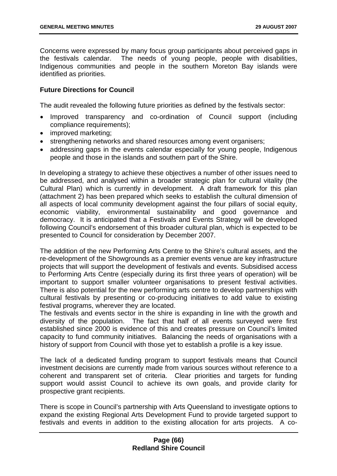Concerns were expressed by many focus group participants about perceived gaps in the festivals calendar. The needs of young people, people with disabilities, Indigenous communities and people in the southern Moreton Bay islands were identified as priorities.

# **Future Directions for Council**

The audit revealed the following future priorities as defined by the festivals sector:

- Improved transparency and co-ordination of Council support (including compliance requirements);
- improved marketing:
- strengthening networks and shared resources among event organisers;
- addressing gaps in the events calendar especially for young people, Indigenous people and those in the islands and southern part of the Shire.

In developing a strategy to achieve these objectives a number of other issues need to be addressed, and analysed within a broader strategic plan for cultural vitality (the Cultural Plan) which is currently in development. A draft framework for this plan (attachment 2) has been prepared which seeks to establish the cultural dimension of all aspects of local community development against the four pillars of social equity, economic viability, environmental sustainability and good governance and democracy. It is anticipated that a Festivals and Events Strategy will be developed following Council's endorsement of this broader cultural plan, which is expected to be presented to Council for consideration by December 2007.

The addition of the new Performing Arts Centre to the Shire's cultural assets, and the re-development of the Showgrounds as a premier events venue are key infrastructure projects that will support the development of festivals and events. Subsidised access to Performing Arts Centre (especially during its first three years of operation) will be important to support smaller volunteer organisations to present festival activities. There is also potential for the new performing arts centre to develop partnerships with cultural festivals by presenting or co-producing initiatives to add value to existing festival programs, wherever they are located.

The festivals and events sector in the shire is expanding in line with the growth and diversity of the population. The fact that half of all events surveyed were first established since 2000 is evidence of this and creates pressure on Council's limited capacity to fund community initiatives. Balancing the needs of organisations with a history of support from Council with those yet to establish a profile is a key issue.

The lack of a dedicated funding program to support festivals means that Council investment decisions are currently made from various sources without reference to a coherent and transparent set of criteria. Clear priorities and targets for funding support would assist Council to achieve its own goals, and provide clarity for prospective grant recipients.

There is scope in Council's partnership with Arts Queensland to investigate options to expand the existing Regional Arts Development Fund to provide targeted support to festivals and events in addition to the existing allocation for arts projects. A co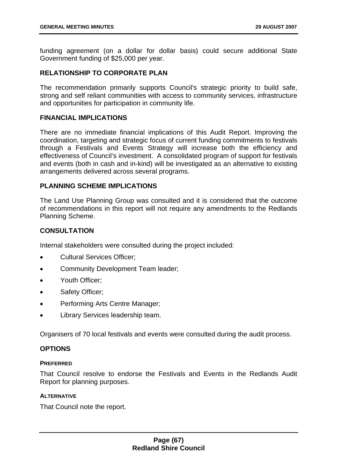funding agreement (on a dollar for dollar basis) could secure additional State Government funding of \$25,000 per year.

# **RELATIONSHIP TO CORPORATE PLAN**

The recommendation primarily supports Council's strategic priority to build safe, strong and self reliant communities with access to community services, infrastructure and opportunities for participation in community life.

### **FINANCIAL IMPLICATIONS**

There are no immediate financial implications of this Audit Report. Improving the coordination, targeting and strategic focus of current funding commitments to festivals through a Festivals and Events Strategy will increase both the efficiency and effectiveness of Council's investment. A consolidated program of support for festivals and events (both in cash and in-kind) will be investigated as an alternative to existing arrangements delivered across several programs.

# **PLANNING SCHEME IMPLICATIONS**

The Land Use Planning Group was consulted and it is considered that the outcome of recommendations in this report will not require any amendments to the Redlands Planning Scheme.

# **CONSULTATION**

Internal stakeholders were consulted during the project included:

- Cultural Services Officer;
- Community Development Team leader;
- Youth Officer;
- Safety Officer;
- Performing Arts Centre Manager;
- Library Services leadership team.

Organisers of 70 local festivals and events were consulted during the audit process.

# **OPTIONS**

### **PREFERRED**

That Council resolve to endorse the Festivals and Events in the Redlands Audit Report for planning purposes.

#### **ALTERNATIVE**

That Council note the report.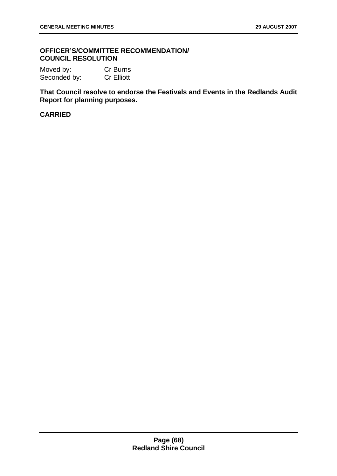## **OFFICER'S/COMMITTEE RECOMMENDATION/ COUNCIL RESOLUTION**

Moved by: Cr Burns Seconded by: Cr Elliott

**That Council resolve to endorse the Festivals and Events in the Redlands Audit Report for planning purposes.** 

## **CARRIED**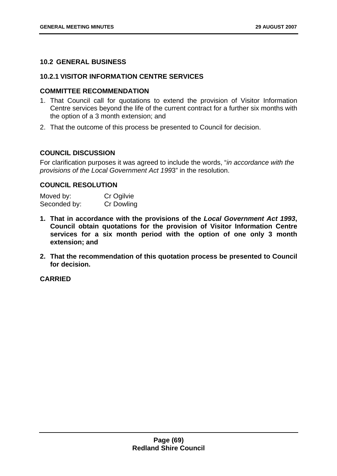## **10.2 GENERAL BUSINESS**

### **10.2.1 VISITOR INFORMATION CENTRE SERVICES**

#### **COMMITTEE RECOMMENDATION**

- 1. That Council call for quotations to extend the provision of Visitor Information Centre services beyond the life of the current contract for a further six months with the option of a 3 month extension; and
- 2. That the outcome of this process be presented to Council for decision.

### **COUNCIL DISCUSSION**

For clarification purposes it was agreed to include the words, "*in accordance with the provisions of the Local Government Act 199*3" in the resolution.

# **COUNCIL RESOLUTION**

Moved by: Cr Ogilvie Seconded by: Cr Dowling

- **1. That in accordance with the provisions of the** *Local Government Act 1993***, Council obtain quotations for the provision of Visitor Information Centre services for a six month period with the option of one only 3 month extension; and**
- **2. That the recommendation of this quotation process be presented to Council for decision.**

**CARRIED**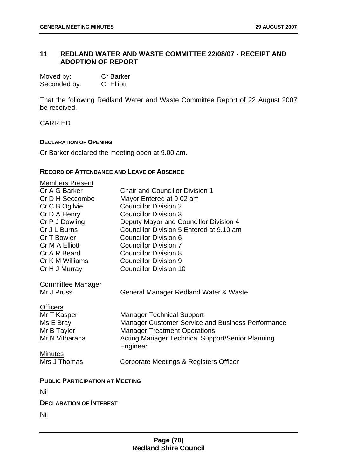# **11 REDLAND WATER AND WASTE COMMITTEE 22/08/07 - RECEIPT AND ADOPTION OF REPORT**

| Moved by:    | <b>Cr Barker</b>  |
|--------------|-------------------|
| Seconded by: | <b>Cr Elliott</b> |

That the following Redland Water and Waste Committee Report of 22 August 2007 be received.

CARRIED

#### **DECLARATION OF OPENING**

Cr Barker declared the meeting open at 9.00 am.

#### **RECORD OF ATTENDANCE AND LEAVE OF ABSENCE**

| <b>Members Present</b>                 |                                                         |  |
|----------------------------------------|---------------------------------------------------------|--|
| Cr A G Barker                          | <b>Chair and Councillor Division 1</b>                  |  |
| Cr D H Seccombe                        | Mayor Entered at 9.02 am                                |  |
| Cr C B Ogilvie                         | <b>Councillor Division 2</b>                            |  |
| Cr D A Henry                           | <b>Councillor Division 3</b>                            |  |
| Cr P J Dowling                         | Deputy Mayor and Councillor Division 4                  |  |
| Cr J L Burns                           | Councillor Division 5 Entered at 9.10 am                |  |
| Cr T Bowler                            | <b>Councillor Division 6</b>                            |  |
| Cr M A Elliott                         | <b>Councillor Division 7</b>                            |  |
| Cr A R Beard                           | <b>Councillor Division 8</b>                            |  |
| Cr K M Williams                        | <b>Councillor Division 9</b>                            |  |
| Cr H J Murray                          | <b>Councillor Division 10</b>                           |  |
|                                        |                                                         |  |
| <b>Committee Manager</b>               |                                                         |  |
| Mr J Pruss                             | General Manager Redland Water & Waste                   |  |
| <b>Officers</b>                        |                                                         |  |
| Mr T Kasper                            | <b>Manager Technical Support</b>                        |  |
| Ms E Bray                              | Manager Customer Service and Business Performance       |  |
| Mr B Taylor                            | <b>Manager Treatment Operations</b>                     |  |
| Mr N Vitharana                         | <b>Acting Manager Technical Support/Senior Planning</b> |  |
|                                        | Engineer                                                |  |
| <b>Minutes</b>                         |                                                         |  |
| Mrs J Thomas                           | Corporate Meetings & Registers Officer                  |  |
|                                        |                                                         |  |
| <b>PUBLIC PARTICIPATION AT MEETING</b> |                                                         |  |
|                                        |                                                         |  |
| Nil                                    |                                                         |  |
| <b>DECLARATION OF INTEREST</b>         |                                                         |  |
| Nil                                    |                                                         |  |
|                                        |                                                         |  |
|                                        |                                                         |  |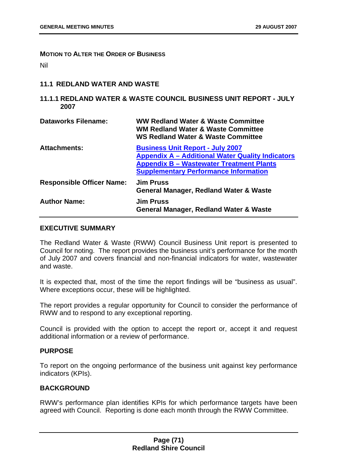**MOTION TO ALTER THE ORDER OF BUSINESS**

Nil

# **11.1 REDLAND WATER AND WASTE**

## **11.1.1 REDLAND WATER & WASTE COUNCIL BUSINESS UNIT REPORT - JULY 2007**

| <b>Dataworks Filename:</b>       | <b>WW Redland Water &amp; Waste Committee</b><br><b>WM Redland Water &amp; Waste Committee</b><br><b>WS Redland Water &amp; Waste Committee</b>                                                       |
|----------------------------------|-------------------------------------------------------------------------------------------------------------------------------------------------------------------------------------------------------|
| <b>Attachments:</b>              | <b>Business Unit Report - July 2007</b><br><b>Appendix A - Additional Water Quality Indicators</b><br><b>Appendix B - Wastewater Treatment Plants</b><br><b>Supplementary Performance Information</b> |
| <b>Responsible Officer Name:</b> | <b>Jim Pruss</b><br><b>General Manager, Redland Water &amp; Waste</b>                                                                                                                                 |
| <b>Author Name:</b>              | <b>Jim Pruss</b><br>General Manager, Redland Water & Waste                                                                                                                                            |

### **EXECUTIVE SUMMARY**

The Redland Water & Waste (RWW) Council Business Unit report is presented to Council for noting. The report provides the business unit's performance for the month of July 2007 and covers financial and non-financial indicators for water, wastewater and waste.

It is expected that, most of the time the report findings will be "business as usual". Where exceptions occur, these will be highlighted.

The report provides a regular opportunity for Council to consider the performance of RWW and to respond to any exceptional reporting.

Council is provided with the option to accept the report or, accept it and request additional information or a review of performance.

### **PURPOSE**

To report on the ongoing performance of the business unit against key performance indicators (KPIs).

# **BACKGROUND**

RWW's performance plan identifies KPIs for which performance targets have been agreed with Council. Reporting is done each month through the RWW Committee.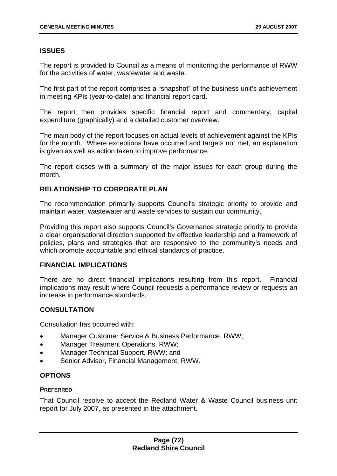# **ISSUES**

The report is provided to Council as a means of monitoring the performance of RWW for the activities of water, wastewater and waste.

The first part of the report comprises a "snapshot" of the business unit's achievement in meeting KPIs (year-to-date) and financial report card.

The report then provides specific financial report and commentary, capital expenditure (graphically) and a detailed customer overview.

The main body of the report focuses on actual levels of achievement against the KPIs for the month. Where exceptions have occurred and targets not met, an explanation is given as well as action taken to improve performance.

The report closes with a summary of the major issues for each group during the month.

# **RELATIONSHIP TO CORPORATE PLAN**

The recommendation primarily supports Council's strategic priority to provide and maintain water, wastewater and waste services to sustain our community.

Providing this report also supports Council's Governance strategic priority to provide a clear organisational direction supported by effective leadership and a framework of policies, plans and strategies that are responsive to the community's needs and which promote accountable and ethical standards of practice.

### **FINANCIAL IMPLICATIONS**

There are no direct financial implications resulting from this report. Financial implications may result where Council requests a performance review or requests an increase in performance standards.

# **CONSULTATION**

Consultation has occurred with:

- Manager Customer Service & Business Performance, RWW;
- Manager Treatment Operations, RWW;
- Manager Technical Support, RWW; and
- Senior Advisor, Financial Management, RWW.

# **OPTIONS**

### **PREFERRED**

That Council resolve to accept the Redland Water & Waste Council business unit report for July 2007, as presented in the attachment.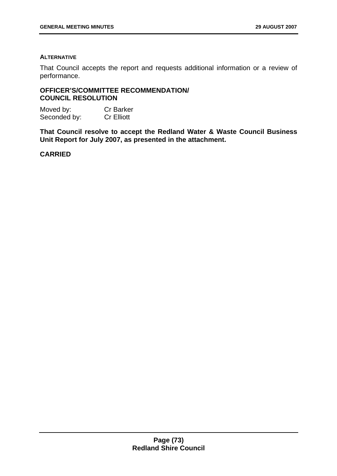## **ALTERNATIVE**

That Council accepts the report and requests additional information or a review of performance.

## **OFFICER'S/COMMITTEE RECOMMENDATION/ COUNCIL RESOLUTION**

Moved by: Cr Barker Seconded by: Cr Elliott

**That Council resolve to accept the Redland Water & Waste Council Business Unit Report for July 2007, as presented in the attachment.**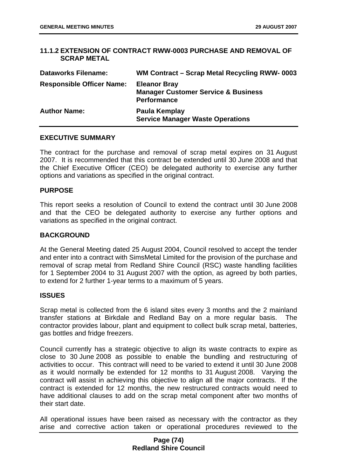### **11.1.2 EXTENSION OF CONTRACT RWW-0003 PURCHASE AND REMOVAL OF SCRAP METAL**

| <b>Dataworks Filename:</b>       | WM Contract – Scrap Metal Recycling RWW-0003                                                |
|----------------------------------|---------------------------------------------------------------------------------------------|
| <b>Responsible Officer Name:</b> | <b>Eleanor Bray</b><br><b>Manager Customer Service &amp; Business</b><br><b>Performance</b> |
| <b>Author Name:</b>              | Paula Kemplay<br><b>Service Manager Waste Operations</b>                                    |

### **EXECUTIVE SUMMARY**

The contract for the purchase and removal of scrap metal expires on 31 August 2007. It is recommended that this contract be extended until 30 June 2008 and that the Chief Executive Officer (CEO) be delegated authority to exercise any further options and variations as specified in the original contract.

### **PURPOSE**

This report seeks a resolution of Council to extend the contract until 30 June 2008 and that the CEO be delegated authority to exercise any further options and variations as specified in the original contract.

## **BACKGROUND**

At the General Meeting dated 25 August 2004, Council resolved to accept the tender and enter into a contract with SimsMetal Limited for the provision of the purchase and removal of scrap metal from Redland Shire Council (RSC) waste handling facilities for 1 September 2004 to 31 August 2007 with the option, as agreed by both parties, to extend for 2 further 1-year terms to a maximum of 5 years.

### **ISSUES**

Scrap metal is collected from the 6 island sites every 3 months and the 2 mainland transfer stations at Birkdale and Redland Bay on a more regular basis. The contractor provides labour, plant and equipment to collect bulk scrap metal, batteries, gas bottles and fridge freezers.

Council currently has a strategic objective to align its waste contracts to expire as close to 30 June 2008 as possible to enable the bundling and restructuring of activities to occur. This contract will need to be varied to extend it until 30 June 2008 as it would normally be extended for 12 months to 31 August 2008. Varying the contract will assist in achieving this objective to align all the major contracts. If the contract is extended for 12 months, the new restructured contracts would need to have additional clauses to add on the scrap metal component after two months of their start date.

All operational issues have been raised as necessary with the contractor as they arise and corrective action taken or operational procedures reviewed to the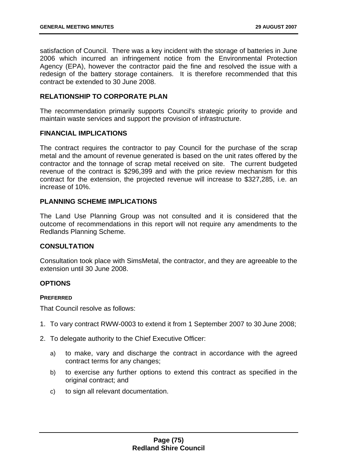satisfaction of Council. There was a key incident with the storage of batteries in June 2006 which incurred an infringement notice from the Environmental Protection Agency (EPA), however the contractor paid the fine and resolved the issue with a redesign of the battery storage containers. It is therefore recommended that this contract be extended to 30 June 2008.

## **RELATIONSHIP TO CORPORATE PLAN**

The recommendation primarily supports Council's strategic priority to provide and maintain waste services and support the provision of infrastructure.

### **FINANCIAL IMPLICATIONS**

The contract requires the contractor to pay Council for the purchase of the scrap metal and the amount of revenue generated is based on the unit rates offered by the contractor and the tonnage of scrap metal received on site. The current budgeted revenue of the contract is \$296,399 and with the price review mechanism for this contract for the extension, the projected revenue will increase to \$327,285, i.e. an increase of 10%.

## **PLANNING SCHEME IMPLICATIONS**

The Land Use Planning Group was not consulted and it is considered that the outcome of recommendations in this report will not require any amendments to the Redlands Planning Scheme.

# **CONSULTATION**

Consultation took place with SimsMetal, the contractor, and they are agreeable to the extension until 30 June 2008.

### **OPTIONS**

### **PREFERRED**

That Council resolve as follows:

- 1. To vary contract RWW-0003 to extend it from 1 September 2007 to 30 June 2008;
- 2. To delegate authority to the Chief Executive Officer:
	- a) to make, vary and discharge the contract in accordance with the agreed contract terms for any changes;
	- b) to exercise any further options to extend this contract as specified in the original contract; and
	- c) to sign all relevant documentation.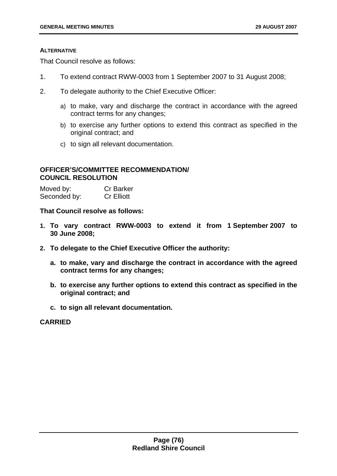#### **ALTERNATIVE**

That Council resolve as follows:

- 1. To extend contract RWW-0003 from 1 September 2007 to 31 August 2008;
- 2. To delegate authority to the Chief Executive Officer:
	- a) to make, vary and discharge the contract in accordance with the agreed contract terms for any changes;
	- b) to exercise any further options to extend this contract as specified in the original contract; and
	- c) to sign all relevant documentation.

## **OFFICER'S/COMMITTEE RECOMMENDATION/ COUNCIL RESOLUTION**

| Moved by:    | <b>Cr Barker</b>  |
|--------------|-------------------|
| Seconded by: | <b>Cr Elliott</b> |

**That Council resolve as follows:** 

- **1. To vary contract RWW-0003 to extend it from 1 September 2007 to 30 June 2008;**
- **2. To delegate to the Chief Executive Officer the authority:** 
	- **a. to make, vary and discharge the contract in accordance with the agreed contract terms for any changes;**
	- **b. to exercise any further options to extend this contract as specified in the original contract; and**
	- **c. to sign all relevant documentation.**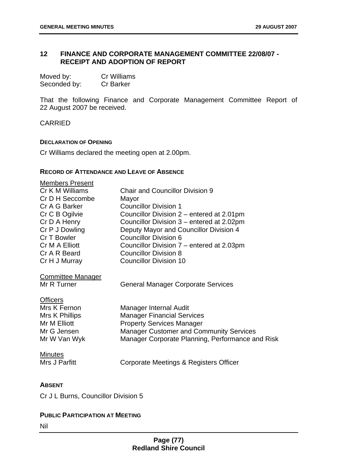## **12 FINANCE AND CORPORATE MANAGEMENT COMMITTEE 22/08/07 - RECEIPT AND ADOPTION OF REPORT**

| Moved by:    | Cr Williams      |
|--------------|------------------|
| Seconded by: | <b>Cr Barker</b> |

That the following Finance and Corporate Management Committee Report of 22 August 2007 be received.

**CARRIED** 

#### **DECLARATION OF OPENING**

Cr Williams declared the meeting open at 2.00pm.

#### **RECORD OF ATTENDANCE AND LEAVE OF ABSENCE**

| <b>Members Present</b>                                                                           |                                                                                                                                                                                                       |
|--------------------------------------------------------------------------------------------------|-------------------------------------------------------------------------------------------------------------------------------------------------------------------------------------------------------|
| Cr K M Williams                                                                                  | <b>Chair and Councillor Division 9</b>                                                                                                                                                                |
| Cr D H Seccombe                                                                                  | Mayor                                                                                                                                                                                                 |
| Cr A G Barker                                                                                    | <b>Councillor Division 1</b>                                                                                                                                                                          |
| Cr C B Ogilvie                                                                                   | Councillor Division 2 – entered at 2.01pm                                                                                                                                                             |
| Cr D A Henry                                                                                     | Councillor Division 3 – entered at 2.02pm                                                                                                                                                             |
| Cr P J Dowling                                                                                   | Deputy Mayor and Councillor Division 4                                                                                                                                                                |
| Cr T Bowler                                                                                      | <b>Councillor Division 6</b>                                                                                                                                                                          |
| Cr M A Elliott                                                                                   | Councillor Division 7 – entered at 2.03pm                                                                                                                                                             |
| Cr A R Beard                                                                                     | <b>Councillor Division 8</b>                                                                                                                                                                          |
| Cr H J Murray                                                                                    | <b>Councillor Division 10</b>                                                                                                                                                                         |
| <b>Committee Manager</b><br>Mr R Turner                                                          | <b>General Manager Corporate Services</b>                                                                                                                                                             |
| <b>Officers</b><br>Mrs K Fernon<br>Mrs K Phillips<br>Mr M Elliott<br>Mr G Jensen<br>Mr W Van Wyk | Manager Internal Audit<br><b>Manager Financial Services</b><br><b>Property Services Manager</b><br><b>Manager Customer and Community Services</b><br>Manager Corporate Planning, Performance and Risk |
| <b>Minutes</b><br>Mrs J Parfitt                                                                  | Corporate Meetings & Registers Officer                                                                                                                                                                |
|                                                                                                  |                                                                                                                                                                                                       |

### **ABSENT**

Cr J L Burns, Councillor Division 5

# **PUBLIC PARTICIPATION AT MEETING**

Nil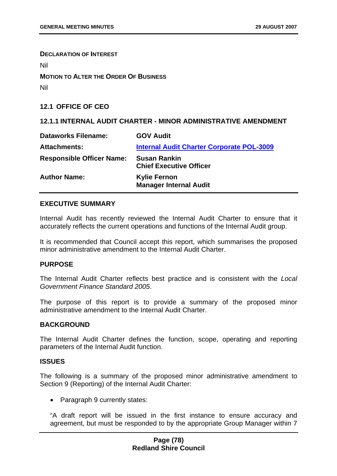**DECLARATION OF INTEREST**

Nil

**MOTION TO ALTER THE ORDER OF BUSINESS**

Nil

**12.1 OFFICE OF CEO** 

# **12.1.1 INTERNAL AUDIT CHARTER - MINOR ADMINISTRATIVE AMENDMENT**

| <b>Dataworks Filename:</b>       | <b>GOV Audit</b>                                      |
|----------------------------------|-------------------------------------------------------|
| <b>Attachments:</b>              | <b>Internal Audit Charter Corporate POL-3009</b>      |
| <b>Responsible Officer Name:</b> | <b>Susan Rankin</b><br><b>Chief Executive Officer</b> |
| <b>Author Name:</b>              | <b>Kylie Fernon</b><br><b>Manager Internal Audit</b>  |

## **EXECUTIVE SUMMARY**

Internal Audit has recently reviewed the Internal Audit Charter to ensure that it accurately reflects the current operations and functions of the Internal Audit group.

It is recommended that Council accept this report, which summarises the proposed minor administrative amendment to the Internal Audit Charter.

# **PURPOSE**

The Internal Audit Charter reflects best practice and is consistent with the *Local Government Finance Standard 2005*.

The purpose of this report is to provide a summary of the proposed minor administrative amendment to the Internal Audit Charter.

### **BACKGROUND**

The Internal Audit Charter defines the function, scope, operating and reporting parameters of the Internal Audit function.

## **ISSUES**

The following is a summary of the proposed minor administrative amendment to Section 9 (Reporting) of the Internal Audit Charter:

• Paragraph 9 currently states:

"A draft report will be issued in the first instance to ensure accuracy and agreement, but must be responded to by the appropriate Group Manager within 7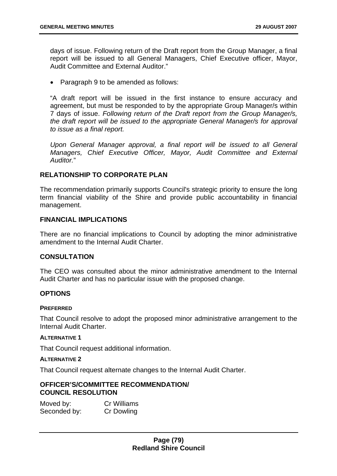days of issue. Following return of the Draft report from the Group Manager, a final report will be issued to all General Managers, Chief Executive officer, Mayor, Audit Committee and External Auditor."

• Paragraph 9 to be amended as follows:

"A draft report will be issued in the first instance to ensure accuracy and agreement, but must be responded to by the appropriate Group Manager/s within 7 days of issue. *Following return of the Draft report from the Group Manager/s, the draft report will be issued to the appropriate General Manager/s for approval to issue as a final report.* 

*Upon General Manager approval, a final report will be issued to all General Managers, Chief Executive Officer, Mayor, Audit Committee and External Auditor.*"

## **RELATIONSHIP TO CORPORATE PLAN**

The recommendation primarily supports Council's strategic priority to ensure the long term financial viability of the Shire and provide public accountability in financial management.

# **FINANCIAL IMPLICATIONS**

There are no financial implications to Council by adopting the minor administrative amendment to the Internal Audit Charter.

### **CONSULTATION**

The CEO was consulted about the minor administrative amendment to the Internal Audit Charter and has no particular issue with the proposed change.

### **OPTIONS**

#### **PREFERRED**

That Council resolve to adopt the proposed minor administrative arrangement to the Internal Audit Charter.

## **ALTERNATIVE 1**

That Council request additional information.

#### **ALTERNATIVE 2**

That Council request alternate changes to the Internal Audit Charter.

### **OFFICER'S/COMMITTEE RECOMMENDATION/ COUNCIL RESOLUTION**

Moved by: Cr Williams Seconded by: Cr Dowling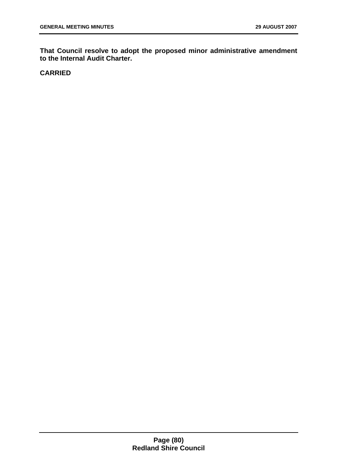**That Council resolve to adopt the proposed minor administrative amendment to the Internal Audit Charter.**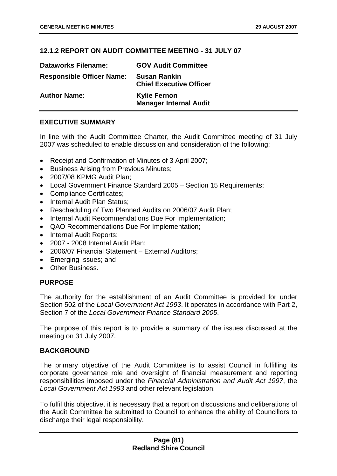# **12.1.2 REPORT ON AUDIT COMMITTEE MEETING - 31 JULY 07**

| <b>Dataworks Filename:</b>       | <b>GOV Audit Committee</b>                            |
|----------------------------------|-------------------------------------------------------|
| <b>Responsible Officer Name:</b> | <b>Susan Rankin</b><br><b>Chief Executive Officer</b> |
| <b>Author Name:</b>              | <b>Kylie Fernon</b><br><b>Manager Internal Audit</b>  |

# **EXECUTIVE SUMMARY**

In line with the Audit Committee Charter, the Audit Committee meeting of 31 July 2007 was scheduled to enable discussion and consideration of the following:

- Receipt and Confirmation of Minutes of 3 April 2007;
- Business Arising from Previous Minutes;
- 2007/08 KPMG Audit Plan:
- Local Government Finance Standard 2005 Section 15 Requirements;
- Compliance Certificates;
- Internal Audit Plan Status:
- Rescheduling of Two Planned Audits on 2006/07 Audit Plan;
- Internal Audit Recommendations Due For Implementation;
- QAO Recommendations Due For Implementation;
- Internal Audit Reports;
- 2007 2008 Internal Audit Plan;
- 2006/07 Financial Statement External Auditors;
- Emerging Issues; and
- Other Business.

# **PURPOSE**

The authority for the establishment of an Audit Committee is provided for under Section 502 of the *Local Government Act 1993*. It operates in accordance with Part 2, Section 7 of the *Local Government Finance Standard 2005*.

The purpose of this report is to provide a summary of the issues discussed at the meeting on 31 July 2007.

### **BACKGROUND**

The primary objective of the Audit Committee is to assist Council in fulfilling its corporate governance role and oversight of financial measurement and reporting responsibilities imposed under the *Financial Administration and Audit Act 1997*, the *Local Government Act 1993* and other relevant legislation.

To fulfil this objective, it is necessary that a report on discussions and deliberations of the Audit Committee be submitted to Council to enhance the ability of Councillors to discharge their legal responsibility.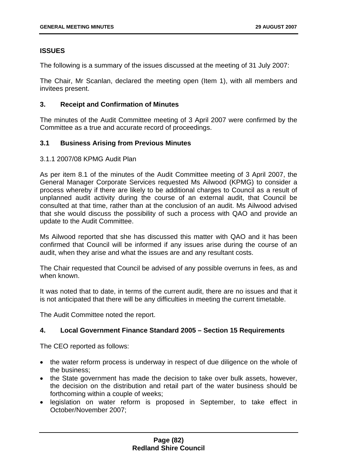# **ISSUES**

The following is a summary of the issues discussed at the meeting of 31 July 2007:

The Chair, Mr Scanlan, declared the meeting open (Item 1), with all members and invitees present.

## **3. Receipt and Confirmation of Minutes**

The minutes of the Audit Committee meeting of 3 April 2007 were confirmed by the Committee as a true and accurate record of proceedings.

# **3.1 Business Arising from Previous Minutes**

### 3.1.1 2007/08 KPMG Audit Plan

As per item 8.1 of the minutes of the Audit Committee meeting of 3 April 2007, the General Manager Corporate Services requested Ms Ailwood (KPMG) to consider a process whereby if there are likely to be additional charges to Council as a result of unplanned audit activity during the course of an external audit, that Council be consulted at that time, rather than at the conclusion of an audit. Ms Ailwood advised that she would discuss the possibility of such a process with QAO and provide an update to the Audit Committee.

Ms Ailwood reported that she has discussed this matter with QAO and it has been confirmed that Council will be informed if any issues arise during the course of an audit, when they arise and what the issues are and any resultant costs.

The Chair requested that Council be advised of any possible overruns in fees, as and when known.

It was noted that to date, in terms of the current audit, there are no issues and that it is not anticipated that there will be any difficulties in meeting the current timetable.

The Audit Committee noted the report.

# **4. Local Government Finance Standard 2005 – Section 15 Requirements**

The CEO reported as follows:

- the water reform process is underway in respect of due diligence on the whole of the business;
- the State government has made the decision to take over bulk assets, however, the decision on the distribution and retail part of the water business should be forthcoming within a couple of weeks;
- legislation on water reform is proposed in September, to take effect in October/November 2007;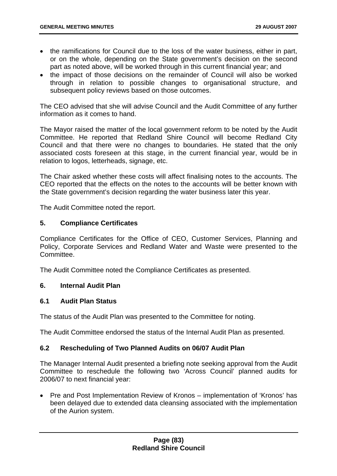- the ramifications for Council due to the loss of the water business, either in part, or on the whole, depending on the State government's decision on the second part as noted above, will be worked through in this current financial year; and
- the impact of those decisions on the remainder of Council will also be worked through in relation to possible changes to organisational structure, and subsequent policy reviews based on those outcomes.

The CEO advised that she will advise Council and the Audit Committee of any further information as it comes to hand.

The Mayor raised the matter of the local government reform to be noted by the Audit Committee. He reported that Redland Shire Council will become Redland City Council and that there were no changes to boundaries. He stated that the only associated costs foreseen at this stage, in the current financial year, would be in relation to logos, letterheads, signage, etc.

The Chair asked whether these costs will affect finalising notes to the accounts. The CEO reported that the effects on the notes to the accounts will be better known with the State government's decision regarding the water business later this year.

The Audit Committee noted the report.

## **5. Compliance Certificates**

Compliance Certificates for the Office of CEO, Customer Services, Planning and Policy, Corporate Services and Redland Water and Waste were presented to the Committee.

The Audit Committee noted the Compliance Certificates as presented.

### **6. Internal Audit Plan**

## **6.1 Audit Plan Status**

The status of the Audit Plan was presented to the Committee for noting.

The Audit Committee endorsed the status of the Internal Audit Plan as presented.

# **6.2 Rescheduling of Two Planned Audits on 06/07 Audit Plan**

The Manager Internal Audit presented a briefing note seeking approval from the Audit Committee to reschedule the following two 'Across Council' planned audits for 2006/07 to next financial year:

• Pre and Post Implementation Review of Kronos – implementation of 'Kronos' has been delayed due to extended data cleansing associated with the implementation of the Aurion system.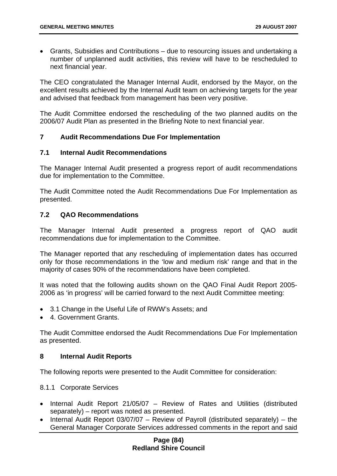• Grants, Subsidies and Contributions – due to resourcing issues and undertaking a number of unplanned audit activities, this review will have to be rescheduled to next financial year.

The CEO congratulated the Manager Internal Audit, endorsed by the Mayor, on the excellent results achieved by the Internal Audit team on achieving targets for the year and advised that feedback from management has been very positive.

The Audit Committee endorsed the rescheduling of the two planned audits on the 2006/07 Audit Plan as presented in the Briefing Note to next financial year.

# **7 Audit Recommendations Due For Implementation**

### **7.1 Internal Audit Recommendations**

The Manager Internal Audit presented a progress report of audit recommendations due for implementation to the Committee.

The Audit Committee noted the Audit Recommendations Due For Implementation as presented.

## **7.2 QAO Recommendations**

The Manager Internal Audit presented a progress report of QAO audit recommendations due for implementation to the Committee.

The Manager reported that any rescheduling of implementation dates has occurred only for those recommendations in the 'low and medium risk' range and that in the majority of cases 90% of the recommendations have been completed.

It was noted that the following audits shown on the QAO Final Audit Report 2005- 2006 as 'in progress' will be carried forward to the next Audit Committee meeting:

- 3.1 Change in the Useful Life of RWW's Assets; and
- 4. Government Grants.

The Audit Committee endorsed the Audit Recommendations Due For Implementation as presented.

### **8 Internal Audit Reports**

The following reports were presented to the Audit Committee for consideration:

8.1.1 Corporate Services

- Internal Audit Report 21/05/07 Review of Rates and Utilities (distributed separately) – report was noted as presented.
- Internal Audit Report 03/07/07 Review of Payroll (distributed separately) the General Manager Corporate Services addressed comments in the report and said

## **Page (84) Redland Shire Council**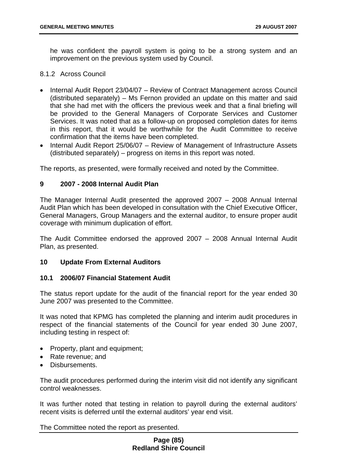he was confident the payroll system is going to be a strong system and an improvement on the previous system used by Council.

### 8.1.2 Across Council

- Internal Audit Report 23/04/07 Review of Contract Management across Council (distributed separately) – Ms Fernon provided an update on this matter and said that she had met with the officers the previous week and that a final briefing will be provided to the General Managers of Corporate Services and Customer Services. It was noted that as a follow-up on proposed completion dates for items in this report, that it would be worthwhile for the Audit Committee to receive confirmation that the items have been completed.
- Internal Audit Report 25/06/07 Review of Management of Infrastructure Assets (distributed separately) – progress on items in this report was noted.

The reports, as presented, were formally received and noted by the Committee.

## **9 2007 - 2008 Internal Audit Plan**

The Manager Internal Audit presented the approved 2007 – 2008 Annual Internal Audit Plan which has been developed in consultation with the Chief Executive Officer, General Managers, Group Managers and the external auditor, to ensure proper audit coverage with minimum duplication of effort.

The Audit Committee endorsed the approved 2007 – 2008 Annual Internal Audit Plan, as presented.

### **10 Update From External Auditors**

### **10.1 2006/07 Financial Statement Audit**

The status report update for the audit of the financial report for the year ended 30 June 2007 was presented to the Committee.

It was noted that KPMG has completed the planning and interim audit procedures in respect of the financial statements of the Council for year ended 30 June 2007, including testing in respect of:

- Property, plant and equipment;
- Rate revenue; and
- Disbursements.

The audit procedures performed during the interim visit did not identify any significant control weaknesses.

It was further noted that testing in relation to payroll during the external auditors' recent visits is deferred until the external auditors' year end visit.

The Committee noted the report as presented.

## **Page (85) Redland Shire Council**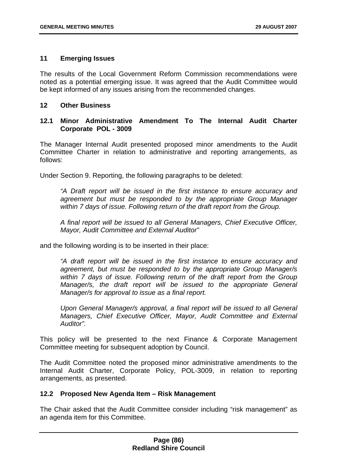## **11 Emerging Issues**

The results of the Local Government Reform Commission recommendations were noted as a potential emerging issue. It was agreed that the Audit Committee would be kept informed of any issues arising from the recommended changes.

## **12 Other Business**

# **12.1 Minor Administrative Amendment To The Internal Audit Charter Corporate POL - 3009**

The Manager Internal Audit presented proposed minor amendments to the Audit Committee Charter in relation to administrative and reporting arrangements, as follows:

Under Section 9. Reporting, the following paragraphs to be deleted:

*"A Draft report will be issued in the first instance to ensure accuracy and agreement but must be responded to by the appropriate Group Manager within 7 days of issue. Following return of the draft report from the Group.* 

*A final report will be issued to all General Managers, Chief Executive Officer, Mayor, Audit Committee and External Auditor"*

and the following wording is to be inserted in their place:

*"A draft report will be issued in the first instance to ensure accuracy and agreement, but must be responded to by the appropriate Group Manager/s within 7 days of issue. Following return of the draft report from the Group Manager/s, the draft report will be issued to the appropriate General Manager/s for approval to issue as a final report.* 

*Upon General Manager/s approval, a final report will be issued to all General Managers, Chief Executive Officer, Mayor, Audit Committee and External Auditor".*

This policy will be presented to the next Finance & Corporate Management Committee meeting for subsequent adoption by Council.

The Audit Committee noted the proposed minor administrative amendments to the Internal Audit Charter, Corporate Policy, POL-3009, in relation to reporting arrangements, as presented.

# **12.2 Proposed New Agenda Item – Risk Management**

The Chair asked that the Audit Committee consider including "risk management" as an agenda item for this Committee.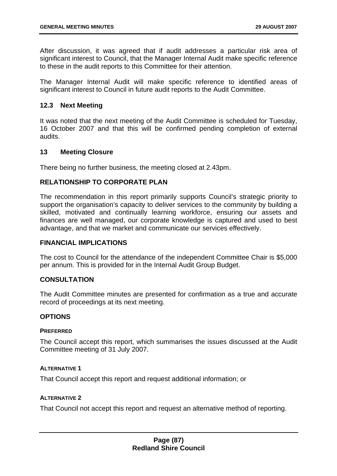After discussion, it was agreed that if audit addresses a particular risk area of significant interest to Council, that the Manager Internal Audit make specific reference to these in the audit reports to this Committee for their attention.

The Manager Internal Audit will make specific reference to identified areas of significant interest to Council in future audit reports to the Audit Committee.

### **12.3 Next Meeting**

It was noted that the next meeting of the Audit Committee is scheduled for Tuesday, 16 October 2007 and that this will be confirmed pending completion of external audits.

### **13 Meeting Closure**

There being no further business, the meeting closed at 2.43pm.

## **RELATIONSHIP TO CORPORATE PLAN**

The recommendation in this report primarily supports Council's strategic priority to support the organisation's capacity to deliver services to the community by building a skilled, motivated and continually learning workforce, ensuring our assets and finances are well managed, our corporate knowledge is captured and used to best advantage, and that we market and communicate our services effectively.

#### **FINANCIAL IMPLICATIONS**

The cost to Council for the attendance of the independent Committee Chair is \$5,000 per annum. This is provided for in the Internal Audit Group Budget.

### **CONSULTATION**

The Audit Committee minutes are presented for confirmation as a true and accurate record of proceedings at its next meeting.

#### **OPTIONS**

#### **PREFERRED**

The Council accept this report, which summarises the issues discussed at the Audit Committee meeting of 31 July 2007.

#### **ALTERNATIVE 1**

That Council accept this report and request additional information; or

#### **ALTERNATIVE 2**

That Council not accept this report and request an alternative method of reporting.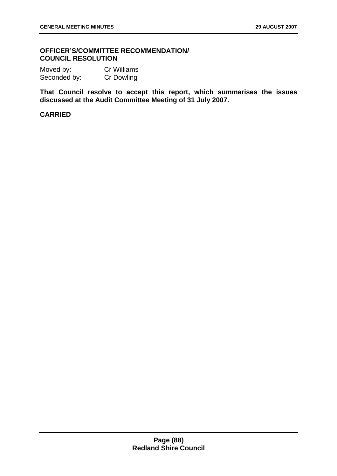## **OFFICER'S/COMMITTEE RECOMMENDATION/ COUNCIL RESOLUTION**

Moved by: Cr Williams Seconded by: Cr Dowling

**That Council resolve to accept this report, which summarises the issues discussed at the Audit Committee Meeting of 31 July 2007.**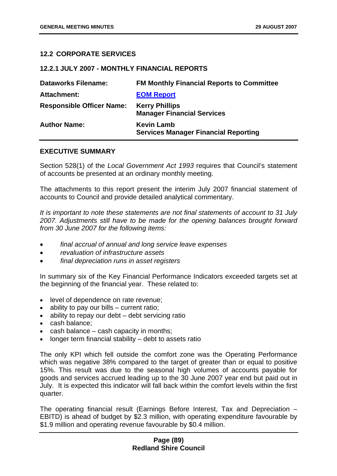## **12.2 CORPORATE SERVICES**

### **12.2.1 JULY 2007 - MONTHLY FINANCIAL REPORTS**

| <b>Dataworks Filename:</b>       | <b>FM Monthly Financial Reports to Committee</b>                 |
|----------------------------------|------------------------------------------------------------------|
| <b>Attachment:</b>               | <b>EOM Report</b>                                                |
| <b>Responsible Officer Name:</b> | <b>Kerry Phillips</b><br><b>Manager Financial Services</b>       |
| <b>Author Name:</b>              | <b>Kevin Lamb</b><br><b>Services Manager Financial Reporting</b> |

### **EXECUTIVE SUMMARY**

Section 528(1) of the *Local Government Act 1993* requires that Council's statement of accounts be presented at an ordinary monthly meeting.

The attachments to this report present the interim July 2007 financial statement of accounts to Council and provide detailed analytical commentary.

*It is important to note these statements are not final statements of account to 31 July 2007. Adjustments still have to be made for the opening balances brought forward from 30 June 2007 for the following items:* 

- *final accrual of annual and long service leave expenses*
- *revaluation of infrastructure assets*
- *final depreciation runs in asset registers*

In summary six of the Key Financial Performance Indicators exceeded targets set at the beginning of the financial year. These related to:

- level of dependence on rate revenue;
- ability to pay our bills current ratio;
- ability to repay our debt debt servicing ratio
- cash balance;
- cash balance cash capacity in months:
- longer term financial stability  $-$  debt to assets ratio

The only KPI which fell outside the comfort zone was the Operating Performance which was negative 38% compared to the target of greater than or equal to positive 15%. This result was due to the seasonal high volumes of accounts payable for goods and services accrued leading up to the 30 June 2007 year end but paid out in July. It is expected this indicator will fall back within the comfort levels within the first quarter.

The operating financial result (Earnings Before Interest, Tax and Depreciation – EBITD) is ahead of budget by \$2.3 million, with operating expenditure favourable by \$1.9 million and operating revenue favourable by \$0.4 million.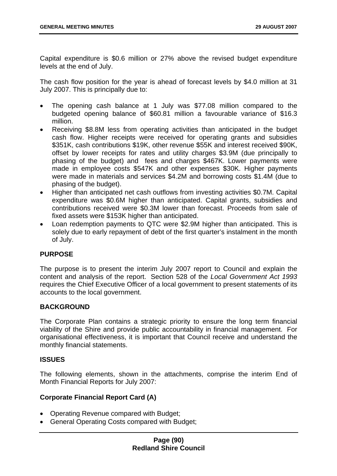Capital expenditure is \$0.6 million or 27% above the revised budget expenditure levels at the end of July.

The cash flow position for the year is ahead of forecast levels by \$4.0 million at 31 July 2007. This is principally due to:

- The opening cash balance at 1 July was \$77.08 million compared to the budgeted opening balance of \$60.81 million a favourable variance of \$16.3 million.
- Receiving \$8.8M less from operating activities than anticipated in the budget cash flow. Higher receipts were received for operating grants and subsidies \$351K, cash contributions \$19K, other revenue \$55K and interest received \$90K, offset by lower receipts for rates and utility charges \$3.9M (due principally to phasing of the budget) and fees and charges \$467K. Lower payments were made in employee costs \$547K and other expenses \$30K. Higher payments were made in materials and services \$4.2M and borrowing costs \$1.4M (due to phasing of the budget).
- Higher than anticipated net cash outflows from investing activities \$0.7M. Capital expenditure was \$0.6M higher than anticipated. Capital grants, subsidies and contributions received were \$0.3M lower than forecast. Proceeds from sale of fixed assets were \$153K higher than anticipated.
- Loan redemption payments to QTC were \$2.9M higher than anticipated. This is solely due to early repayment of debt of the first quarter's instalment in the month of July.

# **PURPOSE**

The purpose is to present the interim July 2007 report to Council and explain the content and analysis of the report. Section 528 of the *Local Government Act 1993* requires the Chief Executive Officer of a local government to present statements of its accounts to the local government.

### **BACKGROUND**

The Corporate Plan contains a strategic priority to ensure the long term financial viability of the Shire and provide public accountability in financial management. For organisational effectiveness, it is important that Council receive and understand the monthly financial statements.

### **ISSUES**

The following elements, shown in the attachments, comprise the interim End of Month Financial Reports for July 2007:

### **Corporate Financial Report Card (A)**

- Operating Revenue compared with Budget;
- General Operating Costs compared with Budget;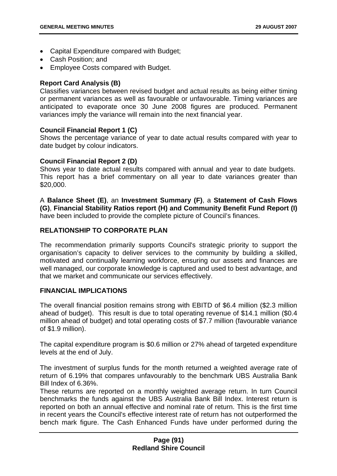- Capital Expenditure compared with Budget;
- Cash Position; and
- Employee Costs compared with Budget.

## **Report Card Analysis (B)**

Classifies variances between revised budget and actual results as being either timing or permanent variances as well as favourable or unfavourable. Timing variances are anticipated to evaporate once 30 June 2008 figures are produced. Permanent variances imply the variance will remain into the next financial year.

## **Council Financial Report 1 (C)**

Shows the percentage variance of year to date actual results compared with year to date budget by colour indicators.

## **Council Financial Report 2 (D)**

Shows year to date actual results compared with annual and year to date budgets. This report has a brief commentary on all year to date variances greater than \$20,000.

A **Balance Sheet (E)**, an **Investment Summary (F)**, a **Statement of Cash Flows (G)**, **Financial Stability Ratios report (H) and Community Benefit Fund Report (I)**  have been included to provide the complete picture of Council's finances.

# **RELATIONSHIP TO CORPORATE PLAN**

The recommendation primarily supports Council's strategic priority to support the organisation's capacity to deliver services to the community by building a skilled, motivated and continually learning workforce, ensuring our assets and finances are well managed, our corporate knowledge is captured and used to best advantage, and that we market and communicate our services effectively.

### **FINANCIAL IMPLICATIONS**

The overall financial position remains strong with EBITD of \$6.4 million (\$2.3 million ahead of budget). This result is due to total operating revenue of \$14.1 million (\$0.4 million ahead of budget) and total operating costs of \$7.7 million (favourable variance of \$1.9 million).

The capital expenditure program is \$0.6 million or 27% ahead of targeted expenditure levels at the end of July.

The investment of surplus funds for the month returned a weighted average rate of return of 6.19% that compares unfavourably to the benchmark UBS Australia Bank Bill Index of 6.36%.

These returns are reported on a monthly weighted average return. In turn Council benchmarks the funds against the UBS Australia Bank Bill Index. Interest return is reported on both an annual effective and nominal rate of return. This is the first time in recent years the Council's effective interest rate of return has not outperformed the bench mark figure. The Cash Enhanced Funds have under performed during the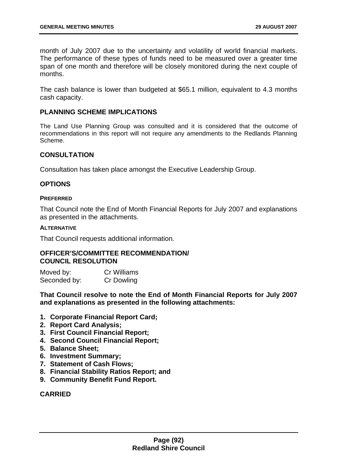month of July 2007 due to the uncertainty and volatility of world financial markets. The performance of these types of funds need to be measured over a greater time span of one month and therefore will be closely monitored during the next couple of months.

The cash balance is lower than budgeted at \$65.1 million, equivalent to 4.3 months cash capacity.

### **PLANNING SCHEME IMPLICATIONS**

The Land Use Planning Group was consulted and it is considered that the outcome of recommendations in this report will not require any amendments to the Redlands Planning Scheme.

## **CONSULTATION**

Consultation has taken place amongst the Executive Leadership Group.

### **OPTIONS**

#### **PREFERRED**

That Council note the End of Month Financial Reports for July 2007 and explanations as presented in the attachments.

#### **ALTERNATIVE**

That Council requests additional information.

## **OFFICER'S/COMMITTEE RECOMMENDATION/ COUNCIL RESOLUTION**

Moved by: Cr Williams Seconded by: Cr Dowling

**That Council resolve to note the End of Month Financial Reports for July 2007 and explanations as presented in the following attachments:** 

- **1. Corporate Financial Report Card;**
- **2. Report Card Analysis;**
- **3. First Council Financial Report;**
- **4. Second Council Financial Report;**
- **5. Balance Sheet;**
- **6. Investment Summary;**
- **7. Statement of Cash Flows;**
- **8. Financial Stability Ratios Report; and**
- **9. Community Benefit Fund Report.**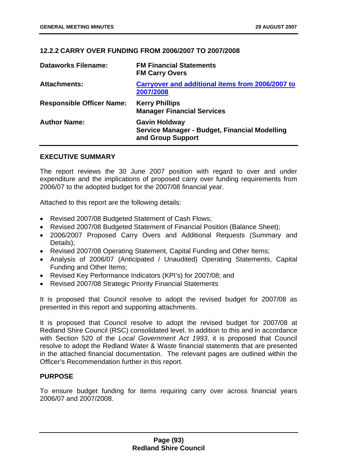# **12.2.2 CARRY OVER FUNDING FROM 2006/2007 TO 2007/2008**

| <b>Dataworks Filename:</b>       | <b>FM Financial Statements</b><br><b>FM Carry Overs</b>                                    |
|----------------------------------|--------------------------------------------------------------------------------------------|
| <b>Attachments:</b>              | <b>Carryover and additional items from 2006/2007 to</b><br>2007/2008                       |
| <b>Responsible Officer Name:</b> | <b>Kerry Phillips</b><br><b>Manager Financial Services</b>                                 |
| <b>Author Name:</b>              | <b>Gavin Holdway</b><br>Service Manager - Budget, Financial Modelling<br>and Group Support |

### **EXECUTIVE SUMMARY**

The report reviews the 30 June 2007 position with regard to over and under expenditure and the implications of proposed carry over funding requirements from 2006/07 to the adopted budget for the 2007/08 financial year.

Attached to this report are the following details:

- Revised 2007/08 Budgeted Statement of Cash Flows;
- Revised 2007/08 Budgeted Statement of Financial Position (Balance Sheet);
- 2006/2007 Proposed Carry Overs and Additional Requests (Summary and Details);
- Revised 2007/08 Operating Statement, Capital Funding and Other Items;
- Analysis of 2006/07 (Anticipated / Unaudited) Operating Statements, Capital Funding and Other Items;
- Revised Key Performance Indicators (KPI's) for 2007/08; and
- Revised 2007/08 Strategic Priority Financial Statements

It is proposed that Council resolve to adopt the revised budget for 2007/08 as presented in this report and supporting attachments.

It is proposed that Council resolve to adopt the revised budget for 2007/08 at Redland Shire Council (RSC) consolidated level. In addition to this and in accordance with Section 520 of the *Local Government Act 1993*, it is proposed that Council resolve to adopt the Redland Water & Waste financial statements that are presented in the attached financial documentation. The relevant pages are outlined within the Officer's Recommendation further in this report.

### **PURPOSE**

To ensure budget funding for items requiring carry over across financial years 2006/07 and 2007/2008.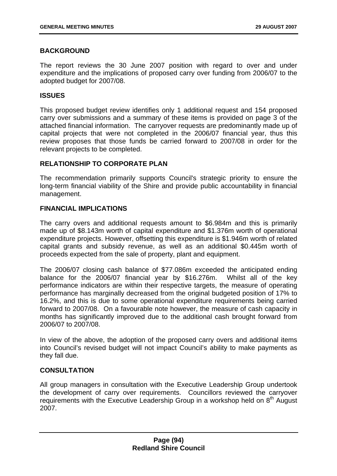# **BACKGROUND**

The report reviews the 30 June 2007 position with regard to over and under expenditure and the implications of proposed carry over funding from 2006/07 to the adopted budget for 2007/08.

### **ISSUES**

This proposed budget review identifies only 1 additional request and 154 proposed carry over submissions and a summary of these items is provided on page 3 of the attached financial information. The carryover requests are predominantly made up of capital projects that were not completed in the 2006/07 financial year, thus this review proposes that those funds be carried forward to 2007/08 in order for the relevant projects to be completed.

## **RELATIONSHIP TO CORPORATE PLAN**

The recommendation primarily supports Council's strategic priority to ensure the long-term financial viability of the Shire and provide public accountability in financial management.

## **FINANCIAL IMPLICATIONS**

The carry overs and additional requests amount to \$6.984m and this is primarily made up of \$8.143m worth of capital expenditure and \$1.376m worth of operational expenditure projects. However, offsetting this expenditure is \$1.946m worth of related capital grants and subsidy revenue, as well as an additional \$0.445m worth of proceeds expected from the sale of property, plant and equipment.

The 2006/07 closing cash balance of \$77.086m exceeded the anticipated ending balance for the 2006/07 financial year by \$16.276m. Whilst all of the key performance indicators are within their respective targets, the measure of operating performance has marginally decreased from the original budgeted position of 17% to 16.2%, and this is due to some operational expenditure requirements being carried forward to 2007/08. On a favourable note however, the measure of cash capacity in months has significantly improved due to the additional cash brought forward from 2006/07 to 2007/08.

In view of the above, the adoption of the proposed carry overs and additional items into Council's revised budget will not impact Council's ability to make payments as they fall due.

# **CONSULTATION**

All group managers in consultation with the Executive Leadership Group undertook the development of carry over requirements. Councillors reviewed the carryover requirements with the Executive Leadership Group in a workshop held on 8<sup>th</sup> August 2007.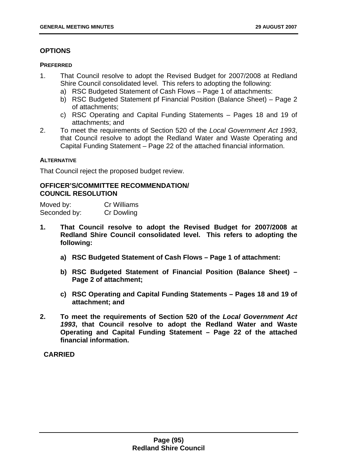# **OPTIONS**

### **PREFERRED**

- 1. That Council resolve to adopt the Revised Budget for 2007/2008 at Redland Shire Council consolidated level. This refers to adopting the following:
	- a) RSC Budgeted Statement of Cash Flows Page 1 of attachments:
	- b) RSC Budgeted Statement pf Financial Position (Balance Sheet) Page 2 of attachments;
	- c) RSC Operating and Capital Funding Statements Pages 18 and 19 of attachments; and
- 2. To meet the requirements of Section 520 of the *Local Government Act 1993*, that Council resolve to adopt the Redland Water and Waste Operating and Capital Funding Statement – Page 22 of the attached financial information.

## **ALTERNATIVE**

That Council reject the proposed budget review.

# **OFFICER'S/COMMITTEE RECOMMENDATION/ COUNCIL RESOLUTION**

| Moved by:    | Cr Williams       |
|--------------|-------------------|
| Seconded by: | <b>Cr Dowling</b> |

- **1. That Council resolve to adopt the Revised Budget for 2007/2008 at Redland Shire Council consolidated level. This refers to adopting the following:** 
	- **a) RSC Budgeted Statement of Cash Flows Page 1 of attachment:**
	- **b) RSC Budgeted Statement of Financial Position (Balance Sheet) Page 2 of attachment;**
	- **c) RSC Operating and Capital Funding Statements Pages 18 and 19 of attachment; and**
- **2. To meet the requirements of Section 520 of the** *Local Government Act 1993***, that Council resolve to adopt the Redland Water and Waste Operating and Capital Funding Statement – Page 22 of the attached financial information.**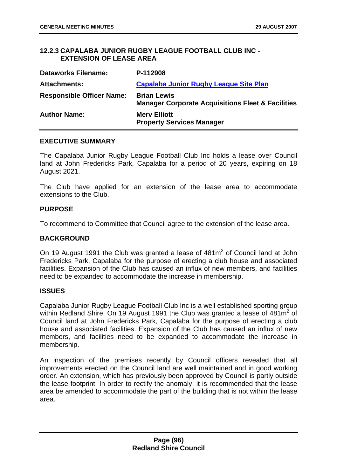# **12.2.3 CAPALABA JUNIOR RUGBY LEAGUE FOOTBALL CLUB INC - EXTENSION OF LEASE AREA**

| <b>Dataworks Filename:</b>       | P-112908                                                                           |
|----------------------------------|------------------------------------------------------------------------------------|
| <b>Attachments:</b>              | Capalaba Junior Rugby League Site Plan                                             |
| <b>Responsible Officer Name:</b> | <b>Brian Lewis</b><br><b>Manager Corporate Acquisitions Fleet &amp; Facilities</b> |
| <b>Author Name:</b>              | <b>Mery Elliott</b><br><b>Property Services Manager</b>                            |

### **EXECUTIVE SUMMARY**

The Capalaba Junior Rugby League Football Club Inc holds a lease over Council land at John Fredericks Park, Capalaba for a period of 20 years, expiring on 18 August 2021.

The Club have applied for an extension of the lease area to accommodate extensions to the Club.

## **PURPOSE**

To recommend to Committee that Council agree to the extension of the lease area.

# **BACKGROUND**

On 19 August 1991 the Club was granted a lease of  $481m^2$  of Council land at John Fredericks Park, Capalaba for the purpose of erecting a club house and associated facilities. Expansion of the Club has caused an influx of new members, and facilities need to be expanded to accommodate the increase in membership.

### **ISSUES**

Capalaba Junior Rugby League Football Club Inc is a well established sporting group within Redland Shire. On 19 August 1991 the Club was granted a lease of  $481m^2$  of Council land at John Fredericks Park, Capalaba for the purpose of erecting a club house and associated facilities. Expansion of the Club has caused an influx of new members, and facilities need to be expanded to accommodate the increase in membership.

An inspection of the premises recently by Council officers revealed that all improvements erected on the Council land are well maintained and in good working order. An extension, which has previously been approved by Council is partly outside the lease footprint. In order to rectify the anomaly, it is recommended that the lease area be amended to accommodate the part of the building that is not within the lease area.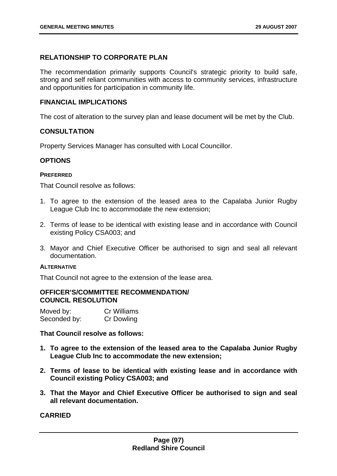### **RELATIONSHIP TO CORPORATE PLAN**

The recommendation primarily supports Council's strategic priority to build safe, strong and self reliant communities with access to community services, infrastructure and opportunities for participation in community life.

## **FINANCIAL IMPLICATIONS**

The cost of alteration to the survey plan and lease document will be met by the Club.

### **CONSULTATION**

Property Services Manager has consulted with Local Councillor.

## **OPTIONS**

### **PREFERRED**

That Council resolve as follows:

- 1. To agree to the extension of the leased area to the Capalaba Junior Rugby League Club Inc to accommodate the new extension;
- 2. Terms of lease to be identical with existing lease and in accordance with Council existing Policy CSA003; and
- 3. Mayor and Chief Executive Officer be authorised to sign and seal all relevant documentation.

#### **ALTERNATIVE**

That Council not agree to the extension of the lease area.

#### **OFFICER'S/COMMITTEE RECOMMENDATION/ COUNCIL RESOLUTION**

| Moved by:    | <b>Cr Williams</b> |
|--------------|--------------------|
| Seconded by: | Cr Dowling         |

### **That Council resolve as follows:**

- **1. To agree to the extension of the leased area to the Capalaba Junior Rugby League Club Inc to accommodate the new extension;**
- **2. Terms of lease to be identical with existing lease and in accordance with Council existing Policy CSA003; and**
- **3. That the Mayor and Chief Executive Officer be authorised to sign and seal all relevant documentation.**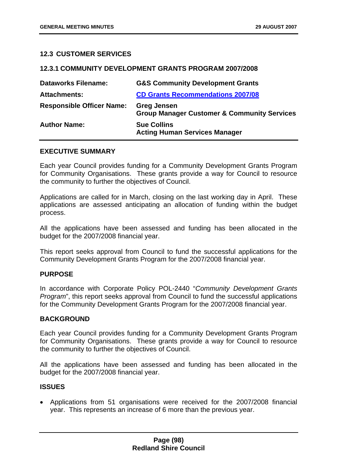## **12.3 CUSTOMER SERVICES**

### **12.3.1 COMMUNITY DEVELOPMENT GRANTS PROGRAM 2007/2008**

| <b>Dataworks Filename:</b>       | <b>G&amp;S Community Development Grants</b>                                  |
|----------------------------------|------------------------------------------------------------------------------|
| <b>Attachments:</b>              | <b>CD Grants Recommendations 2007/08</b>                                     |
| <b>Responsible Officer Name:</b> | <b>Greg Jensen</b><br><b>Group Manager Customer &amp; Community Services</b> |
| <b>Author Name:</b>              | <b>Sue Collins</b><br><b>Acting Human Services Manager</b>                   |

### **EXECUTIVE SUMMARY**

Each year Council provides funding for a Community Development Grants Program for Community Organisations. These grants provide a way for Council to resource the community to further the objectives of Council.

Applications are called for in March, closing on the last working day in April. These applications are assessed anticipating an allocation of funding within the budget process.

All the applications have been assessed and funding has been allocated in the budget for the 2007/2008 financial year.

This report seeks approval from Council to fund the successful applications for the Community Development Grants Program for the 2007/2008 financial year.

### **PURPOSE**

In accordance with Corporate Policy POL-2440 "*Community Development Grants Program*", this report seeks approval from Council to fund the successful applications for the Community Development Grants Program for the 2007/2008 financial year.

### **BACKGROUND**

Each year Council provides funding for a Community Development Grants Program for Community Organisations. These grants provide a way for Council to resource the community to further the objectives of Council.

All the applications have been assessed and funding has been allocated in the budget for the 2007/2008 financial year.

### **ISSUES**

• Applications from 51 organisations were received for the 2007/2008 financial year. This represents an increase of 6 more than the previous year.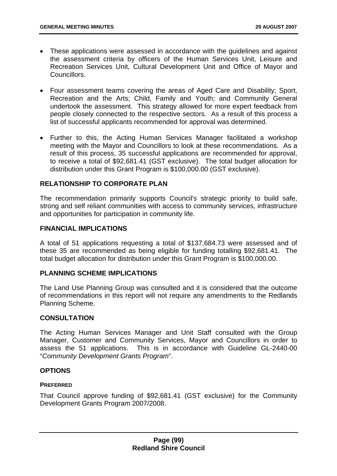- These applications were assessed in accordance with the guidelines and against the assessment criteria by officers of the Human Services Unit, Leisure and Recreation Services Unit, Cultural Development Unit and Office of Mayor and Councillors.
- Four assessment teams covering the areas of Aged Care and Disability; Sport, Recreation and the Arts; Child, Family and Youth; and Community General undertook the assessment. This strategy allowed for more expert feedback from people closely connected to the respective sectors. As a result of this process a list of successful applicants recommended for approval was determined.
- Further to this, the Acting Human Services Manager facilitated a workshop meeting with the Mayor and Councillors to look at these recommendations. As a result of this process, 35 successful applications are recommended for approval, to receive a total of \$92,681.41 (GST exclusive). The total budget allocation for distribution under this Grant Program is \$100,000.00 (GST exclusive).

## **RELATIONSHIP TO CORPORATE PLAN**

The recommendation primarily supports Council's strategic priority to build safe, strong and self reliant communities with access to community services, infrastructure and opportunities for participation in community life.

## **FINANCIAL IMPLICATIONS**

A total of 51 applications requesting a total of \$137,684.73 were assessed and of these 35 are recommended as being eligible for funding totalling \$92,681.41. The total budget allocation for distribution under this Grant Program is \$100,000.00.

### **PLANNING SCHEME IMPLICATIONS**

The Land Use Planning Group was consulted and it is considered that the outcome of recommendations in this report will not require any amendments to the Redlands Planning Scheme.

### **CONSULTATION**

The Acting Human Services Manager and Unit Staff consulted with the Group Manager, Customer and Community Services, Mayor and Councillors in order to assess the 51 applications. This is in accordance with Guideline GL-2440-00 "*Community Development Grants Program*".

### **OPTIONS**

### **PREFERRED**

That Council approve funding of \$92,681.41 (GST exclusive) for the Community Development Grants Program 2007/2008.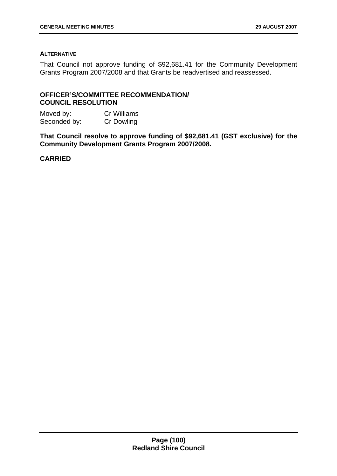#### **ALTERNATIVE**

That Council not approve funding of \$92,681.41 for the Community Development Grants Program 2007/2008 and that Grants be readvertised and reassessed.

# **OFFICER'S/COMMITTEE RECOMMENDATION/ COUNCIL RESOLUTION**

Moved by: Cr Williams Seconded by: Cr Dowling

**That Council resolve to approve funding of \$92,681.41 (GST exclusive) for the Community Development Grants Program 2007/2008.**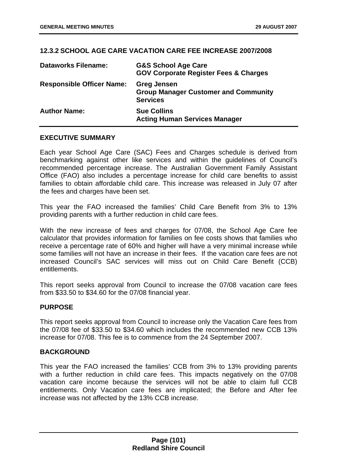## **12.3.2 SCHOOL AGE CARE VACATION CARE FEE INCREASE 2007/2008**

| <b>Dataworks Filename:</b>       | <b>G&amp;S School Age Care</b><br><b>GOV Corporate Register Fees &amp; Charges</b>   |
|----------------------------------|--------------------------------------------------------------------------------------|
| <b>Responsible Officer Name:</b> | <b>Greg Jensen</b><br><b>Group Manager Customer and Community</b><br><b>Services</b> |
| <b>Author Name:</b>              | <b>Sue Collins</b><br><b>Acting Human Services Manager</b>                           |

### **EXECUTIVE SUMMARY**

Each year School Age Care (SAC) Fees and Charges schedule is derived from benchmarking against other like services and within the guidelines of Council's recommended percentage increase. The Australian Government Family Assistant Office (FAO) also includes a percentage increase for child care benefits to assist families to obtain affordable child care. This increase was released in July 07 after the fees and charges have been set.

This year the FAO increased the families' Child Care Benefit from 3% to 13% providing parents with a further reduction in child care fees.

With the new increase of fees and charges for 07/08, the School Age Care fee calculator that provides information for families on fee costs shows that families who receive a percentage rate of 60% and higher will have a very minimal increase while some families will not have an increase in their fees. If the vacation care fees are not increased Council's SAC services will miss out on Child Care Benefit (CCB) entitlements.

This report seeks approval from Council to increase the 07/08 vacation care fees from \$33.50 to \$34.60 for the 07/08 financial year.

### **PURPOSE**

This report seeks approval from Council to increase only the Vacation Care fees from the 07/08 fee of \$33.50 to \$34.60 which includes the recommended new CCB 13% increase for 07/08. This fee is to commence from the 24 September 2007.

### **BACKGROUND**

This year the FAO increased the families' CCB from 3% to 13% providing parents with a further reduction in child care fees. This impacts negatively on the 07/08 vacation care income because the services will not be able to claim full CCB entitlements. Only Vacation care fees are implicated; the Before and After fee increase was not affected by the 13% CCB increase.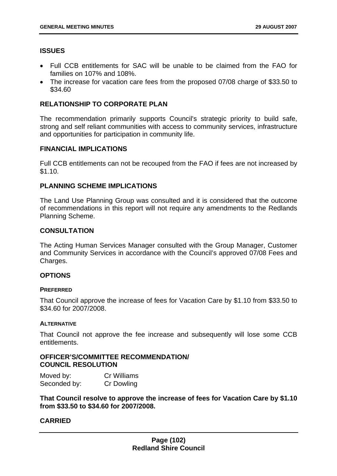# **ISSUES**

- Full CCB entitlements for SAC will be unable to be claimed from the FAO for families on 107% and 108%.
- The increase for vacation care fees from the proposed 07/08 charge of \$33.50 to \$34.60

# **RELATIONSHIP TO CORPORATE PLAN**

The recommendation primarily supports Council's strategic priority to build safe, strong and self reliant communities with access to community services, infrastructure and opportunities for participation in community life.

### **FINANCIAL IMPLICATIONS**

Full CCB entitlements can not be recouped from the FAO if fees are not increased by \$1.10.

# **PLANNING SCHEME IMPLICATIONS**

The Land Use Planning Group was consulted and it is considered that the outcome of recommendations in this report will not require any amendments to the Redlands Planning Scheme.

## **CONSULTATION**

The Acting Human Services Manager consulted with the Group Manager, Customer and Community Services in accordance with the Council's approved 07/08 Fees and Charges.

# **OPTIONS**

### **PREFERRED**

That Council approve the increase of fees for Vacation Care by \$1.10 from \$33.50 to \$34.60 for 2007/2008.

### **ALTERNATIVE**

That Council not approve the fee increase and subsequently will lose some CCB entitlements.

# **OFFICER'S/COMMITTEE RECOMMENDATION/ COUNCIL RESOLUTION**

| Moved by:    | Cr Williams |
|--------------|-------------|
| Seconded by: | Cr Dowling  |

**That Council resolve to approve the increase of fees for Vacation Care by \$1.10 from \$33.50 to \$34.60 for 2007/2008.**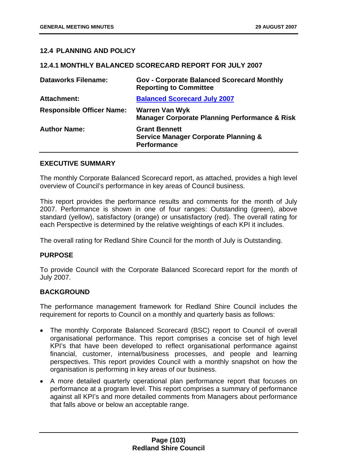## **12.4 PLANNING AND POLICY**

### **12.4.1 MONTHLY BALANCED SCORECARD REPORT FOR JULY 2007**

| <b>Dataworks Filename:</b>       | <b>Gov - Corporate Balanced Scorecard Monthly</b><br><b>Reporting to Committee</b>            |
|----------------------------------|-----------------------------------------------------------------------------------------------|
| <b>Attachment:</b>               | <b>Balanced Scorecard July 2007</b>                                                           |
| <b>Responsible Officer Name:</b> | <b>Warren Van Wyk</b><br><b>Manager Corporate Planning Performance &amp; Risk</b>             |
| <b>Author Name:</b>              | <b>Grant Bennett</b><br><b>Service Manager Corporate Planning &amp;</b><br><b>Performance</b> |

#### **EXECUTIVE SUMMARY**

The monthly Corporate Balanced Scorecard report, as attached, provides a high level overview of Council's performance in key areas of Council business.

This report provides the performance results and comments for the month of July 2007. Performance is shown in one of four ranges: Outstanding (green), above standard (yellow), satisfactory (orange) or unsatisfactory (red). The overall rating for each Perspective is determined by the relative weightings of each KPI it includes.

The overall rating for Redland Shire Council for the month of July is Outstanding.

### **PURPOSE**

To provide Council with the Corporate Balanced Scorecard report for the month of July 2007.

### **BACKGROUND**

The performance management framework for Redland Shire Council includes the requirement for reports to Council on a monthly and quarterly basis as follows:

- The monthly Corporate Balanced Scorecard (BSC) report to Council of overall organisational performance. This report comprises a concise set of high level KPI's that have been developed to reflect organisational performance against financial, customer, internal/business processes, and people and learning perspectives. This report provides Council with a monthly snapshot on how the organisation is performing in key areas of our business.
- A more detailed quarterly operational plan performance report that focuses on performance at a program level. This report comprises a summary of performance against all KPI's and more detailed comments from Managers about performance that falls above or below an acceptable range.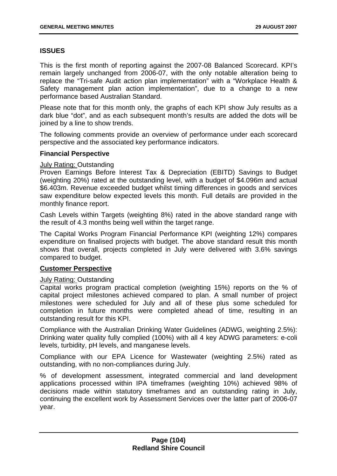# **ISSUES**

This is the first month of reporting against the 2007-08 Balanced Scorecard. KPI's remain largely unchanged from 2006-07, with the only notable alteration being to replace the "Tri-safe Audit action plan implementation" with a "Workplace Health & Safety management plan action implementation", due to a change to a new performance based Australian Standard.

Please note that for this month only, the graphs of each KPI show July results as a dark blue "dot", and as each subsequent month's results are added the dots will be joined by a line to show trends.

The following comments provide an overview of performance under each scorecard perspective and the associated key performance indicators.

## **Financial Perspective**

### July Rating: Outstanding

Proven Earnings Before Interest Tax & Depreciation (EBITD) Savings to Budget (weighting 20%) rated at the outstanding level, with a budget of \$4.096m and actual \$6.403m. Revenue exceeded budget whilst timing differences in goods and services saw expenditure below expected levels this month. Full details are provided in the monthly finance report.

Cash Levels within Targets (weighting 8%) rated in the above standard range with the result of 4.3 months being well within the target range.

The Capital Works Program Financial Performance KPI (weighting 12%) compares expenditure on finalised projects with budget. The above standard result this month shows that overall, projects completed in July were delivered with 3.6% savings compared to budget.

### **Customer Perspective**

### July Rating: Outstanding

Capital works program practical completion (weighting 15%) reports on the % of capital project milestones achieved compared to plan. A small number of project milestones were scheduled for July and all of these plus some scheduled for completion in future months were completed ahead of time, resulting in an outstanding result for this KPI.

Compliance with the Australian Drinking Water Guidelines (ADWG, weighting 2.5%): Drinking water quality fully complied (100%) with all 4 key ADWG parameters: e-coli levels, turbidity, pH levels, and manganese levels.

Compliance with our EPA Licence for Wastewater (weighting 2.5%) rated as outstanding, with no non-compliances during July.

% of development assessment, integrated commercial and land development applications processed within IPA timeframes (weighting 10%) achieved 98% of decisions made within statutory timeframes and an outstanding rating in July, continuing the excellent work by Assessment Services over the latter part of 2006-07 year.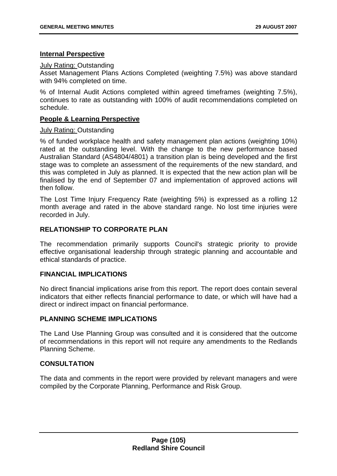## **Internal Perspective**

### July Rating: Outstanding

Asset Management Plans Actions Completed (weighting 7.5%) was above standard with 94% completed on time.

% of Internal Audit Actions completed within agreed timeframes (weighting 7.5%), continues to rate as outstanding with 100% of audit recommendations completed on schedule.

## **People & Learning Perspective**

## July Rating: Outstanding

% of funded workplace health and safety management plan actions (weighting 10%) rated at the outstanding level. With the change to the new performance based Australian Standard (AS4804/4801) a transition plan is being developed and the first stage was to complete an assessment of the requirements of the new standard, and this was completed in July as planned. It is expected that the new action plan will be finalised by the end of September 07 and implementation of approved actions will then follow.

The Lost Time Injury Frequency Rate (weighting 5%) is expressed as a rolling 12 month average and rated in the above standard range. No lost time injuries were recorded in July.

# **RELATIONSHIP TO CORPORATE PLAN**

The recommendation primarily supports Council's strategic priority to provide effective organisational leadership through strategic planning and accountable and ethical standards of practice.

# **FINANCIAL IMPLICATIONS**

No direct financial implications arise from this report. The report does contain several indicators that either reflects financial performance to date, or which will have had a direct or indirect impact on financial performance.

### **PLANNING SCHEME IMPLICATIONS**

The Land Use Planning Group was consulted and it is considered that the outcome of recommendations in this report will not require any amendments to the Redlands Planning Scheme.

# **CONSULTATION**

The data and comments in the report were provided by relevant managers and were compiled by the Corporate Planning, Performance and Risk Group.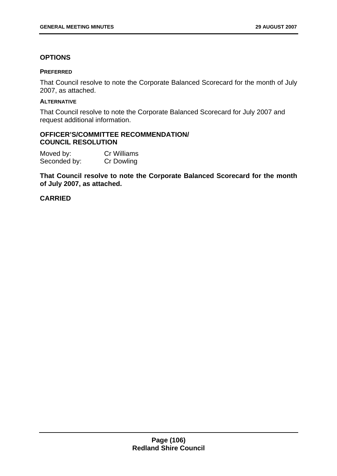## **OPTIONS**

#### **PREFERRED**

That Council resolve to note the Corporate Balanced Scorecard for the month of July 2007, as attached.

### **ALTERNATIVE**

That Council resolve to note the Corporate Balanced Scorecard for July 2007 and request additional information.

### **OFFICER'S/COMMITTEE RECOMMENDATION/ COUNCIL RESOLUTION**

Moved by: Cr Williams Seconded by: Cr Dowling

**That Council resolve to note the Corporate Balanced Scorecard for the month of July 2007, as attached.**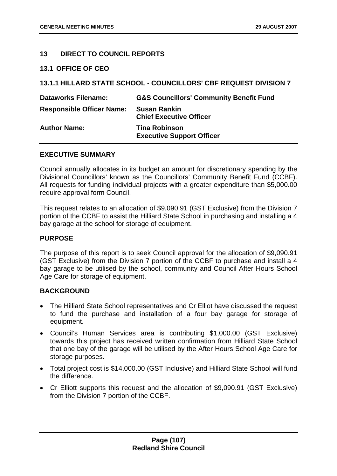## **13 DIRECT TO COUNCIL REPORTS**

### **13.1 OFFICE OF CEO**

| 13.1.1 HILLARD STATE SCHOOL - COUNCILLORS' CBF REQUEST DIVISION 7 |                                                          |  |
|-------------------------------------------------------------------|----------------------------------------------------------|--|
| <b>Dataworks Filename:</b>                                        | <b>G&amp;S Councillors' Community Benefit Fund</b>       |  |
| <b>Responsible Officer Name:</b>                                  | <b>Susan Rankin</b><br><b>Chief Executive Officer</b>    |  |
| <b>Author Name:</b>                                               | <b>Tina Robinson</b><br><b>Executive Support Officer</b> |  |

### **EXECUTIVE SUMMARY**

Council annually allocates in its budget an amount for discretionary spending by the Divisional Councillors' known as the Councillors' Community Benefit Fund (CCBF). All requests for funding individual projects with a greater expenditure than \$5,000.00 require approval form Council.

This request relates to an allocation of \$9,090.91 (GST Exclusive) from the Division 7 portion of the CCBF to assist the Hilliard State School in purchasing and installing a 4 bay garage at the school for storage of equipment.

### **PURPOSE**

The purpose of this report is to seek Council approval for the allocation of \$9,090.91 (GST Exclusive) from the Division 7 portion of the CCBF to purchase and install a 4 bay garage to be utilised by the school, community and Council After Hours School Age Care for storage of equipment.

### **BACKGROUND**

- The Hilliard State School representatives and Cr Elliot have discussed the request to fund the purchase and installation of a four bay garage for storage of equipment.
- Council's Human Services area is contributing \$1,000.00 (GST Exclusive) towards this project has received written confirmation from Hilliard State School that one bay of the garage will be utilised by the After Hours School Age Care for storage purposes.
- Total project cost is \$14,000.00 (GST Inclusive) and Hilliard State School will fund the difference.
- Cr Elliott supports this request and the allocation of \$9,090.91 (GST Exclusive) from the Division 7 portion of the CCBF.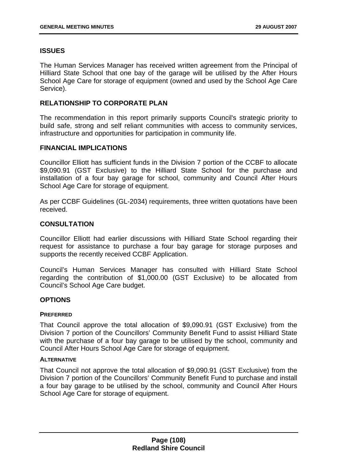### **ISSUES**

The Human Services Manager has received written agreement from the Principal of Hilliard State School that one bay of the garage will be utilised by the After Hours School Age Care for storage of equipment (owned and used by the School Age Care Service).

## **RELATIONSHIP TO CORPORATE PLAN**

The recommendation in this report primarily supports Council's strategic priority to build safe, strong and self reliant communities with access to community services, infrastructure and opportunities for participation in community life.

### **FINANCIAL IMPLICATIONS**

Councillor Elliott has sufficient funds in the Division 7 portion of the CCBF to allocate \$9,090.91 (GST Exclusive) to the Hilliard State School for the purchase and installation of a four bay garage for school, community and Council After Hours School Age Care for storage of equipment.

As per CCBF Guidelines (GL-2034) requirements, three written quotations have been received.

#### **CONSULTATION**

Councillor Elliott had earlier discussions with Hilliard State School regarding their request for assistance to purchase a four bay garage for storage purposes and supports the recently received CCBF Application.

Council's Human Services Manager has consulted with Hilliard State School regarding the contribution of \$1,000.00 (GST Exclusive) to be allocated from Council's School Age Care budget.

### **OPTIONS**

#### **PREFERRED**

That Council approve the total allocation of \$9,090.91 (GST Exclusive) from the Division 7 portion of the Councillors' Community Benefit Fund to assist Hilliard State with the purchase of a four bay garage to be utilised by the school, community and Council After Hours School Age Care for storage of equipment.

#### **ALTERNATIVE**

That Council not approve the total allocation of \$9,090.91 (GST Exclusive) from the Division 7 portion of the Councillors' Community Benefit Fund to purchase and install a four bay garage to be utilised by the school, community and Council After Hours School Age Care for storage of equipment.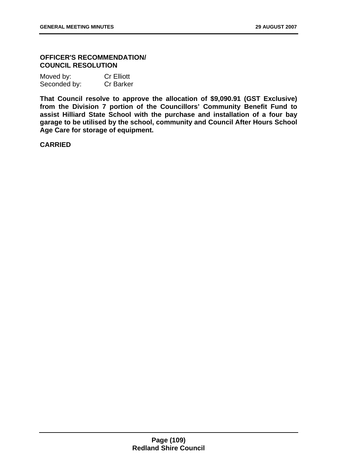# **OFFICER'S RECOMMENDATION/ COUNCIL RESOLUTION**

| Moved by:    | <b>Cr Elliott</b> |
|--------------|-------------------|
| Seconded by: | <b>Cr Barker</b>  |

**That Council resolve to approve the allocation of \$9,090.91 (GST Exclusive)**  from the Division 7 portion of the Councillors' Community Benefit Fund to **assist Hilliard State School with the purchase and installation of a four bay garage to be utilised by the school, community and Council After Hours School Age Care for storage of equipment.** 

**CARRIED**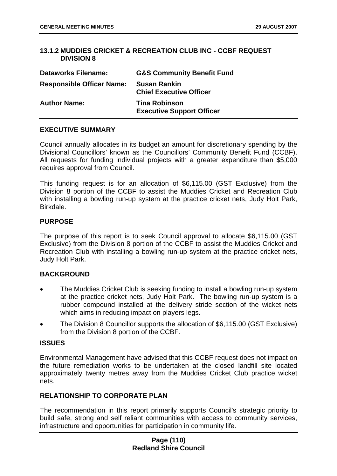# <span id="page-110-0"></span>**13.1.2 MUDDIES CRICKET & RECREATION CLUB INC - CCBF REQUEST DIVISION 8**

| <b>Dataworks Filename:</b>       | <b>G&amp;S Community Benefit Fund</b>                    |
|----------------------------------|----------------------------------------------------------|
| <b>Responsible Officer Name:</b> | <b>Susan Rankin</b><br><b>Chief Executive Officer</b>    |
| <b>Author Name:</b>              | <b>Tina Robinson</b><br><b>Executive Support Officer</b> |

## **EXECUTIVE SUMMARY**

Council annually allocates in its budget an amount for discretionary spending by the Divisional Councillors' known as the Councillors' Community Benefit Fund (CCBF). All requests for funding individual projects with a greater expenditure than \$5,000 requires approval from Council.

This funding request is for an allocation of \$6,115.00 (GST Exclusive) from the Division 8 portion of the CCBF to assist the Muddies Cricket and Recreation Club with installing a bowling run-up system at the practice cricket nets, Judy Holt Park, Birkdale.

## **PURPOSE**

The purpose of this report is to seek Council approval to allocate \$6,115.00 (GST Exclusive) from the Division 8 portion of the CCBF to assist the Muddies Cricket and Recreation Club with installing a bowling run-up system at the practice cricket nets, Judy Holt Park.

# **BACKGROUND**

- The Muddies Cricket Club is seeking funding to install a bowling run-up system at the practice cricket nets, Judy Holt Park. The bowling run-up system is a rubber compound installed at the delivery stride section of the wicket nets which aims in reducing impact on players legs.
- The Division 8 Councillor supports the allocation of \$6,115.00 (GST Exclusive) from the Division 8 portion of the CCBF.

### **ISSUES**

Environmental Management have advised that this CCBF request does not impact on the future remediation works to be undertaken at the closed landfill site located approximately twenty metres away from the Muddies Cricket Club practice wicket nets.

### **RELATIONSHIP TO CORPORATE PLAN**

The recommendation in this report primarily supports Council's strategic priority to build safe, strong and self reliant communities with access to community services, infrastructure and opportunities for participation in community life.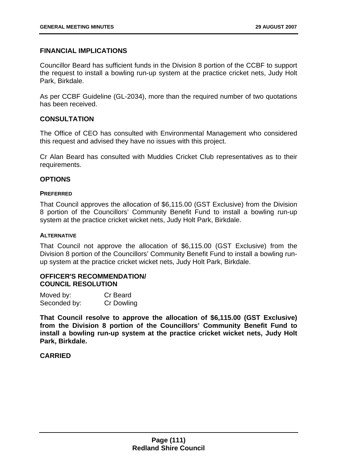# **FINANCIAL IMPLICATIONS**

Councillor Beard has sufficient funds in the Division 8 portion of the CCBF to support the request to install a bowling run-up system at the practice cricket nets, Judy Holt Park, Birkdale.

As per CCBF Guideline (GL-2034), more than the required number of two quotations has been received.

## **CONSULTATION**

The Office of CEO has consulted with Environmental Management who considered this request and advised they have no issues with this project.

Cr Alan Beard has consulted with Muddies Cricket Club representatives as to their requirements.

## **OPTIONS**

### **PREFERRED**

That Council approves the allocation of \$6,115.00 (GST Exclusive) from the Division 8 portion of the Councillors' Community Benefit Fund to install a bowling run-up system at the practice cricket wicket nets, Judy Holt Park, Birkdale.

### **ALTERNATIVE**

That Council not approve the allocation of \$6,115.00 (GST Exclusive) from the Division 8 portion of the Councillors' Community Benefit Fund to install a bowling runup system at the practice cricket wicket nets, Judy Holt Park, Birkdale.

# **OFFICER'S RECOMMENDATION/ COUNCIL RESOLUTION**

| Moved by:    | Cr Beard          |
|--------------|-------------------|
| Seconded by: | <b>Cr Dowling</b> |

**That Council resolve to approve the allocation of \$6,115.00 (GST Exclusive) from the Division 8 portion of the Councillors' Community Benefit Fund to install a bowling run-up system at the practice cricket wicket nets, Judy Holt Park, Birkdale.** 

### **CARRIED**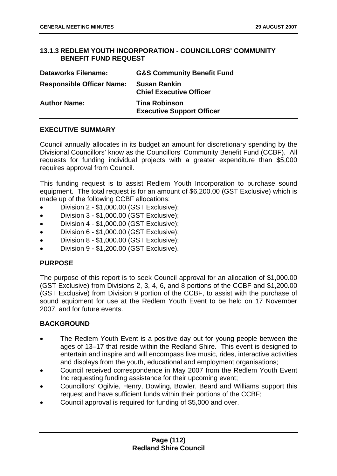# <span id="page-112-0"></span>**13.1.3 REDLEM YOUTH INCORPORATION - COUNCILLORS' COMMUNITY BENEFIT FUND REQUEST**

| <b>Dataworks Filename:</b>       | <b>G&amp;S Community Benefit Fund</b>                    |
|----------------------------------|----------------------------------------------------------|
| <b>Responsible Officer Name:</b> | <b>Susan Rankin</b><br><b>Chief Executive Officer</b>    |
| <b>Author Name:</b>              | <b>Tina Robinson</b><br><b>Executive Support Officer</b> |

# **EXECUTIVE SUMMARY**

Council annually allocates in its budget an amount for discretionary spending by the Divisional Councillors' know as the Councillors' Community Benefit Fund (CCBF). All requests for funding individual projects with a greater expenditure than \$5,000 requires approval from Council.

This funding request is to assist Redlem Youth Incorporation to purchase sound equipment. The total request is for an amount of \$6,200.00 (GST Exclusive) which is made up of the following CCBF allocations:

- Division 2 - \$1,000.00 (GST Exclusive);
- Division 3 - \$1,000.00 (GST Exclusive);
- Division 4 - \$1,000.00 (GST Exclusive);
- Division 6 - \$1,000.00 (GST Exclusive);
- Division 8 - \$1,000.00 (GST Exclusive);
- Division 9 - \$1,200.00 (GST Exclusive).

# **PURPOSE**

The purpose of this report is to seek Council approval for an allocation of \$1,000.00 (GST Exclusive) from Divisions 2, 3, 4, 6, and 8 portions of the CCBF and \$1,200.00 (GST Exclusive) from Division 9 portion of the CCBF, to assist with the purchase of sound equipment for use at the Redlem Youth Event to be held on 17 November 2007, and for future events.

# **BACKGROUND**

- The Redlem Youth Event is a positive day out for young people between the ages of 13–17 that reside within the Redland Shire. This event is designed to entertain and inspire and will encompass live music, rides, interactive activities and displays from the youth, educational and employment organisations;
- Council received correspondence in May 2007 from the Redlem Youth Event Inc requesting funding assistance for their upcoming event;
- Councillors' Ogilvie, Henry, Dowling, Bowler, Beard and Williams support this request and have sufficient funds within their portions of the CCBF;
- Council approval is required for funding of \$5,000 and over.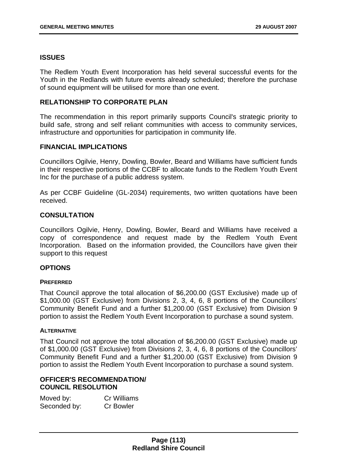### **ISSUES**

The Redlem Youth Event Incorporation has held several successful events for the Youth in the Redlands with future events already scheduled; therefore the purchase of sound equipment will be utilised for more than one event.

### **RELATIONSHIP TO CORPORATE PLAN**

The recommendation in this report primarily supports Council's strategic priority to build safe, strong and self reliant communities with access to community services, infrastructure and opportunities for participation in community life.

## **FINANCIAL IMPLICATIONS**

Councillors Ogilvie, Henry, Dowling, Bowler, Beard and Williams have sufficient funds in their respective portions of the CCBF to allocate funds to the Redlem Youth Event Inc for the purchase of a public address system.

As per CCBF Guideline (GL-2034) requirements, two written quotations have been received.

## **CONSULTATION**

Councillors Ogilvie, Henry, Dowling, Bowler, Beard and Williams have received a copy of correspondence and request made by the Redlem Youth Event Incorporation. Based on the information provided, the Councillors have given their support to this request

### **OPTIONS**

### **PREFERRED**

That Council approve the total allocation of \$6,200.00 (GST Exclusive) made up of \$1,000.00 (GST Exclusive) from Divisions 2, 3, 4, 6, 8 portions of the Councillors' Community Benefit Fund and a further \$1,200.00 (GST Exclusive) from Division 9 portion to assist the Redlem Youth Event Incorporation to purchase a sound system.

### **ALTERNATIVE**

That Council not approve the total allocation of \$6,200.00 (GST Exclusive) made up of \$1,000.00 (GST Exclusive) from Divisions 2, 3, 4, 6, 8 portions of the Councillors' Community Benefit Fund and a further \$1,200.00 (GST Exclusive) from Division 9 portion to assist the Redlem Youth Event Incorporation to purchase a sound system.

### **OFFICER'S RECOMMENDATION/ COUNCIL RESOLUTION**

| Moved by:    | <b>Cr Williams</b> |
|--------------|--------------------|
| Seconded by: | <b>Cr Bowler</b>   |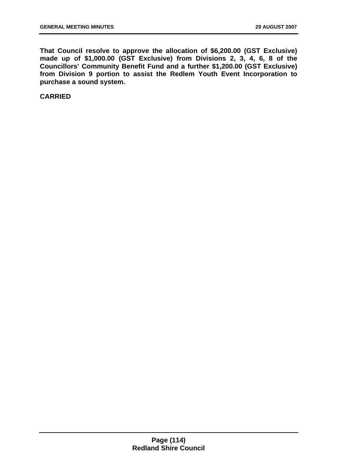**That Council resolve to approve the allocation of \$6,200.00 (GST Exclusive) made up of \$1,000.00 (GST Exclusive) from Divisions 2, 3, 4, 6, 8 of the Councillors' Community Benefit Fund and a further \$1,200.00 (GST Exclusive) from Division 9 portion to assist the Redlem Youth Event Incorporation to purchase a sound system.** 

**CARRIED**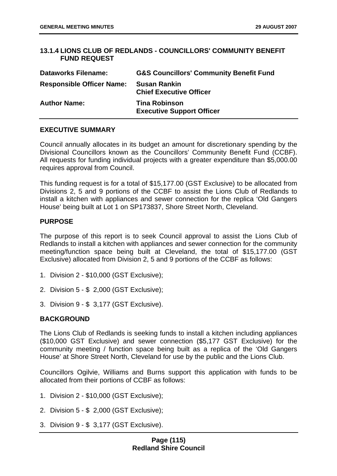## **13.1.4 LIONS CLUB OF REDLANDS - COUNCILLORS' COMMUNITY BENEFIT FUND REQUEST**

| <b>Dataworks Filename:</b>       | <b>G&amp;S Councillors' Community Benefit Fund</b>       |
|----------------------------------|----------------------------------------------------------|
| <b>Responsible Officer Name:</b> | <b>Susan Rankin</b><br><b>Chief Executive Officer</b>    |
| <b>Author Name:</b>              | <b>Tina Robinson</b><br><b>Executive Support Officer</b> |

## **EXECUTIVE SUMMARY**

Council annually allocates in its budget an amount for discretionary spending by the Divisional Councillors known as the Councillors' Community Benefit Fund (CCBF). All requests for funding individual projects with a greater expenditure than \$5,000.00 requires approval from Council.

This funding request is for a total of \$15,177.00 (GST Exclusive) to be allocated from Divisions 2, 5 and 9 portions of the CCBF to assist the Lions Club of Redlands to install a kitchen with appliances and sewer connection for the replica 'Old Gangers House' being built at Lot 1 on SP173837, Shore Street North, Cleveland.

## **PURPOSE**

The purpose of this report is to seek Council approval to assist the Lions Club of Redlands to install a kitchen with appliances and sewer connection for the community meeting/function space being built at Cleveland, the total of \$15,177.00 (GST Exclusive) allocated from Division 2, 5 and 9 portions of the CCBF as follows:

- 1. Division 2 \$10,000 (GST Exclusive);
- 2. Division 5 \$ 2,000 (GST Exclusive);
- 3. Division 9 \$ 3,177 (GST Exclusive).

# **BACKGROUND**

The Lions Club of Redlands is seeking funds to install a kitchen including appliances (\$10,000 GST Exclusive) and sewer connection (\$5,177 GST Exclusive) for the community meeting / function space being built as a replica of the 'Old Gangers House' at Shore Street North, Cleveland for use by the public and the Lions Club.

Councillors Ogilvie, Williams and Burns support this application with funds to be allocated from their portions of CCBF as follows:

- 1. Division 2 \$10,000 (GST Exclusive);
- 2. Division 5 \$ 2,000 (GST Exclusive);
- 3. Division 9 \$ 3,177 (GST Exclusive).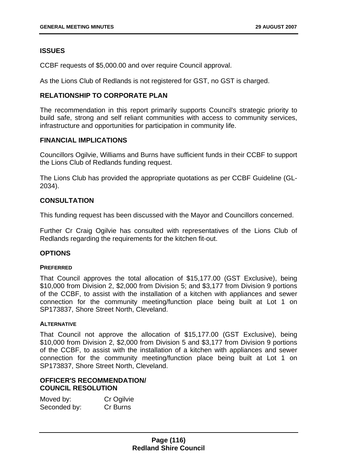# **ISSUES**

CCBF requests of \$5,000.00 and over require Council approval.

As the Lions Club of Redlands is not registered for GST, no GST is charged.

# **RELATIONSHIP TO CORPORATE PLAN**

The recommendation in this report primarily supports Council's strategic priority to build safe, strong and self reliant communities with access to community services, infrastructure and opportunities for participation in community life.

## **FINANCIAL IMPLICATIONS**

Councillors Ogilvie, Williams and Burns have sufficient funds in their CCBF to support the Lions Club of Redlands funding request.

The Lions Club has provided the appropriate quotations as per CCBF Guideline (GL-2034).

# **CONSULTATION**

This funding request has been discussed with the Mayor and Councillors concerned.

Further Cr Craig Ogilvie has consulted with representatives of the Lions Club of Redlands regarding the requirements for the kitchen fit-out.

# **OPTIONS**

### **PREFERRED**

That Council approves the total allocation of \$15,177.00 (GST Exclusive), being \$10,000 from Division 2, \$2,000 from Division 5; and \$3,177 from Division 9 portions of the CCBF, to assist with the installation of a kitchen with appliances and sewer connection for the community meeting/function place being built at Lot 1 on SP173837, Shore Street North, Cleveland.

### **ALTERNATIVE**

That Council not approve the allocation of \$15,177.00 (GST Exclusive), being \$10,000 from Division 2, \$2,000 from Division 5 and \$3,177 from Division 9 portions of the CCBF, to assist with the installation of a kitchen with appliances and sewer connection for the community meeting/function place being built at Lot 1 on SP173837, Shore Street North, Cleveland.

# **OFFICER'S RECOMMENDATION/ COUNCIL RESOLUTION**

| Moved by:    | Cr Ogilvie |
|--------------|------------|
| Seconded by: | Cr Burns   |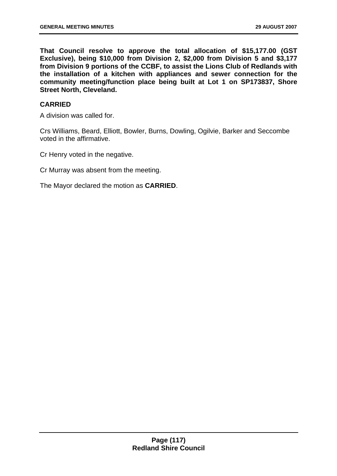<span id="page-117-0"></span>**That Council resolve to approve the total allocation of \$15,177.00 (GST Exclusive), being \$10,000 from Division 2, \$2,000 from Division 5 and \$3,177 from Division 9 portions of the CCBF, to assist the Lions Club of Redlands with the installation of a kitchen with appliances and sewer connection for the community meeting/function place being built at Lot 1 on SP173837, Shore Street North, Cleveland.** 

## **CARRIED**

A division was called for.

Crs Williams, Beard, Elliott, Bowler, Burns, Dowling, Ogilvie, Barker and Seccombe voted in the affirmative.

Cr Henry voted in the negative.

Cr Murray was absent from the meeting.

The Mayor declared the motion as **CARRIED**.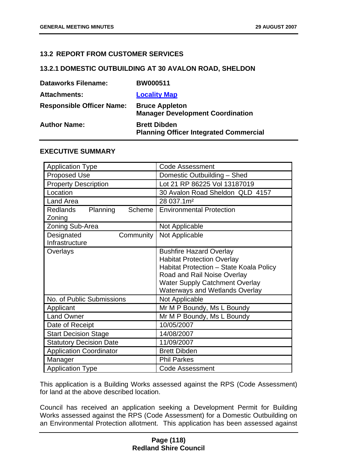## **13.2 REPORT FROM CUSTOMER SERVICES**

#### **13.2.1 DOMESTIC OUTBUILDING AT 30 AVALON ROAD, SHELDON**

| <b>Dataworks Filename:</b>       | <b>BW000511</b>                                                      |
|----------------------------------|----------------------------------------------------------------------|
| <b>Attachments:</b>              | <b>Locality Map</b>                                                  |
| <b>Responsible Officer Name:</b> | <b>Bruce Appleton</b><br><b>Manager Development Coordination</b>     |
| <b>Author Name:</b>              | <b>Brett Dibden</b><br><b>Planning Officer Integrated Commercial</b> |

### **EXECUTIVE SUMMARY**

| <b>Application Type</b>                         | <b>Code Assessment</b>                                                                                                                                                                                                          |
|-------------------------------------------------|---------------------------------------------------------------------------------------------------------------------------------------------------------------------------------------------------------------------------------|
| <b>Proposed Use</b>                             | Domestic Outbuilding - Shed                                                                                                                                                                                                     |
| <b>Property Description</b>                     | Lot 21 RP 86225 Vol 13187019                                                                                                                                                                                                    |
| Location                                        | 30 Avalon Road Sheldon QLD 4157                                                                                                                                                                                                 |
| <b>Land Area</b>                                | 28 037.1m <sup>2</sup>                                                                                                                                                                                                          |
| Planning<br><b>Redlands</b><br>Scheme<br>Zoning | <b>Environmental Protection</b>                                                                                                                                                                                                 |
| Zoning Sub-Area                                 | Not Applicable                                                                                                                                                                                                                  |
| Designated<br>Community<br>Infrastructure       | Not Applicable                                                                                                                                                                                                                  |
| Overlays                                        | <b>Bushfire Hazard Overlay</b><br><b>Habitat Protection Overlay</b><br>Habitat Protection - State Koala Policy<br>Road and Rail Noise Overlay<br><b>Water Supply Catchment Overlay</b><br><b>Waterways and Wetlands Overlay</b> |
| No. of Public Submissions                       | Not Applicable                                                                                                                                                                                                                  |
| Applicant                                       | Mr M P Boundy, Ms L Boundy                                                                                                                                                                                                      |
| <b>Land Owner</b>                               | Mr M P Boundy, Ms L Boundy                                                                                                                                                                                                      |
| Date of Receipt                                 | 10/05/2007                                                                                                                                                                                                                      |
| <b>Start Decision Stage</b>                     | 14/08/2007                                                                                                                                                                                                                      |
| <b>Statutory Decision Date</b>                  | 11/09/2007                                                                                                                                                                                                                      |
| <b>Application Coordinator</b>                  | <b>Brett Dibden</b>                                                                                                                                                                                                             |
| Manager                                         | <b>Phil Parkes</b>                                                                                                                                                                                                              |
| <b>Application Type</b>                         | <b>Code Assessment</b>                                                                                                                                                                                                          |

This application is a Building Works assessed against the RPS (Code Assessment) for land at the above described location.

Council has received an application seeking a Development Permit for Building Works assessed against the RPS (Code Assessment) for a Domestic Outbuilding on an Environmental Protection allotment. This application has been assessed against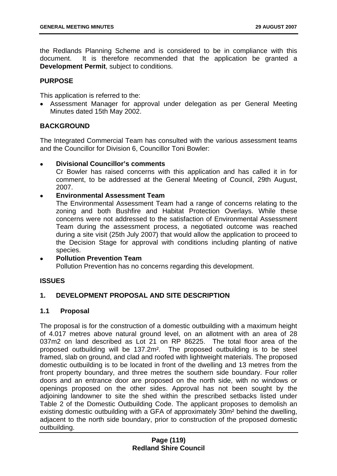the Redlands Planning Scheme and is considered to be in compliance with this document. It is therefore recommended that the application be granted a **Development Permit**, subject to conditions.

## **PURPOSE**

This application is referred to the:

• Assessment Manager for approval under delegation as per General Meeting Minutes dated 15th May 2002.

# **BACKGROUND**

The Integrated Commercial Team has consulted with the various assessment teams and the Councillor for Division 6, Councillor Toni Bowler:

• **Divisional Councillor's comments** 

Cr Bowler has raised concerns with this application and has called it in for comment, to be addressed at the General Meeting of Council, 29th August, 2007.

## • **Environmental Assessment Team**

The Environmental Assessment Team had a range of concerns relating to the zoning and both Bushfire and Habitat Protection Overlays. While these concerns were not addressed to the satisfaction of Environmental Assessment Team during the assessment process, a negotiated outcome was reached during a site visit (25th July 2007) that would allow the application to proceed to the Decision Stage for approval with conditions including planting of native species.

# • **Pollution Prevention Team**  Pollution Prevention has no concerns regarding this development.

# **ISSUES**

# **1. DEVELOPMENT PROPOSAL AND SITE DESCRIPTION**

### **1.1 Proposal**

The proposal is for the construction of a domestic outbuilding with a maximum height of 4.017 metres above natural ground level, on an allotment with an area of 28 037m2 on land described as Lot 21 on RP 86225. The total floor area of the proposed outbuilding will be 137.2m². The proposed outbuilding is to be steel framed, slab on ground, and clad and roofed with lightweight materials. The proposed domestic outbuilding is to be located in front of the dwelling and 13 metres from the front property boundary, and three metres the southern side boundary. Four roller doors and an entrance door are proposed on the north side, with no windows or openings proposed on the other sides. Approval has not been sought by the adjoining landowner to site the shed within the prescribed setbacks listed under Table 2 of the Domestic Outbuilding Code. The applicant proposes to demolish an existing domestic outbuilding with a GFA of approximately 30m² behind the dwelling, adjacent to the north side boundary, prior to construction of the proposed domestic outbuilding.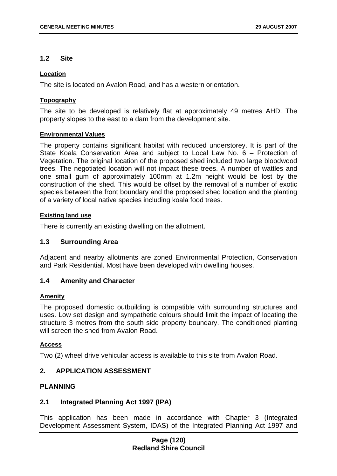### **1.2 Site**

### **Location**

The site is located on Avalon Road, and has a western orientation.

### **Topography**

The site to be developed is relatively flat at approximately 49 metres AHD. The property slopes to the east to a dam from the development site.

### **Environmental Values**

The property contains significant habitat with reduced understorey. It is part of the State Koala Conservation Area and subject to Local Law No. 6 – Protection of Vegetation. The original location of the proposed shed included two large bloodwood trees. The negotiated location will not impact these trees. A number of wattles and one small gum of approximately 100mm at 1.2m height would be lost by the construction of the shed. This would be offset by the removal of a number of exotic species between the front boundary and the proposed shed location and the planting of a variety of local native species including koala food trees.

## **Existing land use**

There is currently an existing dwelling on the allotment.

### **1.3 Surrounding Area**

Adjacent and nearby allotments are zoned Environmental Protection, Conservation and Park Residential. Most have been developed with dwelling houses.

# **1.4 Amenity and Character**

### **Amenity**

The proposed domestic outbuilding is compatible with surrounding structures and uses. Low set design and sympathetic colours should limit the impact of locating the structure 3 metres from the south side property boundary. The conditioned planting will screen the shed from Avalon Road.

### **Access**

Two (2) wheel drive vehicular access is available to this site from Avalon Road.

# **2. APPLICATION ASSESSMENT**

## **PLANNING**

### **2.1 Integrated Planning Act 1997 (IPA)**

This application has been made in accordance with Chapter 3 (Integrated Development Assessment System, IDAS) of the Integrated Planning Act 1997 and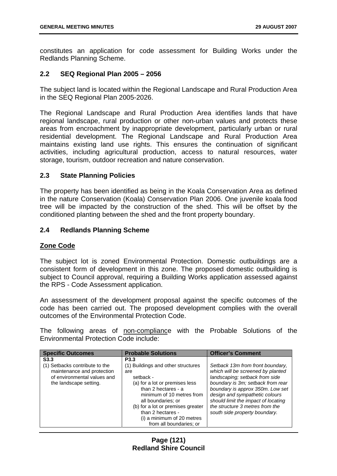constitutes an application for code assessment for Building Works under the Redlands Planning Scheme.

## **2.2 SEQ Regional Plan 2005 – 2056**

The subject land is located within the Regional Landscape and Rural Production Area in the SEQ Regional Plan 2005-2026.

The Regional Landscape and Rural Production Area identifies lands that have regional landscape, rural production or other non-urban values and protects these areas from encroachment by inappropriate development, particularly urban or rural residential development. The Regional Landscape and Rural Production Area maintains existing land use rights. This ensures the continuation of significant activities, including agricultural production, access to natural resources, water storage, tourism, outdoor recreation and nature conservation.

## **2.3 State Planning Policies**

The property has been identified as being in the Koala Conservation Area as defined in the nature Conservation (Koala) Conservation Plan 2006. One juvenile koala food tree will be impacted by the construction of the shed. This will be offset by the conditioned planting between the shed and the front property boundary.

# **2.4 Redlands Planning Scheme**

### **Zone Code**

The subject lot is zoned Environmental Protection. Domestic outbuildings are a consistent form of development in this zone. The proposed domestic outbuilding is subject to Council approval, requiring a Building Works application assessed against the RPS - Code Assessment application.

An assessment of the development proposal against the specific outcomes of the code has been carried out. The proposed development complies with the overall outcomes of the Environmental Protection Code.

The following areas of non-compliance with the Probable Solutions of the Environmental Protection Code include:

| <b>Specific Outcomes</b>                                                                                                                  | <b>Probable Solutions</b>                                                                                                                                                                                                                                                                                 | <b>Officer's Comment</b>                                                                                                                                                                                                                                                                                                      |
|-------------------------------------------------------------------------------------------------------------------------------------------|-----------------------------------------------------------------------------------------------------------------------------------------------------------------------------------------------------------------------------------------------------------------------------------------------------------|-------------------------------------------------------------------------------------------------------------------------------------------------------------------------------------------------------------------------------------------------------------------------------------------------------------------------------|
| S <sub>3.3</sub><br>(1) Setbacks contribute to the<br>maintenance and protection<br>of environmental values and<br>the landscape setting. | P <sub>3.3</sub><br>(1) Buildings and other structures<br>are<br>setback -<br>(a) for a lot or premises less<br>than 2 hectares - a<br>minimum of 10 metres from<br>all boundaries; or<br>(b) for a lot or premises greater<br>than 2 hectares -<br>(i) a minimum of 20 metres<br>from all boundaries; or | Setback 13m from front boundary,<br>which will be screened by planted<br>landscaping; setback from side<br>boundary is 3m; setback from rear<br>boundary is approx 350m. Low set<br>design and sympathetic colours<br>should limit the impact of locating<br>the structure 3 metres from the<br>south side property boundary. |

## **Page (121) Redland Shire Council**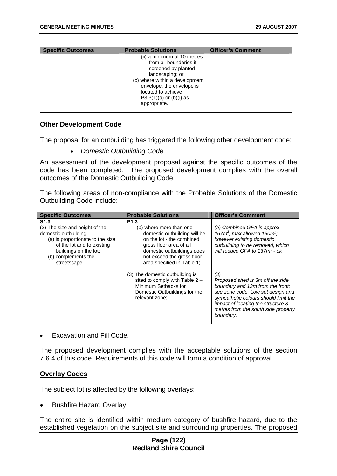| <b>Specific Outcomes</b> | <b>Probable Solutions</b>      | <b>Officer's Comment</b> |
|--------------------------|--------------------------------|--------------------------|
|                          | (ii) a minimum of 10 metres    |                          |
|                          | from all boundaries if         |                          |
|                          | screened by planted            |                          |
|                          | landscaping; or                |                          |
|                          | (c) where within a development |                          |
|                          | envelope, the envelope is      |                          |
|                          | located to achieve             |                          |
|                          | $P3.3(1)(a)$ or $(b)(i)$ as    |                          |
|                          | appropriate.                   |                          |
|                          |                                |                          |

### **Other Development Code**

The proposal for an outbuilding has triggered the following other development code:

• *Domestic Outbuilding Code* 

An assessment of the development proposal against the specific outcomes of the code has been completed. The proposed development complies with the overall outcomes of the Domestic Outbuilding Code.

The following areas of non-compliance with the Probable Solutions of the Domestic Outbuilding Code include:

| <b>Specific Outcomes</b>                                                                                                                                                                                       | <b>Probable Solutions</b>                                                                                                                                                                                                     | <b>Officer's Comment</b>                                                                                                                                                                                                                           |
|----------------------------------------------------------------------------------------------------------------------------------------------------------------------------------------------------------------|-------------------------------------------------------------------------------------------------------------------------------------------------------------------------------------------------------------------------------|----------------------------------------------------------------------------------------------------------------------------------------------------------------------------------------------------------------------------------------------------|
| S <sub>1.3</sub><br>(2) The size and height of the<br>domestic outbuilding -<br>(a) is proportionate to the size<br>of the lot and to existing<br>buildings on the lot;<br>(b) complements the<br>streetscape; | P <sub>1.3</sub><br>(b) where more than one<br>domestic outbuilding will be<br>on the lot - the combined<br>gross floor area of all<br>domestic outbuildings does<br>not exceed the gross floor<br>area specified in Table 1: | (b) Combined GFA is approx<br>167 $m^2$ , max allowed 150 $m^2$ ;<br>however existing domestic<br>outbuilding to be removed, which<br>will reduce GFA to 137m <sup>2</sup> - ok                                                                    |
|                                                                                                                                                                                                                | (3) The domestic outbuilding is<br>sited to comply with Table $2 -$<br>Minimum Setbacks for<br>Domestic Outbuildings for the<br>relevant zone;                                                                                | (3)<br>Proposed shed is 3m off the side<br>boundary and 13m from the front:<br>see zone code. Low set design and<br>sympathetic colours should limit the<br>impact of locating the structure 3<br>metres from the south side property<br>boundary. |

[•](#page-7-0) [Excavation and Fill Code.](#page-7-0) 

[The proposed development complies with the acceptable solutions of the section](#page-8-0)  [7.6.4 of this code. Requirements of this code will form a condition of approval.](#page-8-0) 

# **[Overlay Codes](#page-8-0)**

[The subject lot is affected by the following overlays:](#page-10-0) 

• [Bushfire Hazard Overlay](#page-19-0) 

[The entire site is identified within medium category of bushfire hazard, due to the](#page-26-0)  [established vegetation on the subject site and surrounding properties. The proposed](#page-26-0)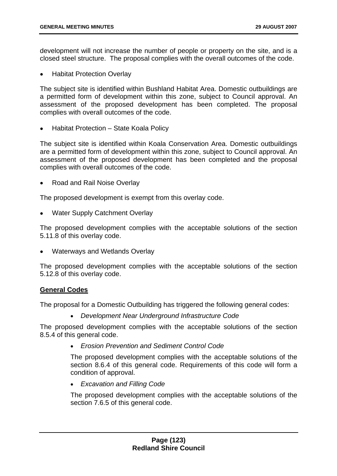[development will not increase the number of people or property on the site, and is a](#page-26-0)  [closed steel structure. The proposal complies with the overall outcomes of the code.](#page-26-0) 

• [Habitat Protection Overlay](#page-34-0) 

[The subject site is identified within Bushland Habitat Area. Domestic outbuildings are](#page-49-0)  [a permitted form of development within this zone, subject to Council approval. An](#page-49-0)  [assessment of the proposed development has been completed. The proposal](#page-49-0)  [complies with overall outcomes of the code.](#page-49-0) 

• [Habitat Protection – State Koala Policy](#page-57-0) 

[The subject site is identified within Koala Conservation Area. Domestic outbuildings](#page-67-0)  [are a permitted form of development within this zone, subject to Council approval. An](#page-67-0)  [assessment of the proposed development has been completed and the proposal](#page-67-0)  [complies with overall outcomes of the code.](#page-67-0) 

• [Road and Rail Noise Overlay](#page-74-0) 

[The proposed development is exempt from this overlay code.](#page-76-0) 

• [Water Supply Catchment Overlay](#page-80-0) 

[The proposed development complies with the acceptable solutions of the section](#page-84-0)  [5.11.8 of this overlay code.](#page-84-0) 

• [Waterways and Wetlands Overlay](#page-87-0) 

[The proposed development complies with the acceptable solutions of the section](#page-95-0)  [5.12.8 of this overlay code.](#page-95-0) 

### **[General Codes](#page-103-0)**

[The proposal for a Domestic Outbuilding has triggered the following general codes:](#page-106-0) 

• *[Development Near Underground Infrastructure Code](#page-110-0)* 

[The proposed development complies with the acceptable solutions of the section](#page-112-0)  [8.5.4 of this general code.](#page-112-0) 

• *[Erosion Prevention and Sediment Control Code](#page-112-0)* 

[The proposed development complies with the acceptable solutions of the](#page-117-0)  [section 8.6.4 of this general code. Requirements of this code will form a](#page-117-0)  [condition of approval.](#page-117-0) 

• *[Excavation and Filling Code](#page-117-0)* 

[The proposed development complies with the acceptable solutions of the](#page-117-0)  [section 7.6.5 of this general code.](#page-117-0)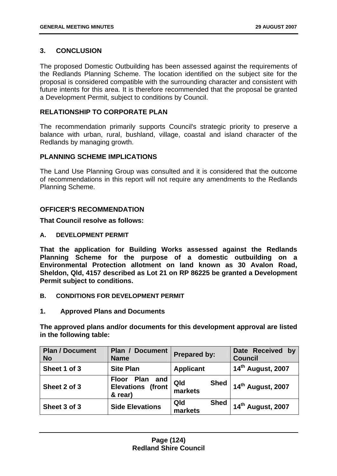# **[3. CONCLUSION](#page-126-0)**

[The proposed Domestic Outbuilding has been assessed against the requirements of](#page-129-0)  [the Redlands Planning Scheme. The location identified on the subject site for the](#page-129-0)  [proposal is considered compatible with the surrounding character and consistent with](#page-129-0)  [future intents for this area. It is therefore recommended that the proposal be granted](#page-129-0)  [a Development Permit, subject to conditions by Council.](#page-129-0) 

# **RELATIONSHIP TO CORPORATE PLAN**

The recommendation primarily supports Council's strategic priority to preserve a balance with urban, rural, bushland, village, coastal and island character of the Redlands by managing growth.

## **PLANNING SCHEME IMPLICATIONS**

The Land Use Planning Group was consulted and it is considered that the outcome of recommendations in this report will not require any amendments to the Redlands Planning Scheme.

# **OFFICER'S RECOMMENDATION**

**That Council resolve as follows:** 

**A. DEVELOPMENT PERMIT** 

**That the application for Building Works assessed against the Redlands Planning Scheme for the purpose of a domestic outbuilding on a Environmental Protection allotment on land known as 30 Avalon Road, Sheldon, Qld, 4157 described as Lot 21 on RP 86225 be granted a Development Permit subject to conditions.** 

- **B. CONDITIONS FOR DEVELOPMENT PERMIT**
- **1. Approved Plans and Documents**

**The approved plans and/or documents for this development approval are listed in the following table:** 

| <b>Plan / Document</b><br><b>No</b> | Plan /<br><b>Document</b><br><b>Name</b>                 | <b>Prepared by:</b>           | Date Received by<br><b>Council</b> |
|-------------------------------------|----------------------------------------------------------|-------------------------------|------------------------------------|
| Sheet 1 of 3                        | <b>Site Plan</b>                                         | <b>Applicant</b>              | 14 <sup>th</sup> August, 2007      |
| Sheet 2 of 3                        | Floor Plan<br>and<br><b>Elevations (front</b><br>& rear) | <b>Shed</b><br>Qld<br>markets | 14 <sup>th</sup> August, 2007      |
| Sheet 3 of 3                        | <b>Side Elevations</b>                                   | Qld<br><b>Shed</b><br>markets | 14 <sup>th</sup> August, 2007      |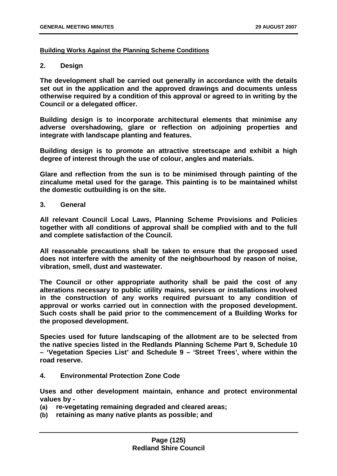### **Building Works Against the Planning Scheme Conditions**

### **2. Design**

**The development shall be carried out generally in accordance with the details set out in the application and the approved drawings and documents unless otherwise required by a condition of this approval or agreed to in writing by the Council or a delegated officer.** 

**Building design is to incorporate architectural elements that minimise any adverse overshadowing, glare or reflection on adjoining properties and integrate with landscape planting and features.** 

**Building design is to promote an attractive streetscape and exhibit a high degree of interest through the use of colour, angles and materials.** 

**Glare and reflection from the sun is to be minimised through painting of the zincalume metal used for the garage. This painting is to be maintained whilst the domestic outbuilding is on the site.** 

**3. General** 

**All relevant Council Local Laws, Planning Scheme Provisions and Policies together with all conditions of approval shall be complied with and to the full and complete satisfaction of the Council.** 

**All reasonable precautions shall be taken to ensure that the proposed used does not interfere with the amenity of the neighbourhood by reason of noise, vibration, smell, dust and wastewater.** 

**The Council or other appropriate authority shall be paid the cost of any alterations necessary to public utility mains, services or installations involved in the construction of any works required pursuant to any condition of approval or works carried out in connection with the proposed development. Such costs shall be paid prior to the commencement of a Building Works for the proposed development.** 

**Species used for future landscaping of the allotment are to be selected from the native species listed in the Redlands Planning Scheme Part 9, Schedule 10 – 'Vegetation Species List' and Schedule 9 – 'Street Trees', where within the road reserve.** 

**4. Environmental Protection Zone Code** 

**Uses and other development maintain, enhance and protect environmental values by -** 

- **(a) re-vegetating remaining degraded and cleared areas;**
- **(b) retaining as many native plants as possible; and**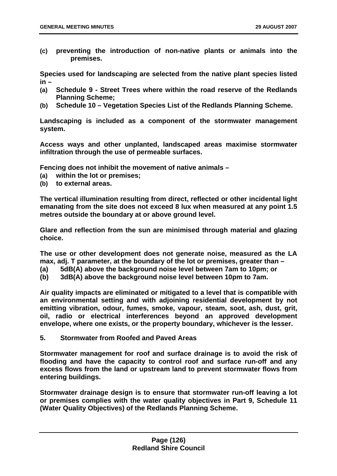<span id="page-126-0"></span>**(c) preventing the introduction of non-native plants or animals into the premises.** 

**Species used for landscaping are selected from the native plant species listed in –** 

- **(a) Schedule 9 Street Trees where within the road reserve of the Redlands Planning Scheme;**
- **(b) Schedule 10 Vegetation Species List of the Redlands Planning Scheme.**

**Landscaping is included as a component of the stormwater management system.** 

**Access ways and other unplanted, landscaped areas maximise stormwater infiltration through the use of permeable surfaces.** 

**Fencing does not inhibit the movement of native animals –** 

- **(a) within the lot or premises;**
- **(b) to external areas.**

**The vertical illumination resulting from direct, reflected or other incidental light emanating from the site does not exceed 8 lux when measured at any point 1.5 metres outside the boundary at or above ground level.** 

**Glare and reflection from the sun are minimised through material and glazing choice.** 

**The use or other development does not generate noise, measured as the LA max, adj. T parameter, at the boundary of the lot or premises, greater than –** 

**(a) 5dB(A) above the background noise level between 7am to 10pm; or** 

**(b) 3dB(A) above the background noise level between 10pm to 7am.** 

**Air quality impacts are eliminated or mitigated to a level that is compatible with an environmental setting and with adjoining residential development by not emitting vibration, odour, fumes, smoke, vapour, steam, soot, ash, dust, grit, oil, radio or electrical interferences beyond an approved development envelope, where one exists, or the property boundary, whichever is the lesser.** 

**5. Stormwater from Roofed and Paved Areas** 

**Stormwater management for roof and surface drainage is to avoid the risk of flooding and have the capacity to control roof and surface run-off and any excess flows from the land or upstream land to prevent stormwater flows from entering buildings.** 

**Stormwater drainage design is to ensure that stormwater run-off leaving a lot or premises complies with the water quality objectives in Part 9, Schedule 11 (Water Quality Objectives) of the Redlands Planning Scheme.**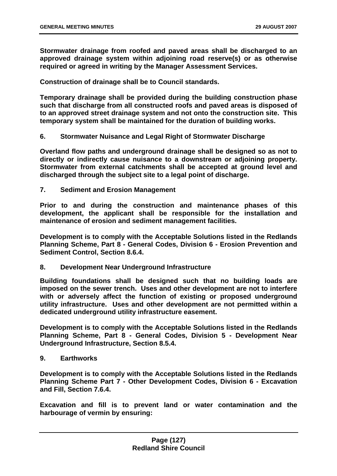**Stormwater drainage from roofed and paved areas shall be discharged to an approved drainage system within adjoining road reserve(s) or as otherwise required or agreed in writing by the Manager Assessment Services.** 

**Construction of drainage shall be to Council standards.** 

**Temporary drainage shall be provided during the building construction phase such that discharge from all constructed roofs and paved areas is disposed of to an approved street drainage system and not onto the construction site. This temporary system shall be maintained for the duration of building works.** 

**6. Stormwater Nuisance and Legal Right of Stormwater Discharge** 

**Overland flow paths and underground drainage shall be designed so as not to directly or indirectly cause nuisance to a downstream or adjoining property. Stormwater from external catchments shall be accepted at ground level and discharged through the subject site to a legal point of discharge.** 

**7. Sediment and Erosion Management** 

**Prior to and during the construction and maintenance phases of this development, the applicant shall be responsible for the installation and maintenance of erosion and sediment management facilities.** 

**Development is to comply with the Acceptable Solutions listed in the Redlands Planning Scheme, Part 8 - General Codes, Division 6 - Erosion Prevention and Sediment Control, Section 8.6.4.** 

**8. Development Near Underground Infrastructure** 

**Building foundations shall be designed such that no building loads are imposed on the sewer trench. Uses and other development are not to interfere with or adversely affect the function of existing or proposed underground utility infrastructure. Uses and other development are not permitted within a dedicated underground utility infrastructure easement.** 

**Development is to comply with the Acceptable Solutions listed in the Redlands Planning Scheme, Part 8 - General Codes, Division 5 - Development Near Underground Infrastructure, Section 8.5.4.** 

**9. Earthworks** 

**Development is to comply with the Acceptable Solutions listed in the Redlands Planning Scheme Part 7 - Other Development Codes, Division 6 - Excavation and Fill, Section 7.6.4.** 

**Excavation and fill is to prevent land or water contamination and the harbourage of vermin by ensuring:**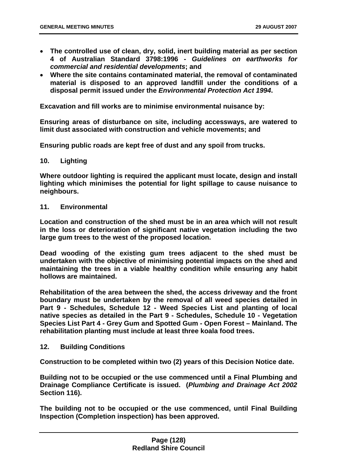- **The controlled use of clean, dry, solid, inert building material as per section 4 of Australian Standard 3798:1996 -** *Guidelines on earthworks for commercial and residential developments***; and**
- **Where the site contains contaminated material, the removal of contaminated material is disposed to an approved landfill under the conditions of a disposal permit issued under the** *Environmental Protection Act 1994***.**

**Excavation and fill works are to minimise environmental nuisance by:** 

**Ensuring areas of disturbance on site, including accessways, are watered to limit dust associated with construction and vehicle movements; and** 

**Ensuring public roads are kept free of dust and any spoil from trucks.** 

#### **10. Lighting**

**Where outdoor lighting is required the applicant must locate, design and install lighting which minimises the potential for light spillage to cause nuisance to neighbours.** 

#### **11. Environmental**

**Location and construction of the shed must be in an area which will not result in the loss or deterioration of significant native vegetation including the two large gum trees to the west of the proposed location.** 

**Dead wooding of the existing gum trees adjacent to the shed must be undertaken with the objective of minimising potential impacts on the shed and maintaining the trees in a viable healthy condition while ensuring any habit hollows are maintained.** 

**Rehabilitation of the area between the shed, the access driveway and the front boundary must be undertaken by the removal of all weed species detailed in Part 9 - Schedules, Schedule 12 - Weed Species List and planting of local native species as detailed in the Part 9 - Schedules, Schedule 10 - Vegetation Species List Part 4 - Grey Gum and Spotted Gum - Open Forest – Mainland. The rehabilitation planting must include at least three koala food trees.** 

### **12. Building Conditions**

**Construction to be completed within two (2) years of this Decision Notice date.** 

**Building not to be occupied or the use commenced until a Final Plumbing and Drainage Compliance Certificate is issued. (***Plumbing and Drainage Act 2002* **Section 116).** 

**The building not to be occupied or the use commenced, until Final Building Inspection (Completion inspection) has been approved.**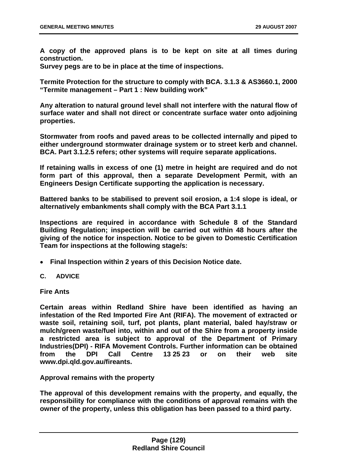<span id="page-129-0"></span>**A copy of the approved plans is to be kept on site at all times during construction.** 

**Survey pegs are to be in place at the time of inspections.** 

**Termite Protection for the structure to comply with BCA. 3.1.3 & AS3660.1, 2000 "Termite management – Part 1 : New building work"** 

**Any alteration to natural ground level shall not interfere with the natural flow of surface water and shall not direct or concentrate surface water onto adjoining properties.** 

**Stormwater from roofs and paved areas to be collected internally and piped to either underground stormwater drainage system or to street kerb and channel. BCA. Part 3.1.2.5 refers; other systems will require separate applications.** 

**If retaining walls in excess of one (1) metre in height are required and do not form part of this approval, then a separate Development Permit, with an Engineers Design Certificate supporting the application is necessary.** 

**Battered banks to be stabilised to prevent soil erosion, a 1:4 slope is ideal, or alternatively embankments shall comply with the BCA Part 3.1.1** 

**Inspections are required in accordance with Schedule 8 of the Standard Building Regulation; inspection will be carried out within 48 hours after the giving of the notice for inspection. Notice to be given to Domestic Certification Team for inspections at the following stage/s:** 

- • **Final Inspection within 2 years of this Decision Notice date.**
- **C. ADVICE**

**Fire Ants** 

**Certain areas within Redland Shire have been identified as having an infestation of the Red Imported Fire Ant (RIFA). The movement of extracted or waste soil, retaining soil, turf, pot plants, plant material, baled hay/straw or mulch/green waste/fuel into, within and out of the Shire from a property inside a restricted area is subject to approval of the Department of Primary Industries(DPI) - RIFA Movement Controls. Further information can be obtained from the DPI Call Centre 13 25 23 or on their web site www.dpi.qld.gov.au/fireants.** 

**Approval remains with the property** 

**The approval of this development remains with the property, and equally, the responsibility for compliance with the conditions of approval remains with the owner of the property, unless this obligation has been passed to a third party.**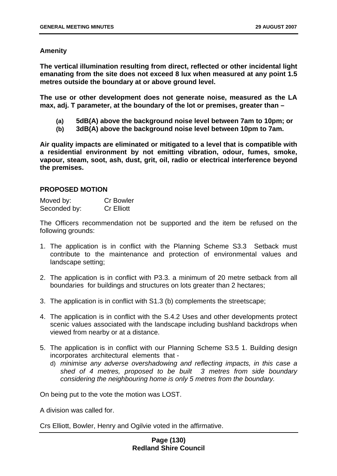### **Amenity**

**The vertical illumination resulting from direct, reflected or other incidental light emanating from the site does not exceed 8 lux when measured at any point 1.5 metres outside the boundary at or above ground level.** 

**The use or other development does not generate noise, measured as the LA max, adj. T parameter, at the boundary of the lot or premises, greater than –** 

- **(a) 5dB(A) above the background noise level between 7am to 10pm; or**
- **(b) 3dB(A) above the background noise level between 10pm to 7am.**

**Air quality impacts are eliminated or mitigated to a level that is compatible with a residential environment by not emitting vibration, odour, fumes, smoke, vapour, steam, soot, ash, dust, grit, oil, radio or electrical interference beyond the premises.** 

### **PROPOSED MOTION**

| Moved by:    | <b>Cr Bowler</b>  |
|--------------|-------------------|
| Seconded by: | <b>Cr Elliott</b> |

The Officers recommendation not be supported and the item be refused on the following grounds:

- 1. The application is in conflict with the Planning Scheme S3.3 Setback must contribute to the maintenance and protection of environmental values and landscape setting;
- 2. The application is in conflict with P3.3. a minimum of 20 metre setback from all boundaries for buildings and structures on lots greater than 2 hectares;
- 3. The application is in conflict with S1.3 (b) complements the streetscape;
- 4. The application is in conflict with the S.4.2 Uses and other developments protect scenic values associated with the landscape including bushland backdrops when viewed from nearby or at a distance.
- 5. The application is in conflict with our Planning Scheme S3.5 1. Building design incorporates architectural elements that
	- d) *minimise any adverse overshadowing and reflecting impacts, in this case a shed of 4 metres, proposed to be built 3 metres from side boundary considering the neighbouring home is only 5 metres from the boundary.*

On being put to the vote the motion was LOST.

A division was called for.

Crs Elliott, Bowler, Henry and Ogilvie voted in the affirmative.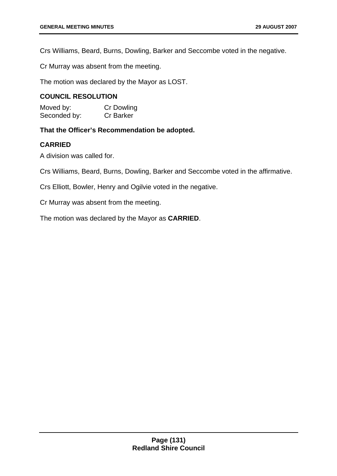Crs Williams, Beard, Burns, Dowling, Barker and Seccombe voted in the negative.

Cr Murray was absent from the meeting.

The motion was declared by the Mayor as LOST.

# **COUNCIL RESOLUTION**

Moved by: Cr Dowling Seconded by: Cr Barker

**That the Officer's Recommendation be adopted.** 

# **CARRIED**

A division was called for.

Crs Williams, Beard, Burns, Dowling, Barker and Seccombe voted in the affirmative.

Crs Elliott, Bowler, Henry and Ogilvie voted in the negative.

Cr Murray was absent from the meeting.

The motion was declared by the Mayor as **CARRIED**.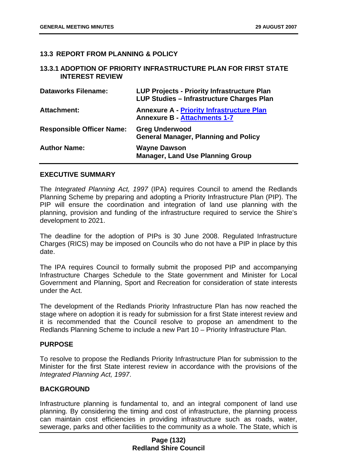## **13.3 REPORT FROM PLANNING & POLICY**

#### **13.3.1 ADOPTION OF PRIORITY INFRASTRUCTURE PLAN FOR FIRST STATE INTEREST REVIEW**

| <b>Dataworks Filename:</b>       | <b>LUP Projects - Priority Infrastructure Plan</b><br>LUP Studies - Infrastructure Charges Plan |
|----------------------------------|-------------------------------------------------------------------------------------------------|
| <b>Attachment:</b>               | <b>Annexure A - Priority Infrastructure Plan</b><br><b>Annexure B - Attachments 1-7</b>         |
| <b>Responsible Officer Name:</b> | <b>Greg Underwood</b><br><b>General Manager, Planning and Policy</b>                            |
| <b>Author Name:</b>              | <b>Wayne Dawson</b><br><b>Manager, Land Use Planning Group</b>                                  |

### **EXECUTIVE SUMMARY**

The *Integrated Planning Act, 1997* (IPA) requires Council to amend the Redlands Planning Scheme by preparing and adopting a Priority Infrastructure Plan (PIP). The PIP will ensure the coordination and integration of land use planning with the planning, provision and funding of the infrastructure required to service the Shire's development to 2021.

The deadline for the adoption of PIPs is 30 June 2008. Regulated Infrastructure Charges (RICS) may be imposed on Councils who do not have a PIP in place by this date.

The IPA requires Council to formally submit the proposed PIP and accompanying Infrastructure Charges Schedule to the State government and Minister for Local Government and Planning, Sport and Recreation for consideration of state interests under the Act.

The development of the Redlands Priority Infrastructure Plan has now reached the stage where on adoption it is ready for submission for a first State interest review and it is recommended that the Council resolve to propose an amendment to the Redlands Planning Scheme to include a new Part 10 – Priority Infrastructure Plan.

### **PURPOSE**

To resolve to propose the Redlands Priority Infrastructure Plan for submission to the Minister for the first State interest review in accordance with the provisions of the *Integrated Planning Act, 1997*.

### **BACKGROUND**

Infrastructure planning is fundamental to, and an integral component of land use planning. By considering the timing and cost of infrastructure, the planning process can maintain cost efficiencies in providing infrastructure such as roads, water, sewerage, parks and other facilities to the community as a whole. The State, which is

### **Page (132) Redland Shire Council**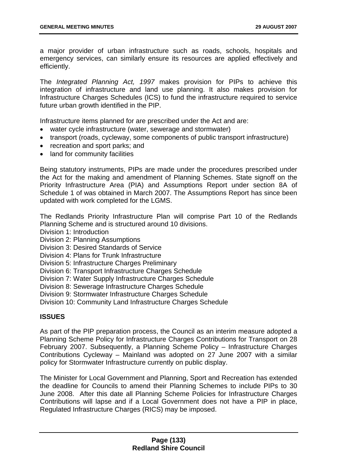a major provider of urban infrastructure such as roads, schools, hospitals and emergency services, can similarly ensure its resources are applied effectively and efficiently.

The *Integrated Planning Act, 1997* makes provision for PIPs to achieve this integration of infrastructure and land use planning. It also makes provision for Infrastructure Charges Schedules (ICS) to fund the infrastructure required to service future urban growth identified in the PIP.

Infrastructure items planned for are prescribed under the Act and are:

- water cycle infrastructure (water, sewerage and stormwater)
- transport (roads, cycleway, some components of public transport infrastructure)
- recreation and sport parks; and
- land for community facilities

Being statutory instruments, PIPs are made under the procedures prescribed under the Act for the making and amendment of Planning Schemes. State signoff on the Priority Infrastructure Area (PIA) and Assumptions Report under section 8A of Schedule 1 of was obtained in March 2007. The Assumptions Report has since been updated with work completed for the LGMS.

The Redlands Priority Infrastructure Plan will comprise Part 10 of the Redlands Planning Scheme and is structured around 10 divisions.

Division 1: Introduction

Division 2: Planning Assumptions

Division 3: Desired Standards of Service

Division 4: Plans for Trunk Infrastructure

Division 5: Infrastructure Charges Preliminary

Division 6: Transport Infrastructure Charges Schedule

Division 7: Water Supply Infrastructure Charges Schedule

Division 8: Sewerage Infrastructure Charges Schedule

Division 9: Stormwater Infrastructure Charges Schedule

Division 10: Community Land Infrastructure Charges Schedule

# **ISSUES**

As part of the PIP preparation process, the Council as an interim measure adopted a Planning Scheme Policy for Infrastructure Charges Contributions for Transport on 28 February 2007. Subsequently, a Planning Scheme Policy – Infrastructure Charges Contributions Cycleway – Mainland was adopted on 27 June 2007 with a similar policy for Stormwater Infrastructure currently on public display.

The Minister for Local Government and Planning, Sport and Recreation has extended the deadline for Councils to amend their Planning Schemes to include PIPs to 30 June 2008. After this date all Planning Scheme Policies for Infrastructure Charges Contributions will lapse and if a Local Government does not have a PIP in place, Regulated Infrastructure Charges (RICS) may be imposed.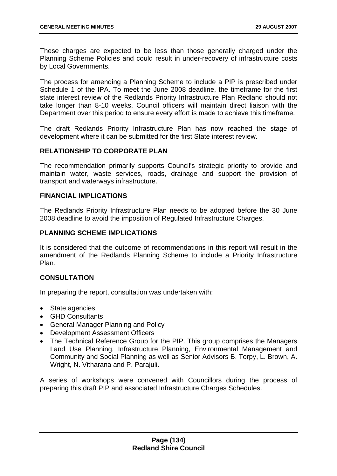These charges are expected to be less than those generally charged under the Planning Scheme Policies and could result in under-recovery of infrastructure costs by Local Governments.

The process for amending a Planning Scheme to include a PIP is prescribed under Schedule 1 of the IPA. To meet the June 2008 deadline, the timeframe for the first state interest review of the Redlands Priority Infrastructure Plan Redland should not take longer than 8-10 weeks. Council officers will maintain direct liaison with the Department over this period to ensure every effort is made to achieve this timeframe.

The draft Redlands Priority Infrastructure Plan has now reached the stage of development where it can be submitted for the first State interest review.

# **RELATIONSHIP TO CORPORATE PLAN**

The recommendation primarily supports Council's strategic priority to provide and maintain water, waste services, roads, drainage and support the provision of transport and waterways infrastructure.

### **FINANCIAL IMPLICATIONS**

The Redlands Priority Infrastructure Plan needs to be adopted before the 30 June 2008 deadline to avoid the imposition of Regulated Infrastructure Charges.

# **PLANNING SCHEME IMPLICATIONS**

It is considered that the outcome of recommendations in this report will result in the amendment of the Redlands Planning Scheme to include a Priority Infrastructure Plan.

# **CONSULTATION**

In preparing the report, consultation was undertaken with:

- State agencies
- GHD Consultants
- General Manager Planning and Policy
- Development Assessment Officers
- The Technical Reference Group for the PIP. This group comprises the Managers Land Use Planning, Infrastructure Planning, Environmental Management and Community and Social Planning as well as Senior Advisors B. Torpy, L. Brown, A. Wright, N. Vitharana and P. Parajuli.

A series of workshops were convened with Councillors during the process of preparing this draft PIP and associated Infrastructure Charges Schedules.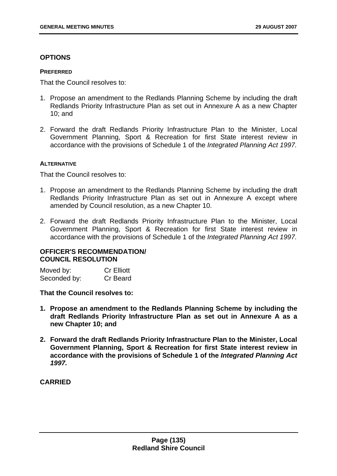## **OPTIONS**

#### **PREFERRED**

That the Council resolves to:

- 1. Propose an amendment to the Redlands Planning Scheme by including the draft Redlands Priority Infrastructure Plan as set out in Annexure A as a new Chapter 10; and
- 2. Forward the draft Redlands Priority Infrastructure Plan to the Minister, Local Government Planning, Sport & Recreation for first State interest review in accordance with the provisions of Schedule 1 of the *Integrated Planning Act 1997.*

### **ALTERNATIVE**

That the Council resolves to:

- 1. Propose an amendment to the Redlands Planning Scheme by including the draft Redlands Priority Infrastructure Plan as set out in Annexure A except where amended by Council resolution, as a new Chapter 10.
- 2. Forward the draft Redlands Priority Infrastructure Plan to the Minister, Local Government Planning, Sport & Recreation for first State interest review in accordance with the provisions of Schedule 1 of the *Integrated Planning Act 1997.*

# **OFFICER'S RECOMMENDATION/ COUNCIL RESOLUTION**

| Moved by:    | <b>Cr Elliott</b> |
|--------------|-------------------|
| Seconded by: | Cr Beard          |

### **That the Council resolves to:**

- **1. Propose an amendment to the Redlands Planning Scheme by including the draft Redlands Priority Infrastructure Plan as set out in Annexure A as a new Chapter 10; and**
- **2. Forward the draft Redlands Priority Infrastructure Plan to the Minister, Local Government Planning, Sport & Recreation for first State interest review in accordance with the provisions of Schedule 1 of the** *Integrated Planning Act 1997.*

## **CARRIED**